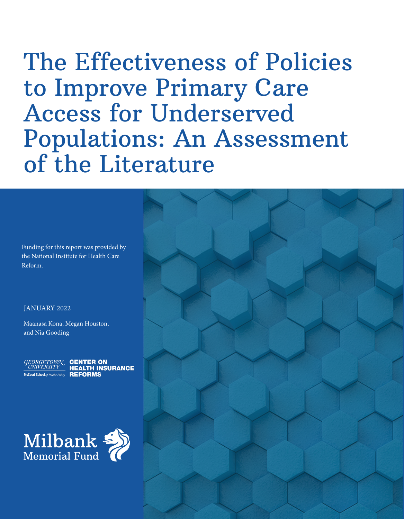# The Effectiveness of Policies to Improve Primary Care Access for Underserved Populations: An Assessment of the Literature

Funding for this report was provided by the National Institute for Health Care Reform.

#### JANUARY 2022

Maanasa Kona, Megan Houston, and Nia Gooding





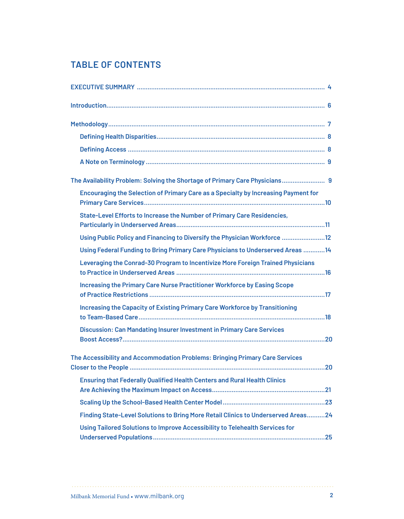# **TABLE OF CONTENTS**

| The Availability Problem: Solving the Shortage of Primary Care Physicians 9        |
|------------------------------------------------------------------------------------|
| Encouraging the Selection of Primary Care as a Specialty by Increasing Payment for |
| State-Level Efforts to Increase the Number of Primary Care Residencies,            |
| Using Public Policy and Financing to Diversify the Physician Workforce  12         |
| Using Federal Funding to Bring Primary Care Physicians to Underserved Areas 14     |
| Leveraging the Conrad-30 Program to Incentivize More Foreign Trained Physicians    |
| <b>Increasing the Primary Care Nurse Practitioner Workforce by Easing Scope</b>    |
| <b>Increasing the Capacity of Existing Primary Care Workforce by Transitioning</b> |
| <b>Discussion: Can Mandating Insurer Investment in Primary Care Services</b>       |
| The Accessibility and Accommodation Problems: Bringing Primary Care Services       |
| <b>Ensuring that Federally Qualified Health Centers and Rural Health Clinics</b>   |
|                                                                                    |
| Finding State-Level Solutions to Bring More Retail Clinics to Underserved Areas24  |
| Using Tailored Solutions to Improve Accessibility to Telehealth Services for       |
|                                                                                    |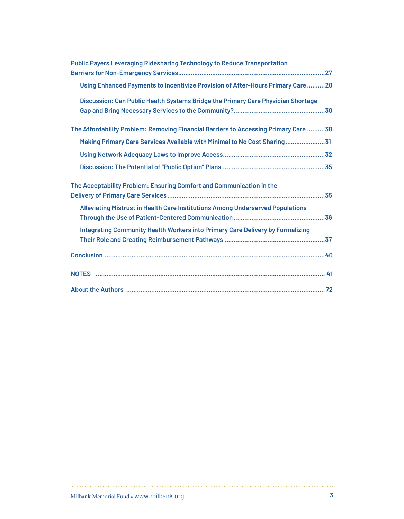| <b>Public Payers Leveraging Ridesharing Technology to Reduce Transportation</b>     |
|-------------------------------------------------------------------------------------|
| Using Enhanced Payments to Incentivize Provision of After-Hours Primary Care28      |
| Discussion: Can Public Health Systems Bridge the Primary Care Physician Shortage    |
| The Affordability Problem: Removing Financial Barriers to Accessing Primary Care 30 |
| Making Primary Care Services Available with Minimal to No Cost Sharing31            |
|                                                                                     |
|                                                                                     |
|                                                                                     |
| The Acceptability Problem: Ensuring Comfort and Communication in the                |
| Alleviating Mistrust in Health Care Institutions Among Underserved Populations      |
| Integrating Community Health Workers into Primary Care Delivery by Formalizing      |
|                                                                                     |
|                                                                                     |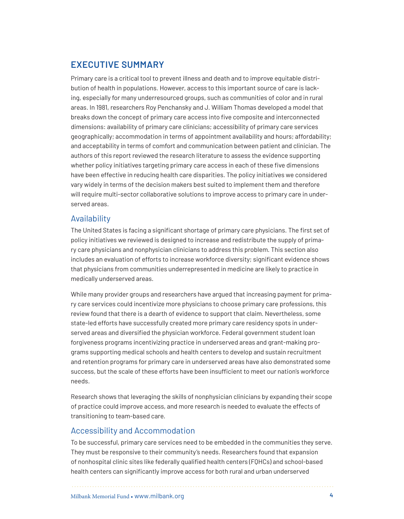# **EXECUTIVE SUMMARY**

Primary care is a critical tool to prevent illness and death and to improve equitable distribution of health in populations. However, access to this important source of care is lacking, especially for many underresourced groups, such as communities of color and in rural areas. In 1981, researchers Roy Penchansky and J. William Thomas developed a model that breaks down the concept of primary care access into five composite and interconnected dimensions: availability of primary care clinicians; accessibility of primary care services geographically; accommodation in terms of appointment availability and hours; affordability; and acceptability in terms of comfort and communication between patient and clinician. The authors of this report reviewed the research literature to assess the evidence supporting whether policy initiatives targeting primary care access in each of these five dimensions have been effective in reducing health care disparities. The policy initiatives we considered vary widely in terms of the decision makers best suited to implement them and therefore will require multi-sector collaborative solutions to improve access to primary care in underserved areas.

## Availability

The United States is facing a significant shortage of primary care physicians. The first set of policy initiatives we reviewed is designed to increase and redistribute the supply of primary care physicians and nonphysician clinicians to address this problem. This section also includes an evaluation of efforts to increase workforce diversity; significant evidence shows that physicians from communities underrepresented in medicine are likely to practice in medically underserved areas.

While many provider groups and researchers have argued that increasing payment for primary care services could incentivize more physicians to choose primary care professions, this review found that there is a dearth of evidence to support that claim. Nevertheless, some state-led efforts have successfully created more primary care residency spots in underserved areas and diversified the physician workforce. Federal government student loan forgiveness programs incentivizing practice in underserved areas and grant-making programs supporting medical schools and health centers to develop and sustain recruitment and retention programs for primary care in underserved areas have also demonstrated some success, but the scale of these efforts have been insufficient to meet our nation's workforce needs.

Research shows that leveraging the skills of nonphysician clinicians by expanding their scope of practice could improve access, and more research is needed to evaluate the effects of transitioning to team-based care.

## Accessibility and Accommodation

To be successful, primary care services need to be embedded in the communities they serve. They must be responsive to their community's needs. Researchers found that expansion of nonhospital clinic sites like federally qualified health centers (FQHCs) and school-based health centers can significantly improve access for both rural and urban underserved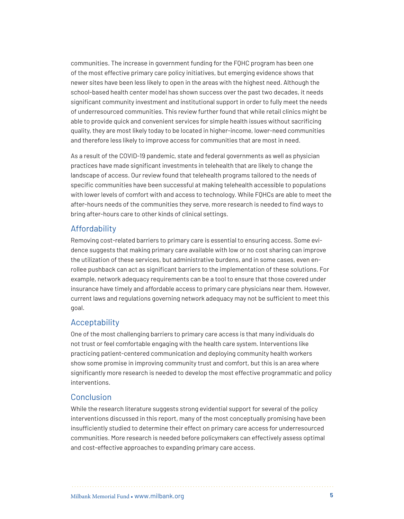communities. The increase in government funding for the FQHC program has been one of the most effective primary care policy initiatives, but emerging evidence shows that newer sites have been less likely to open in the areas with the highest need. Although the school-based health center model has shown success over the past two decades, it needs significant community investment and institutional support in order to fully meet the needs of underresourced communities. This review further found that while retail clinics might be able to provide quick and convenient services for simple health issues without sacrificing quality, they are most likely today to be located in higher-income, lower-need communities and therefore less likely to improve access for communities that are most in need.

As a result of the COVID-19 pandemic, state and federal governments as well as physician practices have made significant investments in telehealth that are likely to change the landscape of access. Our review found that telehealth programs tailored to the needs of specific communities have been successful at making telehealth accessible to populations with lower levels of comfort with and access to technology. While FQHCs are able to meet the after-hours needs of the communities they serve, more research is needed to find ways to bring after-hours care to other kinds of clinical settings.

## Affordability

Removing cost-related barriers to primary care is essential to ensuring access. Some evidence suggests that making primary care available with low or no cost sharing can improve the utilization of these services, but administrative burdens, and in some cases, even enrollee pushback can act as significant barriers to the implementation of these solutions. For example, network adequacy requirements can be a tool to ensure that those covered under insurance have timely and affordable access to primary care physicians near them. However, current laws and regulations governing network adequacy may not be sufficient to meet this goal.

## Acceptability

One of the most challenging barriers to primary care access is that many individuals do not trust or feel comfortable engaging with the health care system. Interventions like practicing patient-centered communication and deploying community health workers show some promise in improving community trust and comfort, but this is an area where significantly more research is needed to develop the most effective programmatic and policy interventions.

## Conclusion

While the research literature suggests strong evidential support for several of the policy interventions discussed in this report, many of the most conceptually promising have been insufficiently studied to determine their effect on primary care access for underresourced communities. More research is needed before policymakers can effectively assess optimal and cost-effective approaches to expanding primary care access.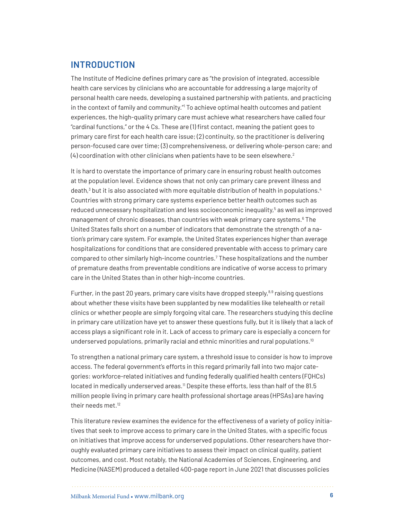## **INTRODUCTION**

The Institute of Medicine defines primary care as "the provision of integrated, accessible health care services by clinicians who are accountable for addressing a large majority of personal health care needs, developing a sustained partnership with patients, and practicing in the context of family and community." To achieve optimal health outcomes and patient experiences, the high-quality primary care must achieve what researchers have called four "cardinal functions," or the 4 Cs. These are (1) first contact, meaning the patient goes to primary care first for each health care issue; (2) continuity, so the practitioner is delivering person-focused care over time; (3) comprehensiveness, or delivering whole-person care; and  $(4)$  coordination with other clinicians when patients have to be seen elsewhere.<sup>2</sup>

It is hard to overstate the importance of primary care in ensuring robust health outcomes at the population level. Evidence shows that not only can primary care prevent illness and death, $^3$  $^3$  but it is also associated with more equitable distribution of health in populations. $^4$  $^4$ Countries with strong primary care systems experience better health outcomes such as reduced unnecessary hospitalization and less socioeconomic inequality,<sup>5</sup> as well as improved management of chronic diseases, than countries with weak primary care systems.<sup>[6](#page-40-5)</sup> The United States falls short on a number of indicators that demonstrate the strength of a nation's primary care system. For example, the United States experiences higher than average hospitalizations for conditions that are considered preventable with access to primary care compared to other similarly high-income countries.[7](#page-40-6) These hospitalizations and the number of premature deaths from preventable conditions are indicative of worse access to primary care in the United States than in other high-income countries.

Further, in the past 20 years, primary care visits have dropped steeply, $^{8,9}$  $^{8,9}$  $^{8,9}$  $^{8,9}$  $^{8,9}$  raising questions about whether these visits have been supplanted by new modalities like telehealth or retail clinics or whether people are simply forgoing vital care. The researchers studying this decline in primary care utilization have yet to answer these questions fully, but it is likely that a lack of access plays a significant role in it. Lack of access to primary care is especially a concern for underserved populations, primarily racial and ethnic minorities and rural populations.<sup>[10](#page-40-8)</sup>

To strengthen a national primary care system, a threshold issue to consider is how to improve access. The federal government's efforts in this regard primarily fall into two major categories: workforce-related initiatives and funding federally qualified health centers (FQHCs) located in medically underserved areas.<sup>11</sup> Despite these efforts, less than half of the 81.5 million people living in primary care health professional shortage areas (HPSAs) are having their needs met.[12](#page-41-1)

This literature review examines the evidence for the effectiveness of a variety of policy initiatives that seek to improve access to primary care in the United States, with a specific focus on initiatives that improve access for underserved populations. Other researchers have thoroughly evaluated primary care initiatives to assess their impact on clinical quality, patient outcomes, and cost. Most notably, the National Academies of Sciences, Engineering, and Medicine (NASEM) produced a detailed 400-page report in June 2021 that discusses policies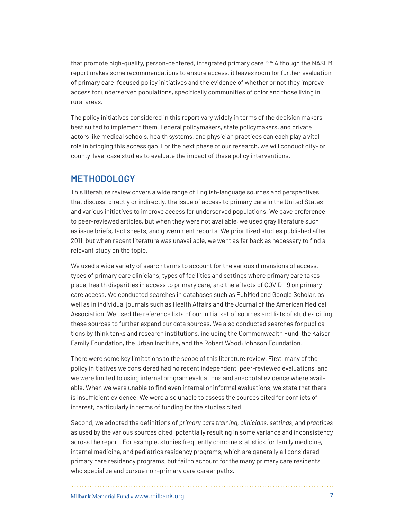that promote high-quality, person-centered, integrated primary care.[13](#page-41-2),[14](#page-41-3) Although the NASEM report makes some recommendations to ensure access, it leaves room for further evaluation of primary care–focused policy initiatives and the evidence of whether or not they improve access for underserved populations, specifically communities of color and those living in rural areas.

The policy initiatives considered in this report vary widely in terms of the decision makers best suited to implement them. Federal policymakers, state policymakers, and private actors like medical schools, health systems, and physician practices can each play a vital role in bridging this access gap. For the next phase of our research, we will conduct city- or county-level case studies to evaluate the impact of these policy interventions.

## **METHODOLOGY**

This literature review covers a wide range of English-language sources and perspectives that discuss, directly or indirectly, the issue of access to primary care in the United States and various initiatives to improve access for underserved populations. We gave preference to peer-reviewed articles, but when they were not available, we used gray literature such as issue briefs, fact sheets, and government reports. We prioritized studies published after 2011, but when recent literature was unavailable, we went as far back as necessary to find a relevant study on the topic.

We used a wide variety of search terms to account for the various dimensions of access, types of primary care clinicians, types of facilities and settings where primary care takes place, health disparities in access to primary care, and the effects of COVID-19 on primary care access. We conducted searches in databases such as PubMed and Google Scholar, as well as in individual journals such as Health Affairs and the Journal of the American Medical Association. We used the reference lists of our initial set of sources and lists of studies citing these sources to further expand our data sources. We also conducted searches for publications by think tanks and research institutions, including the Commonwealth Fund, the Kaiser Family Foundation, the Urban Institute, and the Robert Wood Johnson Foundation.

There were some key limitations to the scope of this literature review. First, many of the policy initiatives we considered had no recent independent, peer-reviewed evaluations, and we were limited to using internal program evaluations and anecdotal evidence where available. When we were unable to find even internal or informal evaluations, we state that there is insufficient evidence. We were also unable to assess the sources cited for conflicts of interest, particularly in terms of funding for the studies cited.

Second, we adopted the definitions of *primary care training, clinicians, settings,* and *practices*  as used by the various sources cited, potentially resulting in some variance and inconsistency across the report. For example, studies frequently combine statistics for family medicine, internal medicine, and pediatrics residency programs, which are generally all considered primary care residency programs, but fail to account for the many primary care residents who specialize and pursue non–primary care career paths.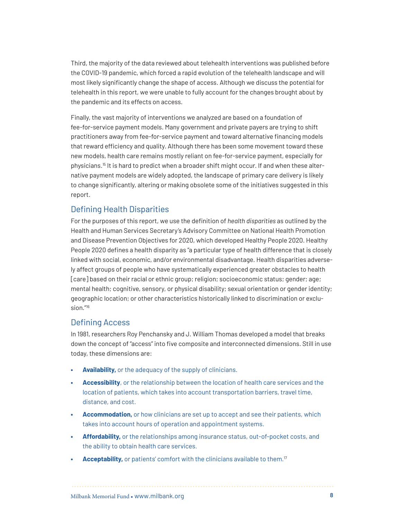Third, the majority of the data reviewed about telehealth interventions was published before the COVID-19 pandemic, which forced a rapid evolution of the telehealth landscape and will most likely significantly change the shape of access. Although we discuss the potential for telehealth in this report, we were unable to fully account for the changes brought about by the pandemic and its effects on access.

Finally, the vast majority of interventions we analyzed are based on a foundation of fee-for-service payment models. Many government and private payers are trying to shift practitioners away from fee-for-service payment and toward alternative financing models that reward efficiency and quality. Although there has been some movement toward these new models, health care remains mostly reliant on fee-for-service payment, especially for physicians[.15](#page-41-4) It is hard to predict when a broader shift might occur. If and when these alternative payment models are widely adopted, the landscape of primary care delivery is likely to change significantly, altering or making obsolete some of the initiatives suggested in this report.

## Defining Health Disparities

For the purposes of this report, we use the definition of *health disparities* as outlined by the Health and Human Services Secretary's Advisory Committee on National Health Promotion and Disease Prevention Objectives for 2020, which developed Healthy People 2020. Healthy People 2020 defines a health disparity as "a particular type of health difference that is closely linked with social, economic, and/or environmental disadvantage. Health disparities adversely affect groups of people who have systematically experienced greater obstacles to health [care] based on their racial or ethnic group; religion; socioeconomic status; gender; age; mental health; cognitive, sensory, or physical disability; sexual orientation or gender identity; geographic location; or other characteristics historically linked to discrimination or exclusion.["16](#page-41-5)

## Defining Access

In 1981, researchers Roy Penchansky and J. William Thomas developed a model that breaks down the concept of "access" into five composite and interconnected dimensions. Still in use today, these dimensions are:

- **• Availability,** or the adequacy of the supply of clinicians.
- **• Accessibility**, or the relationship between the location of health care services and the location of patients, which takes into account transportation barriers, travel time, distance, and cost.
- **• Accommodation,** or how clinicians are set up to accept and see their patients, which takes into account hours of operation and appointment systems.
- **• Affordability,** or the relationships among insurance status, out-of-pocket costs, and the ability to obtain health care services.
- **Acceptability,** or patients' comfort with the clinicians available to them.<sup>[17](#page-41-6)</sup>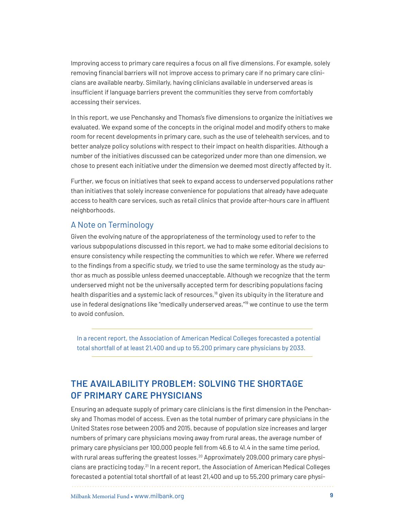Improving access to primary care requires a focus on all five dimensions. For example, solely removing financial barriers will not improve access to primary care if no primary care clinicians are available nearby. Similarly, having clinicians available in underserved areas is insufficient if language barriers prevent the communities they serve from comfortably accessing their services.

In this report, we use Penchansky and Thomas's five dimensions to organize the initiatives we evaluated. We expand some of the concepts in the original model and modify others to make room for recent developments in primary care, such as the use of telehealth services, and to better analyze policy solutions with respect to their impact on health disparities. Although a number of the initiatives discussed can be categorized under more than one dimension, we chose to present each initiative under the dimension we deemed most directly affected by it.

Further, we focus on initiatives that seek to expand access to underserved populations rather than initiatives that solely increase convenience for populations that already have adequate access to health care services, such as retail clinics that provide after-hours care in affluent neighborhoods.

## A Note on Terminology

Given the evolving nature of the appropriateness of the terminology used to refer to the various subpopulations discussed in this report, we had to make some editorial decisions to ensure consistency while respecting the communities to which we refer. Where we referred to the findings from a specific study, we tried to use the same terminology as the study author as much as possible unless deemed unacceptable. Although we recognize that the term underserved might not be the universally accepted term for describing populations facing health disparities and a systemic lack of resources,<sup>18</sup> given its ubiquity in the literature and use in federal designations like "medically underserved areas,"[19](#page-42-0) we continue to use the term to avoid confusion.

In a recent report, the Association of American Medical Colleges forecasted a potential total shortfall of at least 21,400 and up to 55,200 primary care physicians by 2033.

# **THE AVAILABILITY PROBLEM: SOLVING THE SHORTAGE OF PRIMARY CARE PHYSICIANS**

Ensuring an adequate supply of primary care clinicians is the first dimension in the Penchansky and Thomas model of access. Even as the total number of primary care physicians in the United States rose between 2005 and 2015, because of population size increases and larger numbers of primary care physicians moving away from rural areas, the average number of primary care physicians per 100,000 people fell from 46.6 to 41.4 in the same time period, with rural areas suffering the greatest losses.<sup>[20](#page-42-1)</sup> Approximately 209,000 primary care physicians are practicing today.[21](#page-42-2) In a recent report, the Association of American Medical Colleges forecasted a potential total shortfall of at least 21,400 and up to 55,200 primary care physi-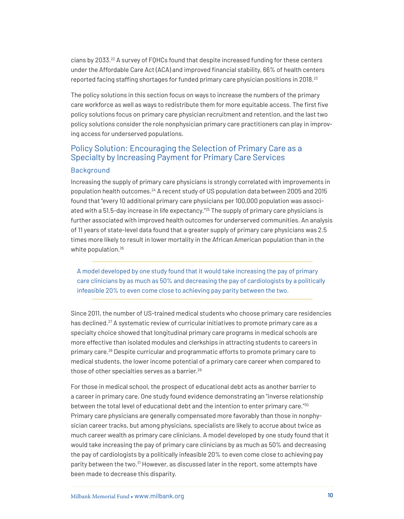cians by 2033[.22](#page-42-3) A survey of FQHCs found that despite increased funding for these centers under the Affordable Care Act (ACA) and improved financial stability, 66% of health centers reported facing staffing shortages for funded primary care physician positions in 2018.[23](#page-42-4)

The policy solutions in this section focus on ways to increase the numbers of the primary care workforce as well as ways to redistribute them for more equitable access. The first five policy solutions focus on primary care physician recruitment and retention, and the last two policy solutions consider the role nonphysician primary care practitioners can play in improving access for underserved populations.

## Policy Solution: Encouraging the Selection of Primary Care as a Specialty by Increasing Payment for Primary Care Services

#### Background

Increasing the supply of primary care physicians is strongly correlated with improvements in population health outcomes.[24](#page-42-5) A recent study of US population data between 2005 and 2015 found that "every 10 additional primary care physicians per 100,000 population was associ-ated with a 51.5-day increase in life expectancy."<sup>[25](#page-42-6)</sup> The supply of primary care physicians is further associated with improved health outcomes for underserved communities. An analysis of 11 years of state-level data found that a greater supply of primary care physicians was 2.5 times more likely to result in lower mortality in the African American population than in the white population.<sup>[26](#page-42-7)</sup>

A model developed by one study found that it would take increasing the pay of primary care clinicians by as much as 50% and decreasing the pay of cardiologists by a politically infeasible 20% to even come close to achieving pay parity between the two.

Since 2011, the number of US-trained medical students who choose primary care residencies has declined.<sup>[27](#page-42-8)</sup> A systematic review of curricular initiatives to promote primary care as a specialty choice showed that longitudinal primary care programs in medical schools are more effective than isolated modules and clerkships in attracting students to careers in primary care.[28](#page-42-9) Despite curricular and programmatic efforts to promote primary care to medical students, the lower income potential of a primary care career when compared to those of other specialties serves as a barrier.[29](#page-42-10)

For those in medical school, the prospect of educational debt acts as another barrier to a career in primary care. One study found evidence demonstrating an "inverse relationship between the total level of educational debt and the intention to enter primary care."[30](#page-43-0) Primary care physicians are generally compensated more favorably than those in nonphysician career tracks, but among physicians, specialists are likely to accrue about twice as much career wealth as primary care clinicians. A model developed by one study found that it would take increasing the pay of primary care clinicians by as much as 50% and decreasing the pay of cardiologists by a politically infeasible 20% to even come close to achieving pay parity between the two.[31](#page-43-1) However, as discussed later in the report, some attempts have been made to decrease this disparity.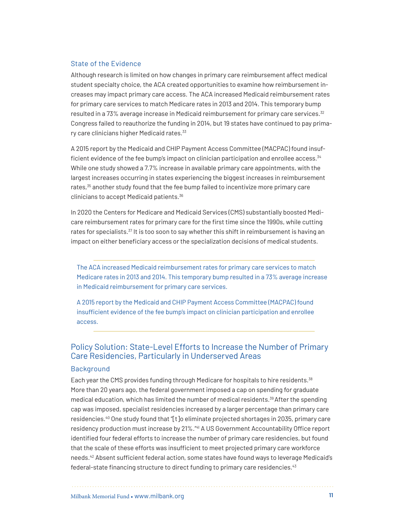#### State of the Evidence

Although research is limited on how changes in primary care reimbursement affect medical student specialty choice, the ACA created opportunities to examine how reimbursement increases may impact primary care access. The ACA increased Medicaid reimbursement rates for primary care services to match Medicare rates in 2013 and 2014. This temporary bump resulted in a 73% average increase in Medicaid reimbursement for primary care services.<sup>[32](#page-43-2)</sup> Congress failed to reauthorize the funding in 2014, but 19 states have continued to pay prima-ry care clinicians higher Medicaid rates.<sup>[33](#page-43-3)</sup>

A 2015 report by the Medicaid and CHIP Payment Access Committee (MACPAC) found insuf-ficient evidence of the fee bump's impact on clinician participation and enrollee access.<sup>[34](#page-43-4)</sup> While one study showed a 7.7% increase in available primary care appointments, with the largest increases occurring in states experiencing the biggest increases in reimbursement rates,<sup>[35](#page-43-5)</sup> another study found that the fee bump failed to incentivize more primary care clinicians to accept Medicaid patients.<sup>[36](#page-43-6)</sup>

In 2020 the Centers for Medicare and Medicaid Services (CMS) substantially boosted Medicare reimbursement rates for primary care for the first time since the 1990s, while cutting rates for specialists. $37$  It is too soon to say whether this shift in reimbursement is having an impact on either beneficiary access or the specialization decisions of medical students.

The ACA increased Medicaid reimbursement rates for primary care services to match Medicare rates in 2013 and 2014. This temporary bump resulted in a 73% average increase in Medicaid reimbursement for primary care services.

A 2015 report by the Medicaid and CHIP Payment Access Committee (MACPAC) found insufficient evidence of the fee bump's impact on clinician participation and enrollee access.

## Policy Solution: State-Level Efforts to Increase the Number of Primary Care Residencies, Particularly in Underserved Areas

#### **Background**

Each year the CMS provides funding through Medicare for hospitals to hire residents.<sup>[38](#page-43-8)</sup> More than 20 years ago, the federal government imposed a cap on spending for graduate medical education, which has limited the number of medical residents.[39](#page-43-9) After the spending cap was imposed, specialist residencies increased by a larger percentage than primary care residencies.[40](#page-44-0) One study found that "[t]o eliminate projected shortages in 2035, primary care residency production must increase by 21%."<sup>[41](#page-44-1)</sup> A US Government Accountability Office report identified four federal efforts to increase the number of primary care residencies, but found that the scale of these efforts was insufficient to meet projected primary care workforce needs.<sup>[42](#page-44-2)</sup> Absent sufficient federal action, some states have found ways to leverage Medicaid's federal-state financing structure to direct funding to primary care residencies.<sup>[43](#page-44-3)</sup>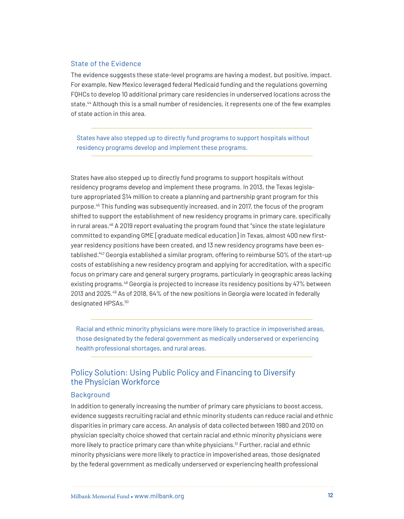#### State of the Evidence

The evidence suggests these state-level programs are having a modest, but positive, impact. For example, New Mexico leveraged federal Medicaid funding and the regulations governing FQHCs to develop 10 additional primary care residencies in underserved locations across the state.[44](#page-44-4) Although this is a small number of residencies, it represents one of the few examples of state action in this area.

States have also stepped up to directly fund programs to support hospitals without residency programs develop and implement these programs.

States have also stepped up to directly fund programs to support hospitals without residency programs develop and implement these programs. In 2013, the Texas legislature appropriated \$14 million to create a planning and partnership grant program for this purpose.[45](#page-44-5) This funding was subsequently increased, and in 2017, the focus of the program shifted to support the establishment of new residency programs in primary care, specifically in rural areas.<sup>46</sup> A 2019 report evaluating the program found that "since the state legislature committed to expanding GME [graduate medical education] in Texas, almost 400 new firstyear residency positions have been created, and 13 new residency programs have been established."[47](#page-44-7) Georgia established a similar program, offering to reimburse 50% of the start-up costs of establishing a new residency program and applying for accreditation, with a specific focus on primary care and general surgery programs, particularly in geographic areas lacking existing programs.<sup>48</sup> Georgia is projected to increase its residency positions by 47% between 2013 and 2025.[49](#page-45-0) As of 2018, 64% of the new positions in Georgia were located in federally designated HPSAs.<sup>[50](#page-45-1)</sup>

Racial and ethnic minority physicians were more likely to practice in impoverished areas, those designated by the federal government as medically underserved or experiencing health professional shortages, and rural areas.

## Policy Solution: Using Public Policy and Financing to Diversify the Physician Workforce

#### **Background**

In addition to generally increasing the number of primary care physicians to boost access, evidence suggests recruiting racial and ethnic minority students can reduce racial and ethnic disparities in primary care access. An analysis of data collected between 1980 and 2010 on physician specialty choice showed that certain racial and ethnic minority physicians were more likely to practice primary care than white physicians.<sup>51</sup> Further, racial and ethnic minority physicians were more likely to practice in impoverished areas, those designated by the federal government as medically underserved or experiencing health professional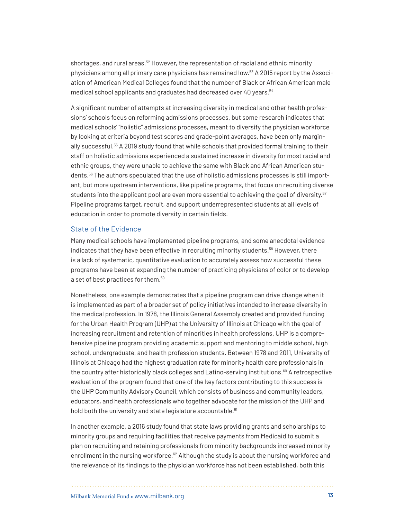shortages, and rural areas.<sup>[52](#page-45-3)</sup> However, the representation of racial and ethnic minority physicians among all primary care physicians has remained low.[53](#page-45-4) A 2015 report by the Association of American Medical Colleges found that the number of Black or African American male medical school applicants and graduates had decreased over 40 years.<sup>[54](#page-45-5)</sup>

A significant number of attempts at increasing diversity in medical and other health professions' schools focus on reforming admissions processes, but some research indicates that medical schools' "holistic" admissions processes, meant to diversify the physician workforce by looking at criteria beyond test scores and grade-point averages, have been only margin-ally successful.<sup>[55](#page-45-6)</sup> A 2019 study found that while schools that provided formal training to their staff on holistic admissions experienced a sustained increase in diversity for most racial and ethnic groups, they were unable to achieve the same with Black and African American students[.56](#page-45-7) The authors speculated that the use of holistic admissions processes is still important, but more upstream interventions, like pipeline programs, that focus on recruiting diverse students into the applicant pool are even more essential to achieving the goal of diversity.<sup>57</sup> Pipeline programs target, recruit, and support underrepresented students at all levels of education in order to promote diversity in certain fields.

#### State of the Evidence

Many medical schools have implemented pipeline programs, and some anecdotal evidence indicates that they have been effective in recruiting minority students.<sup>58</sup> However, there is a lack of systematic, quantitative evaluation to accurately assess how successful these programs have been at expanding the number of practicing physicians of color or to develop a set of best practices for them.<sup>59</sup>

Nonetheless, one example demonstrates that a pipeline program can drive change when it is implemented as part of a broader set of policy initiatives intended to increase diversity in the medical profession. In 1978, the Illinois General Assembly created and provided funding for the Urban Health Program (UHP) at the University of Illinois at Chicago with the goal of increasing recruitment and retention of minorities in health professions. UHP is a comprehensive pipeline program providing academic support and mentoring to middle school, high school, undergraduate, and health profession students. Between 1978 and 2011, University of Illinois at Chicago had the highest graduation rate for minority health care professionals in the country after historically black colleges and Latino-serving institutions.<sup>[60](#page-45-11)</sup> A retrospective evaluation of the program found that one of the key factors contributing to this success is the UHP Community Advisory Council, which consists of business and community leaders, educators, and health professionals who together advocate for the mission of the UHP and hold both the university and state legislature accountable.<sup>[61](#page-46-0)</sup>

In another example, a 2016 study found that state laws providing grants and scholarships to minority groups and requiring facilities that receive payments from Medicaid to submit a plan on recruiting and retaining professionals from minority backgrounds increased minority enrollment in the nursing workforce.<sup>[62](#page-46-1)</sup> Although the study is about the nursing workforce and the relevance of its findings to the physician workforce has not been established, both this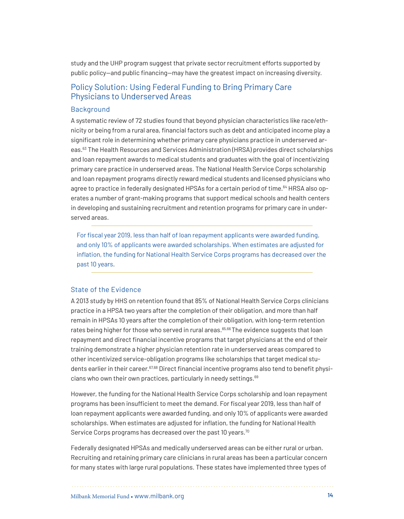study and the UHP program suggest that private sector recruitment efforts supported by public policy—and public financing—may have the greatest impact on increasing diversity.

## Policy Solution: Using Federal Funding to Bring Primary Care Physicians to Underserved Areas

#### Background

A systematic review of 72 studies found that beyond physician characteristics like race/ethnicity or being from a rural area, financial factors such as debt and anticipated income play a significant role in determining whether primary care physicians practice in underserved areas.[63](#page-46-2) The Health Resources and Services Administration (HRSA) provides direct scholarships and loan repayment awards to medical students and graduates with the goal of incentivizing primary care practice in underserved areas. The National Health Service Corps scholarship and loan repayment programs directly reward medical students and licensed physicians who agree to practice in federally designated HPSAs for a certain period of time.<sup>[64](#page-46-3)</sup> HRSA also operates a number of grant-making programs that support medical schools and health centers in developing and sustaining recruitment and retention programs for primary care in underserved areas.

For fiscal year 2019, less than half of loan repayment applicants were awarded funding, and only 10% of applicants were awarded scholarships. When estimates are adjusted for inflation, the funding for National Health Service Corps programs has decreased over the past 10 years.

#### State of the Evidence

A 2013 study by HHS on retention found that 85% of National Health Service Corps clinicians practice in a HPSA two years after the completion of their obligation, and more than half remain in HPSAs 10 years after the completion of their obligation, with long-term retention rates being higher for those who served in rural areas.<sup>[65,](#page-46-4)66</sup> The evidence suggests that loan repayment and direct financial incentive programs that target physicians at the end of their training demonstrate a higher physician retention rate in underserved areas compared to other incentivized service-obligation programs like scholarships that target medical stu-dents earlier in their career.<sup>[67](#page-46-6),[68](#page-46-7)</sup> Direct financial incentive programs also tend to benefit physi-cians who own their own practices, particularly in needy settings.<sup>[69](#page-46-8)</sup>

However, the funding for the National Health Service Corps scholarship and loan repayment programs has been insufficient to meet the demand. For fiscal year 2019, less than half of loan repayment applicants were awarded funding, and only 10% of applicants were awarded scholarships. When estimates are adjusted for inflation, the funding for National Health Service Corps programs has decreased over the past 10 years.<sup>70</sup>

Federally designated HPSAs and medically underserved areas can be either rural or urban. Recruiting and retaining primary care clinicians in rural areas has been a particular concern for many states with large rural populations. These states have implemented three types of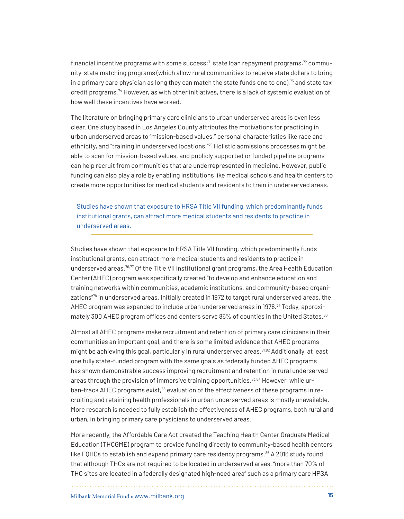financial incentive programs with some success: $71$  state loan repayment programs, $72$  community-state matching programs (which allow rural communities to receive state dollars to bring in a primary care physician as long they can match the state funds one to one), $73$  and state tax credit programs.[74](#page-47-1) However, as with other initiatives, there is a lack of systemic evaluation of how well these incentives have worked.

The literature on bringing primary care clinicians to urban underserved areas is even less clear. One study based in Los Angeles County attributes the motivations for practicing in urban underserved areas to "mission-based values," personal characteristics like race and ethnicity, and "training in underserved locations."[75](#page-47-2) Holistic admissions processes might be able to scan for mission-based values, and publicly supported or funded pipeline programs can help recruit from communities that are underrepresented in medicine. However, public funding can also play a role by enabling institutions like medical schools and health centers to create more opportunities for medical students and residents to train in underserved areas.

Studies have shown that exposure to HRSA Title VII funding, which predominantly funds institutional grants, can attract more medical students and residents to practice in underserved areas.

Studies have shown that exposure to HRSA Title VII funding, which predominantly funds institutional grants, can attract more medical students and residents to practice in underserved areas.<sup>76[,77](#page-47-4)</sup> Of the Title VII institutional grant programs, the Area Health Education Center (AHEC) program was specifically created "to develop and enhance education and training networks within communities, academic institutions, and community-based organizations["78](#page-47-5) in underserved areas. Initially created in 1972 to target rural underserved areas, the AHEC program was expanded to include urban underserved areas in 1976.[79](#page-47-6) Today, approximately 300 AHEC program offices and centers serve 85% of counties in the United States.<sup>80</sup>

Almost all AHEC programs make recruitment and retention of primary care clinicians in their communities an important goal, and there is some limited evidence that AHEC programs might be achieving this goal, particularly in rural underserved areas.<sup>[81,](#page-47-8)[82](#page-47-9)</sup> Additionally, at least one fully state-funded program with the same goals as federally funded AHEC programs has shown demonstrable success improving recruitment and retention in rural underserved areas through the provision of immersive training opportunities. $83,84$  $83,84$  $83,84$  However, while ur-ban-track AHEC programs exist,<sup>[85](#page-48-1)</sup> evaluation of the effectiveness of these programs in recruiting and retaining health professionals in urban underserved areas is mostly unavailable. More research is needed to fully establish the effectiveness of AHEC programs, both rural and urban, in bringing primary care physicians to underserved areas.

More recently, the Affordable Care Act created the Teaching Health Center Graduate Medical Education (THCGME) program to provide funding directly to community-based health centers like FQHCs to establish and expand primary care residency programs.<sup>[86](#page-48-2)</sup> A 2016 study found that although THCs are not required to be located in underserved areas, "more than 70% of THC sites are located in a federally designated high-need area" such as a primary care HPSA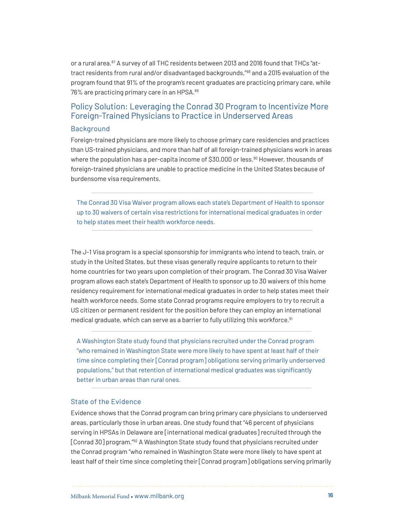or a rural area.<sup>87</sup> A survey of all THC residents between 2013 and 2016 found that THCs "attract residents from rural and/or disadvantaged backgrounds,"[88](#page-48-4) and a 2015 evaluation of the program found that 91% of the program's recent graduates are practicing primary care, while 76% are practicing primary care in an HPSA.[89](#page-48-5)

## Policy Solution: Leveraging the Conrad 30 Program to Incentivize More Foreign-Trained Physicians to Practice in Underserved Areas

#### **Background**

Foreign-trained physicians are more likely to choose primary care residencies and practices than US-trained physicians, and more than half of all foreign-trained physicians work in areas where the population has a per-capita income of \$30,000 or less.<sup>[90](#page-48-6)</sup> However, thousands of foreign-trained physicians are unable to practice medicine in the United States because of burdensome visa requirements.

The Conrad 30 Visa Waiver program allows each state's Department of Health to sponsor up to 30 waivers of certain visa restrictions for international medical graduates in order to help states meet their health workforce needs.

The J-1 Visa program is a special sponsorship for immigrants who intend to teach, train, or study in the United States, but these visas generally require applicants to return to their home countries for two years upon completion of their program. The Conrad 30 Visa Waiver program allows each state's Department of Health to sponsor up to 30 waivers of this home residency requirement for international medical graduates in order to help states meet their health workforce needs. Some state Conrad programs require employers to try to recruit a US citizen or permanent resident for the position before they can employ an international medical graduate, which can serve as a barrier to fully utilizing this workforce.<sup>91</sup>

A Washington State study found that physicians recruited under the Conrad program "who remained in Washington State were more likely to have spent at least half of their time since completing their [Conrad program] obligations serving primarily underserved populations," but that retention of international medical graduates was significantly better in urban areas than rural ones.

#### State of the Evidence

Evidence shows that the Conrad program can bring primary care physicians to underserved areas, particularly those in urban areas. One study found that "46 percent of physicians serving in HPSAs in Delaware are [international medical graduates] recruited through the [Conrad 30] program."[92](#page-48-8) A Washington State study found that physicians recruited under the Conrad program "who remained in Washington State were more likely to have spent at least half of their time since completing their [Conrad program] obligations serving primarily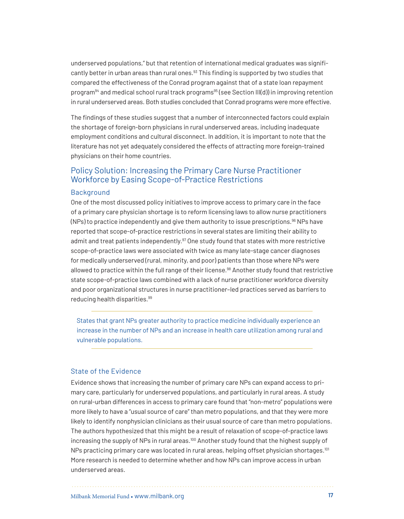underserved populations," but that retention of international medical graduates was significantly better in urban areas than rural ones.<sup>93</sup> This finding is supported by two studies that compared the effectiveness of the Conrad program against that of a state loan repayment program<sup>[94](#page-49-1)</sup> and medical school rural track programs<sup>95</sup> (see Section III(d)) in improving retention in rural underserved areas. Both studies concluded that Conrad programs were more effective.

The findings of these studies suggest that a number of interconnected factors could explain the shortage of foreign-born physicians in rural underserved areas, including inadequate employment conditions and cultural disconnect. In addition, it is important to note that the literature has not yet adequately considered the effects of attracting more foreign-trained physicians on their home countries.

## Policy Solution: Increasing the Primary Care Nurse Practitioner Workforce by Easing Scope-of-Practice Restrictions

#### Background

One of the most discussed policy initiatives to improve access to primary care in the face of a primary care physician shortage is to reform licensing laws to allow nurse practitioners  $(NPs)$  to practice independently and give them authority to issue prescriptions.<sup>[96](#page-49-3)</sup> NPs have reported that scope-of-practice restrictions in several states are limiting their ability to admit and treat patients independently. $97$  One study found that states with more restrictive scope-of-practice laws were associated with twice as many late-stage cancer diagnoses for medically underserved (rural, minority, and poor) patients than those where NPs were allowed to practice within the full range of their license.<sup>98</sup> Another study found that restrictive state scope-of-practice laws combined with a lack of nurse practitioner workforce diversity and poor organizational structures in nurse practitioner–led practices served as barriers to reducing health disparities.<sup>[99](#page-49-6)</sup>

States that grant NPs greater authority to practice medicine individually experience an increase in the number of NPs and an increase in health care utilization among rural and vulnerable populations.

#### State of the Evidence

Evidence shows that increasing the number of primary care NPs can expand access to primary care, particularly for underserved populations, and particularly in rural areas. A study on rural-urban differences in access to primary care found that "non-metro" populations were more likely to have a "usual source of care" than metro populations, and that they were more likely to identify nonphysician clinicians as their usual source of care than metro populations. The authors hypothesized that this might be a result of relaxation of scope-of-practice laws increasing the supply of NPs in rural areas.[100](#page-49-7) Another study found that the highest supply of NPs practicing primary care was located in rural areas, helping offset physician shortages.<sup>101</sup> More research is needed to determine whether and how NPs can improve access in urban underserved areas.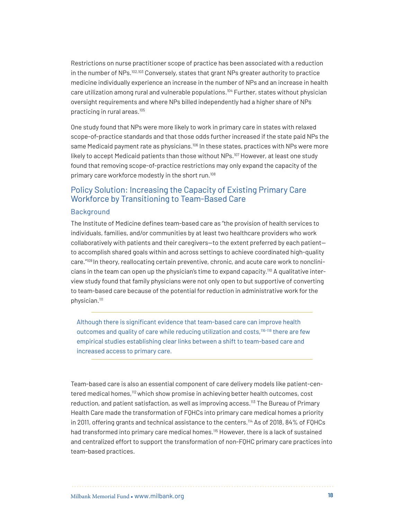Restrictions on nurse practitioner scope of practice has been associated with a reduction in the number of NPs.[102](#page-49-9),[103](#page-49-10) Conversely, states that grant NPs greater authority to practice medicine individually experience an increase in the number of NPs and an increase in health care utilization among rural and vulnerable populations.<sup>104</sup> Further, states without physician oversight requirements and where NPs billed independently had a higher share of NPs practicing in rural areas.[105](#page-50-0)

One study found that NPs were more likely to work in primary care in states with relaxed scope-of-practice standards and that those odds further increased if the state paid NPs the same Medicaid payment rate as physicians.<sup>[106](#page-50-1)</sup> In these states, practices with NPs were more likely to accept Medicaid patients than those without NPs.<sup>[107](#page-50-2)</sup> However, at least one study found that removing scope-of-practice restrictions may only expand the capacity of the primary care workforce modestly in the short run.<sup>[108](#page-50-3)</sup>

## Policy Solution: Increasing the Capacity of Existing Primary Care Workforce by Transitioning to Team-Based Care

#### Background

The Institute of Medicine defines team-based care as "the provision of health services to individuals, families, and/or communities by at least two healthcare providers who work collaboratively with patients and their caregivers—to the extent preferred by each patient to accomplish shared goals within and across settings to achieve coordinated high-quality care."[109](#page-50-4) In theory, reallocating certain preventive, chronic, and acute care work to nonclini-cians in the team can open up the physician's time to expand capacity.<sup>[110](#page-50-5)</sup> A qualitative interview study found that family physicians were not only open to but supportive of converting to team-based care because of the potential for reduction in administrative work for the physician.<sup>111</sup>

Although there is significant evidence that team-based care can improve health outcomes and quality of care while reducing utilization and costs,<sup>[116-](#page-51-0)[118](#page-51-1)</sup> there are few empirical studies establishing clear links between a shift to team-based care and increased access to primary care.

Team-based care is also an essential component of care delivery models like patient-centered medical homes,[112](#page-50-7) which show promise in achieving better health outcomes, cost reduction, and patient satisfaction, as well as improving access.<sup>[113](#page-50-8)</sup> The Bureau of Primary Health Care made the transformation of FQHCs into primary care medical homes a priority in 2011, offering grants and technical assistance to the centers.<sup>114</sup> As of 2018, 84% of FOHCs had transformed into primary care medical homes.<sup>115</sup> However, there is a lack of sustained and centralized effort to support the transformation of non-FQHC primary care practices into team-based practices.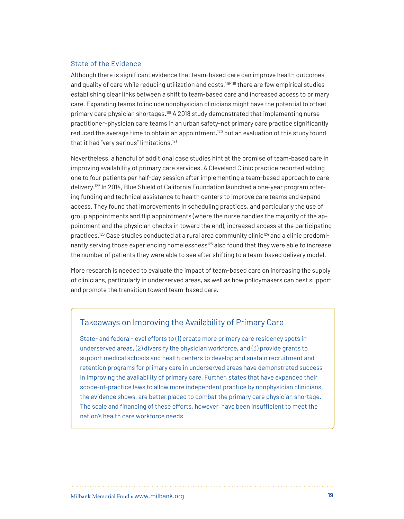#### State of the Evidence

Although there is significant evidence that team-based care can improve health outcomes and quality of care while reducing utilization and costs,<sup>[116-](#page-51-0)[118](#page-51-1)</sup> there are few empirical studies establishing clear links between a shift to team-based care and increased access to primary care. Expanding teams to include nonphysician clinicians might have the potential to offset primary care physician shortages.[119](#page-51-2) A 2018 study demonstrated that implementing nurse practitioner–physician care teams in an urban safety-net primary care practice significantly reduced the average time to obtain an appointment, $120$  but an evaluation of this study found that it had "very serious" limitations.<sup>[121](#page-51-4)</sup>

Nevertheless, a handful of additional case studies hint at the promise of team-based care in improving availability of primary care services. A Cleveland Clinic practice reported adding one to four patients per half-day session after implementing a team-based approach to care delivery.<sup>122</sup> In 2014, Blue Shield of California Foundation launched a one-year program offering funding and technical assistance to health centers to improve care teams and expand access. They found that improvements in scheduling practices, and particularly the use of group appointments and flip appointments (where the nurse handles the majority of the appointment and the physician checks in toward the end), increased access at the participating practices.<sup>123</sup> Case studies conducted at a rural area community clinic<sup>[124](#page-51-7)</sup> and a clinic predomi-nantly serving those experiencing homelessness<sup>[125](#page-51-8)</sup> also found that they were able to increase the number of patients they were able to see after shifting to a team-based delivery model.

More research is needed to evaluate the impact of team-based care on increasing the supply of clinicians, particularly in underserved areas, as well as how policymakers can best support and promote the transition toward team-based care.

## Takeaways on Improving the Availability of Primary Care

State- and federal-level efforts to (1) create more primary care residency spots in underserved areas, (2) diversify the physician workforce, and (3) provide grants to support medical schools and health centers to develop and sustain recruitment and retention programs for primary care in underserved areas have demonstrated success in improving the availability of primary care. Further, states that have expanded their scope-of-practice laws to allow more independent practice by nonphysician clinicians, the evidence shows, are better placed to combat the primary care physician shortage. The scale and financing of these efforts, however, have been insufficient to meet the nation's health care workforce needs.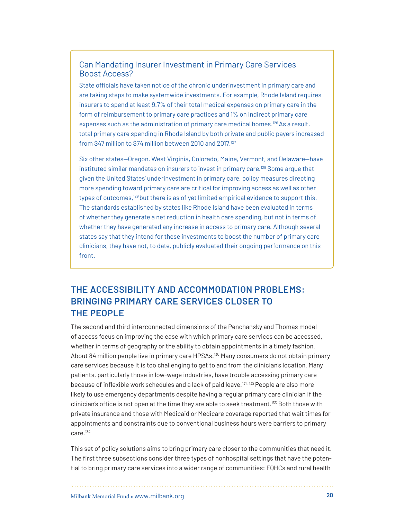## Can Mandating Insurer Investment in Primary Care Services Boost Access?

State officials have taken notice of the chronic underinvestment in primary care and are taking steps to make systemwide investments. For example, Rhode Island requires insurers to spend at least 9.7% of their total medical expenses on primary care in the form of reimbursement to primary care practices and 1% on indirect primary care expenses such as the administration of primary care medical homes.<sup>126</sup> As a result, total primary care spending in Rhode Island by both private and public payers increased from \$47 million to \$74 million between 2010 and 2017.<sup>127</sup>

Six other states—Oregon, West Virginia, Colorado, Maine, Vermont, and Delaware—have instituted similar mandates on insurers to invest in primary care.<sup>[128](#page-52-6)</sup> Some argue that given the United States' underinvestment in primary care, policy measures directing more spending toward primary care are critical for improving access as well as other types of outcomes,<sup>129</sup> but there is as of yet limited empirical evidence to support this. The standards established by states like Rhode Island have been evaluated in terms of whether they generate a net reduction in health care spending, but not in terms of whether they have generated any increase in access to primary care. Although several states say that they intend for these investments to boost the number of primary care clinicians, they have not, to date, publicly evaluated their ongoing performance on this front.

# **THE ACCESSIBILITY AND ACCOMMODATION PROBLEMS: BRINGING PRIMARY CARE SERVICES CLOSER TO THE PEOPLE**

The second and third interconnected dimensions of the Penchansky and Thomas model of access focus on improving the ease with which primary care services can be accessed, whether in terms of geography or the ability to obtain appointments in a timely fashion. About 84 million people live in primary care HPSAs[.130](#page-52-0) Many consumers do not obtain primary care services because it is too challenging to get to and from the clinician's location. Many patients, particularly those in low-wage industries, have trouble accessing primary care because of inflexible work schedules and a lack of paid leave.<sup>131, 132</sup> People are also more likely to use emergency departments despite having a regular primary care clinician if the clinician's office is not open at the time they are able to seek treatment.<sup>133</sup> Both those with private insurance and those with Medicaid or Medicare coverage reported that wait times for appointments and constraints due to conventional business hours were barriers to primary care.[134](#page-52-4)

This set of policy solutions aims to bring primary care closer to the communities that need it. The first three subsections consider three types of nonhospital settings that have the potential to bring primary care services into a wider range of communities: FQHCs and rural health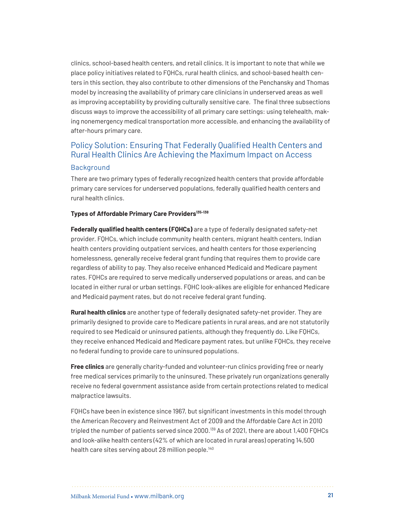clinics, school-based health centers, and retail clinics. It is important to note that while we place policy initiatives related to FQHCs, rural health clinics, and school-based health centers in this section, they also contribute to other dimensions of the Penchansky and Thomas model by increasing the availability of primary care clinicians in underserved areas as well as improving acceptability by providing culturally sensitive care. The final three subsections discuss ways to improve the accessibility of all primary care settings: using telehealth, making nonemergency medical transportation more accessible, and enhancing the availability of after-hours primary care.

## Policy Solution: Ensuring That Federally Qualified Health Centers and Rural Health Clinics Are Achieving the Maximum Impact on Access

#### Background

There are two primary types of federally recognized health centers that provide affordable primary care services for underserved populations, federally qualified health centers and rural health clinics.

#### **Types of Affordable Primary Care Provider[s135](#page-52-8)-[138](#page-53-0)**

**Federally qualified health centers (FQHCs)** are a type of federally designated safety-net provider. FQHCs, which include community health centers, migrant health centers, Indian health centers providing outpatient services, and health centers for those experiencing homelessness, generally receive federal grant funding that requires them to provide care regardless of ability to pay. They also receive enhanced Medicaid and Medicare payment rates. FQHCs are required to serve medically underserved populations or areas, and can be located in either rural or urban settings. FQHC look-alikes are eligible for enhanced Medicare and Medicaid payment rates, but do not receive federal grant funding.

**Rural health clinics** are another type of federally designated safety-net provider. They are primarily designed to provide care to Medicare patients in rural areas, and are not statutorily required to see Medicaid or uninsured patients, although they frequently do. Like FQHCs, they receive enhanced Medicaid and Medicare payment rates, but unlike FQHCs, they receive no federal funding to provide care to uninsured populations.

**Free clinics** are generally charity-funded and volunteer-run clinics providing free or nearly free medical services primarily to the uninsured. These privately run organizations generally receive no federal government assistance aside from certain protections related to medical malpractice lawsuits.

FQHCs have been in existence since 1967, but significant investments in this model through the American Recovery and Reinvestment Act of 2009 and the Affordable Care Act in 2010 tripled the number of patients served since 2000.<sup>139</sup> As of 2021, there are about 1,400 FQHCs and look-alike health centers (42% of which are located in rural areas) operating 14,500 health care sites serving about 28 million people.<sup>[140](#page-53-2)</sup>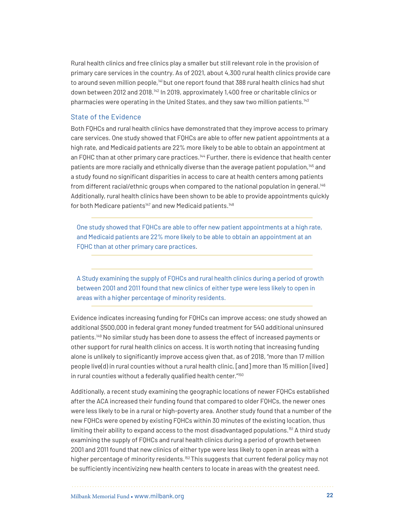Rural health clinics and free clinics play a smaller but still relevant role in the provision of primary care services in the country. As of 2021, about 4,300 rural health clinics provide care to around seven million people,<sup>141</sup> but one report found that 388 rural health clinics had shut down between 2012 and 2018[.142](#page-53-4) In 2019, approximately 1,400 free or charitable clinics or pharmacies were operating in the United States, and they saw two million patients.<sup>[143](#page-53-5)</sup>

#### State of the Evidence

Both FQHCs and rural health clinics have demonstrated that they improve access to primary care services. One study showed that FQHCs are able to offer new patient appointments at a high rate, and Medicaid patients are 22% more likely to be able to obtain an appointment at an FQHC than at other primary care practices.<sup>[144](#page-53-6)</sup> Further, there is evidence that health center patients are more racially and ethnically diverse than the average patient population,<sup>[145](#page-54-0)</sup> and a study found no significant disparities in access to care at health centers among patients from different racial/ethnic groups when compared to the national population in general.[146](#page-54-1)  Additionally, rural health clinics have been shown to be able to provide appointments quickly for both Medicare patients<sup>[147](#page-54-2)</sup> and new Medicaid patients.<sup>[148](#page-54-3)</sup>

One study showed that FQHCs are able to offer new patient appointments at a high rate, and Medicaid patients are 22% more likely to be able to obtain an appointment at an FQHC than at other primary care practices.

A Study examining the supply of FQHCs and rural health clinics during a period of growth between 2001 and 2011 found that new clinics of either type were less likely to open in areas with a higher percentage of minority residents.

Evidence indicates increasing funding for FQHCs can improve access; one study showed an additional \$500,000 in federal grant money funded treatment for 540 additional uninsured patients.[149](#page-54-4) No similar study has been done to assess the effect of increased payments or other support for rural health clinics on access. It is worth noting that increasing funding alone is unlikely to significantly improve access given that, as of 2018, "more than 17 million people live(d) in rural counties without a rural health clinic, [and] more than 15 million [lived] in rural counties without a federally qualified health center."<sup>150</sup>

Additionally, a recent study examining the geographic locations of newer FQHCs established after the ACA increased their funding found that compared to older FQHCs, the newer ones were less likely to be in a rural or high-poverty area. Another study found that a number of the new FQHCs were opened by existing FQHCs within 30 minutes of the existing location, thus limiting their ability to expand access to the most disadvantaged populations.<sup>151</sup> A third study examining the supply of FQHCs and rural health clinics during a period of growth between 2001 and 2011 found that new clinics of either type were less likely to open in areas with a higher percentage of minority residents.<sup>152</sup> This suggests that current federal policy may not be sufficiently incentivizing new health centers to locate in areas with the greatest need.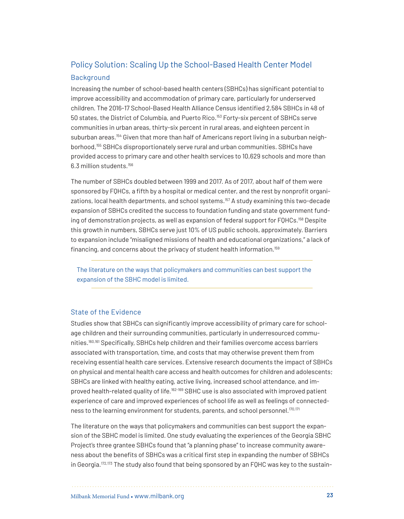# Policy Solution: Scaling Up the School-Based Health Center Model

## Background

Increasing the number of school-based health centers (SBHCs) has significant potential to improve accessibility and accommodation of primary care, particularly for underserved children. The 2016-17 School-Based Health Alliance Census identified 2,584 SBHCs in 48 of 50 states, the District of Columbia, and Puerto Rico[.153](#page-54-8) Forty-six percent of SBHCs serve communities in urban areas, thirty-six percent in rural areas, and eighteen percent in suburban areas.<sup>[154](#page-54-9)</sup> Given that more than half of Americans report living in a suburban neighborhood,[155](#page-54-10) SBHCs disproportionately serve rural and urban communities. SBHCs have provided access to primary care and other health services to 10,629 schools and more than 6.3 million students.[156](#page-55-0)

The number of SBHCs doubled between 1999 and 2017. As of 2017, about half of them were sponsored by FQHCs, a fifth by a hospital or medical center, and the rest by nonprofit organizations, local health departments, and school systems.<sup>157</sup> A study examining this two-decade expansion of SBHCs credited the success to foundation funding and state government fund-ing of demonstration projects, as well as expansion of federal support for FQHCs.<sup>[158](#page-55-2)</sup> Despite this growth in numbers, SBHCs serve just 10% of US public schools, approximately. Barriers to expansion include "misaligned missions of health and educational organizations," a lack of financing, and concerns about the privacy of student health information.[159](#page-55-3)

The literature on the ways that policymakers and communities can best support the expansion of the SBHC model is limited.

#### State of the Evidence

Studies show that SBHCs can significantly improve accessibility of primary care for schoolage children and their surrounding communities, particularly in underresourced communities.[160](#page-55-4),[161](#page-55-5) Specifically, SBHCs help children and their families overcome access barriers associated with transportation, time, and costs that may otherwise prevent them from receiving essential health care services. Extensive research documents the impact of SBHCs on physical and mental health care access and health outcomes for children and adolescents; SBHCs are linked with healthy eating, active living, increased school attendance, and im-proved health-related quality of life.<sup>[162](#page-55-6)-[169](#page-56-0)</sup> SBHC use is also associated with improved patient experience of care and improved experiences of school life as well as feelings of connected-ness to the learning environment for students, parents, and school personnel.<sup>[170](#page-56-1)[,171](#page-56-2)</sup>

The literature on the ways that policymakers and communities can best support the expansion of the SBHC model is limited. One study evaluating the experiences of the Georgia SBHC Project's three grantee SBHCs found that "a planning phase" to increase community awareness about the benefits of SBHCs was a critical first step in expanding the number of SBHCs in Georgia.<sup>[172](#page-56-3),[173](#page-56-4)</sup> The study also found that being sponsored by an FQHC was key to the sustain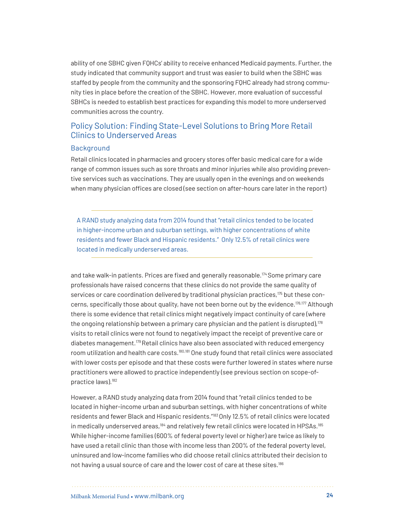ability of one SBHC given FQHCs' ability to receive enhanced Medicaid payments. Further, the study indicated that community support and trust was easier to build when the SBHC was staffed by people from the community and the sponsoring FQHC already had strong community ties in place before the creation of the SBHC. However, more evaluation of successful SBHCs is needed to establish best practices for expanding this model to more underserved communities across the country.

## Policy Solution: Finding State-Level Solutions to Bring More Retail Clinics to Underserved Areas

#### **Background**

Retail clinics located in pharmacies and grocery stores offer basic medical care for a wide range of common issues such as sore throats and minor injuries while also providing preventive services such as vaccinations. They are usually open in the evenings and on weekends when many physician offices are closed (see section on after-hours care later in the report)

A RAND study analyzing data from 2014 found that "retail clinics tended to be located in higher-income urban and suburban settings, with higher concentrations of white residents and fewer Black and Hispanic residents." Only 12.5% of retail clinics were located in medically underserved areas.

and take walk-in patients. Prices are fixed and generally reasonable[.174](#page-56-5) Some primary care professionals have raised concerns that these clinics do not provide the same quality of services or care coordination delivered by traditional physician practices,<sup>175</sup> but these con-cerns, specifically those about quality, have not been borne out by the evidence.<sup>[176](#page-56-7),[177](#page-56-8)</sup> Although there is some evidence that retail clinics might negatively impact continuity of care (where the ongoing relationship between a primary care physician and the patient is disrupted), $178$ visits to retail clinics were not found to negatively impact the receipt of preventive care or diabetes management.<sup>179</sup> Retail clinics have also been associated with reduced emergency room utilization and health care costs.[180](#page-57-1)[,181](#page-57-2) One study found that retail clinics were associated with lower costs per episode and that these costs were further lowered in states where nurse practitioners were allowed to practice independently (see previous section on scope-ofpractice laws).[182](#page-57-3)

However, a RAND study analyzing data from 2014 found that "retail clinics tended to be located in higher-income urban and suburban settings, with higher concentrations of white residents and fewer Black and Hispanic residents."[183 O](#page-57-4)nly 12.5% of retail clinics were located in medically underserved areas,<sup>[184](#page-57-5)</sup> and relatively few retail clinics were located in HPSAs.<sup>[185](#page-57-6)</sup> While higher-income families (600% of federal poverty level or higher) are twice as likely to have used a retail clinic than those with income less than 200% of the federal poverty level, uninsured and low-income families who did choose retail clinics attributed their decision to not having a usual source of care and the lower cost of care at these sites.<sup>186</sup>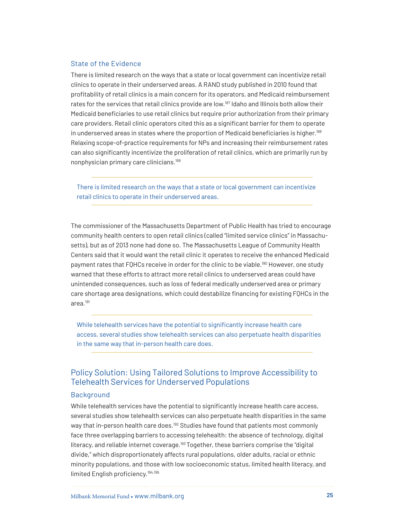#### State of the Evidence

There is limited research on the ways that a state or local government can incentivize retail clinics to operate in their underserved areas. A RAND study published in 2010 found that profitability of retail clinics is a main concern for its operators, and Medicaid reimbursement rates for the services that retail clinics provide are low.<sup>187</sup> Idaho and Illinois both allow their Medicaid beneficiaries to use retail clinics but require prior authorization from their primary care providers. Retail clinic operators cited this as a significant barrier for them to operate in underserved areas in states where the proportion of Medicaid beneficiaries is higher.<sup>[188](#page-57-9)</sup> Relaxing scope-of-practice requirements for NPs and increasing their reimbursement rates can also significantly incentivize the proliferation of retail clinics, which are primarily run by nonphysician primary care clinicians.[189](#page-57-10)

There is limited research on the ways that a state or local government can incentivize retail clinics to operate in their underserved areas.

The commissioner of the Massachusetts Department of Public Health has tried to encourage community health centers to open retail clinics (called "limited service clinics" in Massachusetts), but as of 2013 none had done so. The Massachusetts League of Community Health Centers said that it would want the retail clinic it operates to receive the enhanced Medicaid payment rates that FQHCs receive in order for the clinic to be viable.<sup>190</sup> However, one study warned that these efforts to attract more retail clinics to underserved areas could have unintended consequences, such as loss of federal medically underserved area or primary care shortage area designations, which could destabilize financing for existing FQHCs in the area.[191](#page-58-0)

While telehealth services have the potential to significantly increase health care access, several studies show telehealth services can also perpetuate health disparities in the same way that in-person health care does.

## Policy Solution: Using Tailored Solutions to Improve Accessibility to Telehealth Services for Underserved Populations

#### **Background**

While telehealth services have the potential to significantly increase health care access, several studies show telehealth services can also perpetuate health disparities in the same way that in-person health care does.<sup>[192](#page-58-1)</sup> Studies have found that patients most commonly face three overlapping barriers to accessing telehealth: the absence of technology, digital literacy, and reliable internet coverage.<sup>193</sup> Together, these barriers comprise the "digital divide," which disproportionately affects rural populations, older adults, racial or ethnic minority populations, and those with low socioeconomic status, limited health literacy, and limited English proficiency.[194](#page-58-3)[,195](#page-58-4)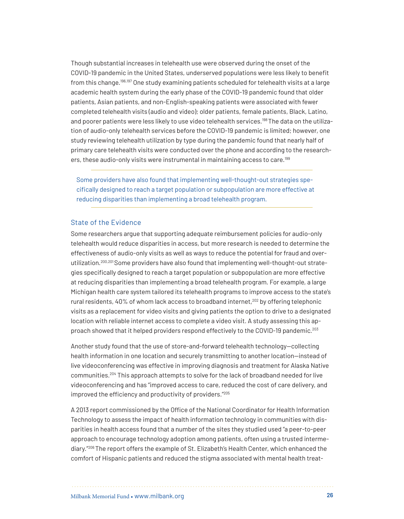Though substantial increases in telehealth use were observed during the onset of the COVID-19 pandemic in the United States, underserved populations were less likely to benefit from this change.[196,](#page-58-5)[197](#page-58-6) One study examining patients scheduled for telehealth visits at a large academic health system during the early phase of the COVID-19 pandemic found that older patients, Asian patients, and non-English-speaking patients were associated with fewer completed telehealth visits (audio and video); older patients, female patients, Black, Latino, and poorer patients were less likely to use video telehealth services.<sup>198</sup> The data on the utilization of audio-only telehealth services before the COVID-19 pandemic is limited; however, one study reviewing telehealth utilization by type during the pandemic found that nearly half of primary care telehealth visits were conducted over the phone and according to the researchers, these audio-only visits were instrumental in maintaining access to care.<sup>199</sup>

Some providers have also found that implementing well-thought-out strategies specifically designed to reach a target population or subpopulation are more effective at reducing disparities than implementing a broad telehealth program.

#### State of the Evidence

Some researchers argue that supporting adequate reimbursement policies for audio-only telehealth would reduce disparities in access, but more research is needed to determine the effectiveness of audio-only visits as well as ways to reduce the potential for fraud and overutilization.[200](#page-58-9),[201](#page-59-0) Some providers have also found that implementing well-thought-out strategies specifically designed to reach a target population or subpopulation are more effective at reducing disparities than implementing a broad telehealth program. For example, a large Michigan health care system tailored its telehealth programs to improve access to the state's rural residents,  $40\%$  of whom lack access to broadband internet, $202$  by offering telephonic visits as a replacement for video visits and giving patients the option to drive to a designated location with reliable internet access to complete a video visit. A study assessing this approach showed that it helped providers respond effectively to the COVID-19 pandemic[.203](#page-59-2) 

Another study found that the use of store-and-forward telehealth technology—collecting health information in one location and securely transmitting to another location—instead of live videoconferencing was effective in improving diagnosis and treatment for Alaska Native communities.[204](#page-59-3) This approach attempts to solve for the lack of broadband needed for live videoconferencing and has "improved access to care, reduced the cost of care delivery, and improved the efficiency and productivity of providers.["205](#page-59-4)

A 2013 report commissioned by the Office of the National Coordinator for Health Information Technology to assess the impact of health information technology in communities with disparities in health access found that a number of the sites they studied used "a peer-to-peer approach to encourage technology adoption among patients, often using a trusted intermediary."[206](#page-59-5) The report offers the example of St. Elizabeth's Health Center, which enhanced the comfort of Hispanic patients and reduced the stigma associated with mental health treat-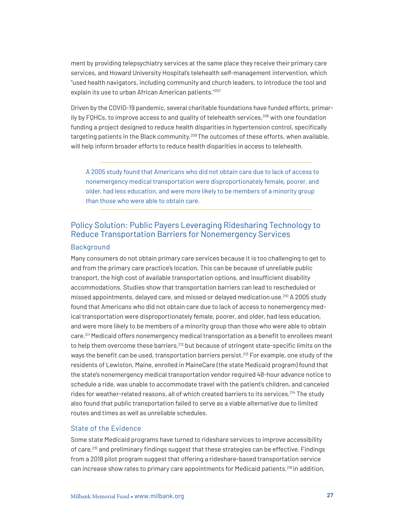ment by providing telepsychiatry services at the same place they receive their primary care services, and Howard University Hospital's telehealth self-management intervention, which "used health navigators, including community and church leaders, to introduce the tool and explain its use to urban African American patients."[207](#page-59-6)

Driven by the COVID-19 pandemic, several charitable foundations have funded efforts, primarily by FQHCs, to improve access to and quality of telehealth services, $208$  with one foundation funding a project designed to reduce health disparities in hypertension control, specifically targeting patients in the Black community.[209](#page-59-8) The outcomes of these efforts, when available, will help inform broader efforts to reduce health disparities in access to telehealth.

A 2005 study found that Americans who did not obtain care due to lack of access to nonemergency medical transportation were disproportionately female, poorer, and older, had less education, and were more likely to be members of a minority group than those who were able to obtain care.

## Policy Solution: Public Payers Leveraging Ridesharing Technology to Reduce Transportation Barriers for Nonemergency Services

#### Background

Many consumers do not obtain primary care services because it is too challenging to get to and from the primary care practice's location. This can be because of unreliable public transport, the high cost of available transportation options, and insufficient disability accommodations. Studies show that transportation barriers can lead to rescheduled or missed appointments, delayed care, and missed or delayed medication use.[210](#page-59-9) A 2005 study found that Americans who did not obtain care due to lack of access to nonemergency medical transportation were disproportionately female, poorer, and older, had less education, and were more likely to be members of a minority group than those who were able to obtain care.<sup>211</sup> Medicaid offers nonemergency medical transportation as a benefit to enrollees meant to help them overcome these barriers,<sup>[212](#page-60-0)</sup> but because of stringent state-specific limits on the ways the benefit can be used, transportation barriers persist.<sup>213</sup> For example, one study of the residents of Lewiston, Maine, enrolled in MaineCare (the state Medicaid program) found that the state's nonemergency medical transportation vendor required 48-hour advance notice to schedule a ride, was unable to accommodate travel with the patient's children, and canceled rides for weather-related reasons, all of which created barriers to its services.<sup>[214](#page-60-2)</sup> The study also found that public transportation failed to serve as a viable alternative due to limited routes and times as well as unreliable schedules.

#### State of the Evidence

Some state Medicaid programs have turned to rideshare services to improve accessibility of care, $215$  and preliminary findings suggest that these strategies can be effective. Findings from a 2018 pilot program suggest that offering a rideshare-based transportation service can increase show rates to primary care appointments for Medicaid patients.<sup>216</sup> In addition,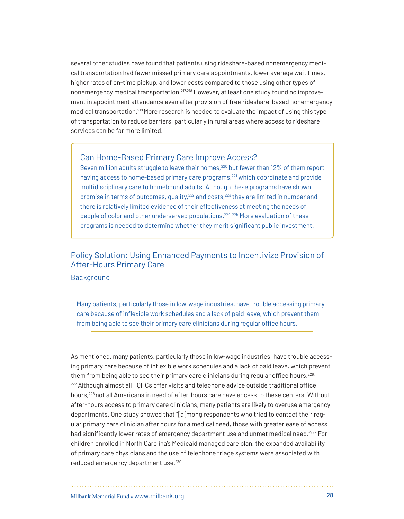several other studies have found that patients using rideshare-based nonemergency medical transportation had fewer missed primary care appointments, lower average wait times, higher rates of on-time pickup, and lower costs compared to those using other types of nonemergency medical transportation.[217](#page-60-5),[218](#page-60-6) However, at least one study found no improvement in appointment attendance even after provision of free rideshare-based nonemergency medical transportation.[219](#page-60-7) More research is needed to evaluate the impact of using this type of transportation to reduce barriers, particularly in rural areas where access to rideshare services can be far more limited.

## Can Home-Based Primary Care Improve Access?

Seven million adults struggle to leave their homes,<sup>220</sup> but fewer than 12% of them report having access to home-based primary care programs,<sup>[221](#page-60-9)</sup> which coordinate and provide multidisciplinary care to homebound adults. Although these programs have shown promise in terms of outcomes, quality,<sup>[222](#page-61-5)</sup> and costs,<sup>[223](#page-61-6)</sup> they are limited in number and there is relatively limited evidence of their effectiveness at meeting the needs of people of color and other underserved populations.[224](#page-61-7), [225](#page-61-8) More evaluation of these programs is needed to determine whether they merit significant public investment.

## Policy Solution: Using Enhanced Payments to Incentivize Provision of After-Hours Primary Care

#### Background

Many patients, particularly those in low-wage industries, have trouble accessing primary care because of inflexible work schedules and a lack of paid leave, which prevent them from being able to see their primary care clinicians during regular office hours.

As mentioned, many patients, particularly those in low-wage industries, have trouble accessing primary care because of inflexible work schedules and a lack of paid leave, which prevent them from being able to see their primary care clinicians during regular office hours.<sup>226,</sup> <sup>[227](#page-61-1)</sup> Although almost all FQHCs offer visits and telephone advice outside traditional office hours,[228](#page-61-2) not all Americans in need of after-hours care have access to these centers. Without after-hours access to primary care clinicians, many patients are likely to overuse emergency departments. One study showed that "[a]mong respondents who tried to contact their regular primary care clinician after hours for a medical need, those with greater ease of access had significantly lower rates of emergency department use and unmet medical need."<sup>229</sup> For children enrolled in North Carolina's Medicaid managed care plan, the expanded availability of primary care physicians and the use of telephone triage systems were associated with reduced emergency department use.<sup>[230](#page-61-4)</sup>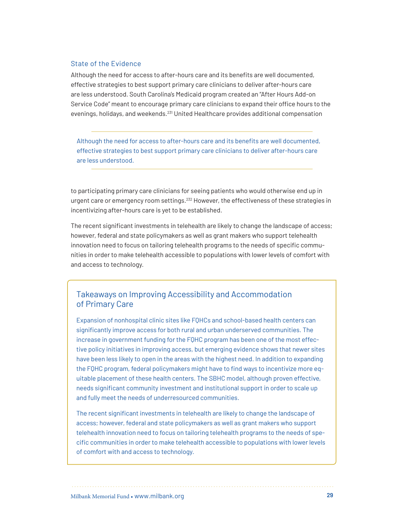#### State of the Evidence

Although the need for access to after-hours care and its benefits are well documented, effective strategies to best support primary care clinicians to deliver after-hours care are less understood. South Carolina's Medicaid program created an "After Hours Add-on Service Code" meant to encourage primary care clinicians to expand their office hours to the evenings, holidays, and weekends.<sup>[231](#page-61-9)</sup> United Healthcare provides additional compensation

Although the need for access to after-hours care and its benefits are well documented, effective strategies to best support primary care clinicians to deliver after-hours care are less understood.

to participating primary care clinicians for seeing patients who would otherwise end up in urgent care or emergency room settings.<sup>[232](#page-62-0)</sup> However, the effectiveness of these strategies in incentivizing after-hours care is yet to be established.

The recent significant investments in telehealth are likely to change the landscape of access; however, federal and state policymakers as well as grant makers who support telehealth innovation need to focus on tailoring telehealth programs to the needs of specific communities in order to make telehealth accessible to populations with lower levels of comfort with and access to technology.

## Takeaways on Improving Accessibility and Accommodation of Primary Care

Expansion of nonhospital clinic sites like FQHCs and school-based health centers can significantly improve access for both rural and urban underserved communities. The increase in government funding for the FQHC program has been one of the most effective policy initiatives in improving access, but emerging evidence shows that newer sites have been less likely to open in the areas with the highest need. In addition to expanding the FQHC program, federal policymakers might have to find ways to incentivize more equitable placement of these health centers. The SBHC model, although proven effective, needs significant community investment and institutional support in order to scale up and fully meet the needs of underresourced communities.

The recent significant investments in telehealth are likely to change the landscape of access; however, federal and state policymakers as well as grant makers who support telehealth innovation need to focus on tailoring telehealth programs to the needs of specific communities in order to make telehealth accessible to populations with lower levels of comfort with and access to technology.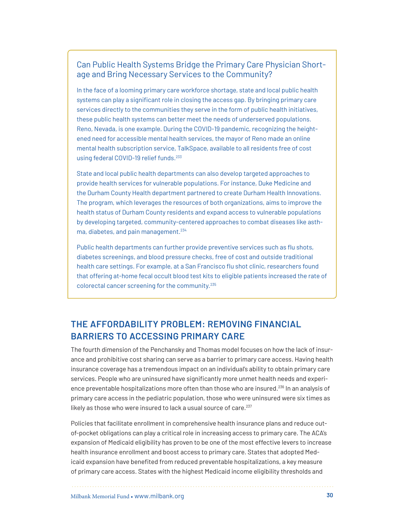## Can Public Health Systems Bridge the Primary Care Physician Shortage and Bring Necessary Services to the Community?

In the face of a looming primary care workforce shortage, state and local public health systems can play a significant role in closing the access gap. By bringing primary care services directly to the communities they serve in the form of public health initiatives, these public health systems can better meet the needs of underserved populations. Reno, Nevada, is one example. During the COVID-19 pandemic, recognizing the heightened need for accessible mental health services, the mayor of Reno made an online mental health subscription service, TalkSpace, available to all residents free of cost using federal COVID-19 relief funds.<sup>233</sup>

State and local public health departments can also develop targeted approaches to provide health services for vulnerable populations. For instance, Duke Medicine and the Durham County Health department partnered to create Durham Health Innovations. The program, which leverages the resources of both organizations, aims to improve the health status of Durham County residents and expand access to vulnerable populations by developing targeted, community-centered approaches to combat diseases like asth-ma, diabetes, and pain management.<sup>[234](#page-62-4)</sup>

Public health departments can further provide preventive services such as flu shots, diabetes screenings, and blood pressure checks, free of cost and outside traditional health care settings. For example, at a San Francisco flu shot clinic, researchers found that offering at-home fecal occult blood test kits to eligible patients increased the rate of colorectal cancer screening for the community.[235](#page-62-5)

# **THE AFFORDABILITY PROBLEM: REMOVING FINANCIAL BARRIERS TO ACCESSING PRIMARY CARE**

The fourth dimension of the Penchansky and Thomas model focuses on how the lack of insurance and prohibitive cost sharing can serve as a barrier to primary care access. Having health insurance coverage has a tremendous impact on an individual's ability to obtain primary care services. People who are uninsured have significantly more unmet health needs and experi-ence preventable hospitalizations more often than those who are insured.<sup>[236](#page-62-1)</sup> In an analysis of primary care access in the pediatric population, those who were uninsured were six times as likely as those who were insured to lack a usual source of care.<sup>[237](#page-62-2)</sup>

Policies that facilitate enrollment in comprehensive health insurance plans and reduce outof-pocket obligations can play a critical role in increasing access to primary care. The ACA's expansion of Medicaid eligibility has proven to be one of the most effective levers to increase health insurance enrollment and boost access to primary care. States that adopted Medicaid expansion have benefited from reduced preventable hospitalizations, a key measure of primary care access. States with the highest Medicaid income eligibility thresholds and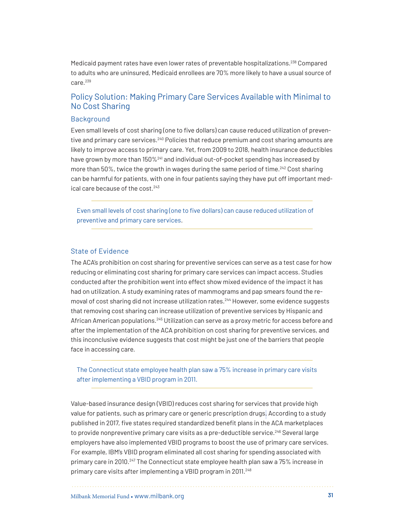Medicaid payment rates have even lower rates of preventable hospitalizations.[238](#page-62-6) Compared to adults who are uninsured, Medicaid enrollees are 70% more likely to have a usual source of care.<sup>[239](#page-62-7)</sup>

## Policy Solution: Making Primary Care Services Available with Minimal to No Cost Sharing

## **Background**

Even small levels of cost sharing (one to five dollars) can cause reduced utilization of preventive and primary care services.[240](#page-62-8) Policies that reduce premium and cost sharing amounts are likely to improve access to primary care. Yet, from 2009 to 2018, health insurance deductibles have grown by more than 150%<sup>[241](#page-62-9)</sup> and individual out-of-pocket spending has increased by more than 50%, twice the growth in wages during the same period of time.<sup>[242](#page-63-0)</sup> Cost sharing can be harmful for patients, with one in four patients saying they have put off important medical care because of the cost.[243](#page-63-1) 

Even small levels of cost sharing (one to five dollars) can cause reduced utilization of preventive and primary care services.

#### State of Evidence

The ACA's prohibition on cost sharing for preventive services can serve as a test case for how reducing or eliminating cost sharing for primary care services can impact access. Studies conducted after the prohibition went into effect show mixed evidence of the impact it has had on utilization. A study examining rates of mammograms and pap smears found the re-moval of cost sharing did not increase utilization rates.<sup>[244](#page-63-2)</sup> However, some evidence suggests that removing cost sharing can increase utilization of preventive services by Hispanic and African American populations.[245](#page-63-3) Utilization can serve as a proxy metric for access before and after the implementation of the ACA prohibition on cost sharing for preventive services, and this inconclusive evidence suggests that cost might be just one of the barriers that people face in accessing care.

The Connecticut state employee health plan saw a 75% increase in primary care visits after implementing a VBID program in 2011.

Value-based insurance design (VBID) reduces cost sharing for services that provide high value for patients, such as primary care or generic prescription drugs. According to a study published in 2017, five states required standardized benefit plans in the ACA marketplaces to provide nonpreventive primary care visits as a pre-deductible service.<sup>[246](#page-63-4)</sup> Several large employers have also implemented VBID programs to boost the use of primary care services. For example, IBM's VBID program eliminated all cost sharing for spending associated with primary care in 2010.<sup>247</sup> The Connecticut state employee health plan saw a 75% increase in primary care visits after implementing a VBID program in 2011.<sup>248</sup>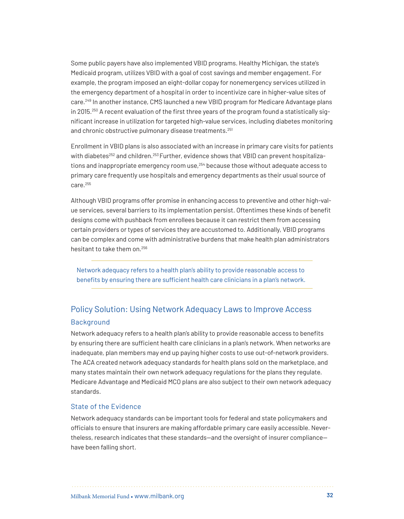Some public payers have also implemented VBID programs. Healthy Michigan, the state's Medicaid program, utilizes VBID with a goal of cost savings and member engagement. For example, the program imposed an eight-dollar copay for nonemergency services utilized in the emergency department of a hospital in order to incentivize care in higher-value sites of care.[249](#page-63-7) In another instance, CMS launched a new VBID program for Medicare Advantage plans in 2015.<sup>250</sup> A recent evaluation of the first three years of the program found a statistically significant increase in utilization for targeted high-value services, including diabetes monitoring and chronic obstructive pulmonary disease treatments.<sup>[251](#page-63-9)</sup>

Enrollment in VBID plans is also associated with an increase in primary care visits for patients with diabetes<sup>[252](#page-64-0)</sup> and children.<sup>253</sup> Further, evidence shows that VBID can prevent hospitaliza-tions and inappropriate emergency room use,<sup>[254](#page-64-2)</sup> because those without adequate access to primary care frequently use hospitals and emergency departments as their usual source of care.[255](#page-64-3)

Although VBID programs offer promise in enhancing access to preventive and other high-value services, several barriers to its implementation persist. Oftentimes these kinds of benefit designs come with pushback from enrollees because it can restrict them from accessing certain providers or types of services they are accustomed to. Additionally, VBID programs can be complex and come with administrative burdens that make health plan administrators hesitant to take them on.[256](#page-64-4)

Network adequacy refers to a health plan's ability to provide reasonable access to benefits by ensuring there are sufficient health care clinicians in a plan's network.

## Policy Solution: Using Network Adequacy Laws to Improve Access

#### Background

Network adequacy refers to a health plan's ability to provide reasonable access to benefits by ensuring there are sufficient health care clinicians in a plan's network. When networks are inadequate, plan members may end up paying higher costs to use out-of-network providers. The ACA created network adequacy standards for health plans sold on the marketplace, and many states maintain their own network adequacy regulations for the plans they regulate. Medicare Advantage and Medicaid MCO plans are also subject to their own network adequacy standards.

#### State of the Evidence

Network adequacy standards can be important tools for federal and state policymakers and officials to ensure that insurers are making affordable primary care easily accessible. Nevertheless, research indicates that these standards—and the oversight of insurer compliance have been falling short.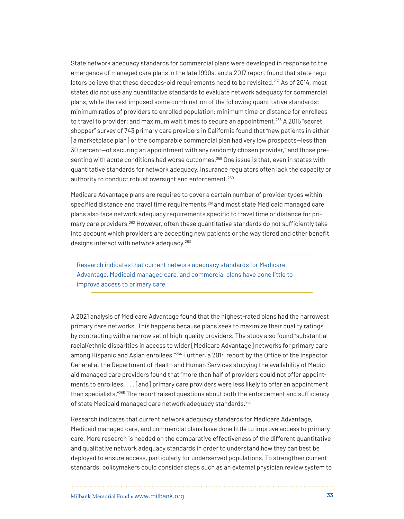State network adequacy standards for commercial plans were developed in response to the emergence of managed care plans in the late 1990s, and a 2017 report found that state regulators believe that these decades-old requirements need to be revisited.[257](#page-64-5) As of 2014, most states did not use any quantitative standards to evaluate network adequacy for commercial plans, while the rest imposed some combination of the following quantitative standards: minimum ratios of providers to enrolled population; minimum time or distance for enrollees to travel to provider; and maximum wait times to secure an appointment.<sup>258</sup> A 2015 "secret shopper" survey of 743 primary care providers in California found that "new patients in either [a marketplace plan] or the comparable commercial plan had very low prospects—less than 30 percent—of securing an appointment with any randomly chosen provider," and those presenting with acute conditions had worse outcomes.<sup>259</sup> One issue is that, even in states with quantitative standards for network adequacy, insurance regulators often lack the capacity or authority to conduct robust oversight and enforcement.<sup>[260](#page-64-8)</sup>

Medicare Advantage plans are required to cover a certain number of provider types within specified distance and travel time requirements, $261$  and most state Medicaid managed care plans also face network adequacy requirements specific to travel time or distance for pri-mary care providers.<sup>[262](#page-65-1)</sup> However, often these quantitative standards do not sufficiently take into account which providers are accepting new patients or the way tiered and other benefit designs interact with network adequacy.<sup>[263](#page-65-2)</sup>

Research indicates that current network adequacy standards for Medicare Advantage, Medicaid managed care, and commercial plans have done little to improve access to primary care.

A 2021 analysis of Medicare Advantage found that the highest-rated plans had the narrowest primary care networks. This happens because plans seek to maximize their quality ratings by contracting with a narrow set of high-quality providers. The study also found "substantial racial/ethnic disparities in access to wider [Medicare Advantage] networks for primary care among Hispanic and Asian enrollees."[264](#page-65-3) Further, a 2014 report by the Office of the Inspector General at the Department of Health and Human Services studying the availability of Medicaid managed care providers found that "more than half of providers could not offer appointments to enrollees, . . . [and] primary care providers were less likely to offer an appointment than specialists."[265](#page-65-4) The report raised questions about both the enforcement and sufficiency of state Medicaid managed care network adequacy standards.<sup>[266](#page-65-5)</sup>

Research indicates that current network adequacy standards for Medicare Advantage, Medicaid managed care, and commercial plans have done little to improve access to primary care. More research is needed on the comparative effectiveness of the different quantitative and qualitative network adequacy standards in order to understand how they can best be deployed to ensure access, particularly for underserved populations. To strengthen current standards, policymakers could consider steps such as an external physician review system to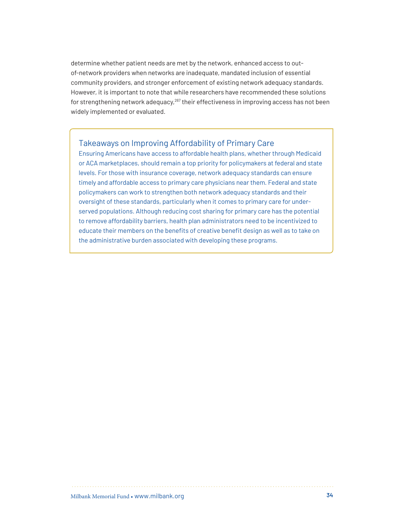determine whether patient needs are met by the network, enhanced access to outof-network providers when networks are inadequate, mandated inclusion of essential community providers, and stronger enforcement of existing network adequacy standards. However, it is important to note that while researchers have recommended these solutions for strengthening network adequacy, $267$  their effectiveness in improving access has not been widely implemented or evaluated.

## Takeaways on Improving Affordability of Primary Care

Ensuring Americans have access to affordable health plans, whether through Medicaid or ACA marketplaces, should remain a top priority for policymakers at federal and state levels. For those with insurance coverage, network adequacy standards can ensure timely and affordable access to primary care physicians near them. Federal and state policymakers can work to strengthen both network adequacy standards and their oversight of these standards, particularly when it comes to primary care for underserved populations. Although reducing cost sharing for primary care has the potential to remove affordability barriers, health plan administrators need to be incentivized to educate their members on the benefits of creative benefit design as well as to take on the administrative burden associated with developing these programs.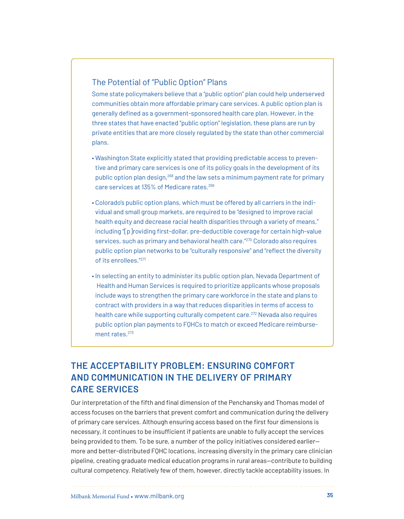## The Potential of "Public Option" Plans

Some state policymakers believe that a "public option" plan could help underserved communities obtain more affordable primary care services. A public option plan is generally defined as a government-sponsored health care plan. However, in the three states that have enacted "public option" legislation, these plans are run by private entities that are more closely regulated by the state than other commercial plans.

- Washington State explicitly stated that providing predictable access to preventive and primary care services is one of its policy goals in the development of its public option plan design,[268](#page-65-7) and the law sets a minimum payment rate for primary care services at 135% of Medicare rates.[269](#page-65-8)
- Colorado's public option plans, which must be offered by all carriers in the individual and small group markets, are required to be "designed to improve racial health equity and decrease racial health disparities through a variety of means," including "[p]roviding first-dollar, pre-deductible coverage for certain high-value services, such as primary and behavioral health care."[270](#page-65-9) Colorado also requires public option plan networks to be "culturally responsive" and "reflect the diversity of its enrollees."[271](#page-65-10)
- In selecting an entity to administer its public option plan, Nevada Department of Health and Human Services is required to prioritize applicants whose proposals include ways to strengthen the primary care workforce in the state and plans to contract with providers in a way that reduces disparities in terms of access to health care while supporting culturally competent care.<sup>[272](#page-65-11)</sup> Nevada also requires public option plan payments to FQHCs to match or exceed Medicare reimburse-ment rates.<sup>[273](#page-65-12)</sup>

# **THE ACCEPTABILITY PROBLEM: ENSURING COMFORT AND COMMUNICATION IN THE DELIVERY OF PRIMARY CARE SERVICES**

Our interpretation of the fifth and final dimension of the Penchansky and Thomas model of access focuses on the barriers that prevent comfort and communication during the delivery of primary care services. Although ensuring access based on the first four dimensions is necessary, it continues to be insufficient if patients are unable to fully accept the services being provided to them. To be sure, a number of the policy initiatives considered earlier more and better-distributed FQHC locations, increasing diversity in the primary care clinician pipeline, creating graduate medical education programs in rural areas—contribute to building cultural competency. Relatively few of them, however, directly tackle acceptability issues. In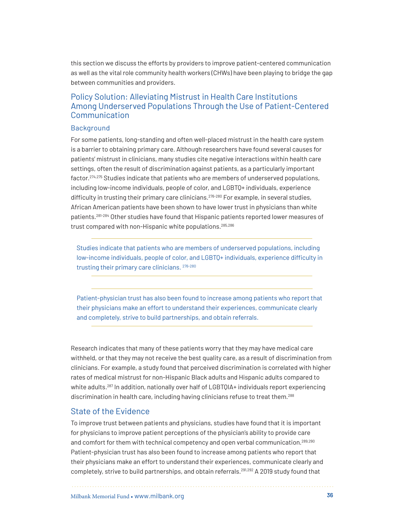this section we discuss the efforts by providers to improve patient-centered communication as well as the vital role community health workers (CHWs) have been playing to bridge the gap between communities and providers.

## Policy Solution: Alleviating Mistrust in Health Care Institutions Among Underserved Populations Through the Use of Patient-Centered Communication

#### Background

For some patients, long-standing and often well-placed mistrust in the health care system is a barrier to obtaining primary care. Although researchers have found several causes for patients' mistrust in clinicians, many studies cite negative interactions within health care settings, often the result of discrimination against patients, as a particularly important factor.[274](#page-65-13),[275](#page-66-0) Studies indicate that patients who are members of underserved populations, including low-income individuals, people of color, and LGBTQ+ individuals, experience difficulty in trusting their primary care clinicians.<sup>[276](#page-66-1)-280</sup> For example, in several studies, African American patients have been shown to have lower trust in physicians than white patients.[281](#page-66-3)-[284](#page-66-4) Other studies have found that Hispanic patients reported lower measures of trust compared with non-Hispanic white populations.[285](#page-66-5),[286](#page-67-0)

Studies indicate that patients who are members of underserved populations, including low-income individuals, people of color, and LGBTQ+ individuals, experience difficulty in trusting their primary care clinicians. [276](#page-66-1)-[280](#page-66-2)

Patient-physician trust has also been found to increase among patients who report that their physicians make an effort to understand their experiences, communicate clearly and completely, strive to build partnerships, and obtain referrals.

Research indicates that many of these patients worry that they may have medical care withheld, or that they may not receive the best quality care, as a result of discrimination from clinicians. For example, a study found that perceived discrimination is correlated with higher rates of medical mistrust for non-Hispanic Black adults and Hispanic adults compared to white adults.<sup>[287](#page-67-1)</sup> In addition, nationally over half of LGBT0IA+ individuals report experiencing discrimination in health care, including having clinicians refuse to treat them.<sup>[288](#page-67-2)</sup>

## State of the Evidence

To improve trust between patients and physicians, studies have found that it is important for physicians to improve patient perceptions of the physician's ability to provide care and comfort for them with technical competency and open verbal communication.<sup>[289](#page-67-3),[290](#page-67-4)</sup> Patient-physician trust has also been found to increase among patients who report that their physicians make an effort to understand their experiences, communicate clearly and completely, strive to build partnerships, and obtain referrals.<sup>[291](#page-67-5),[292](#page-67-6)</sup> A 2019 study found that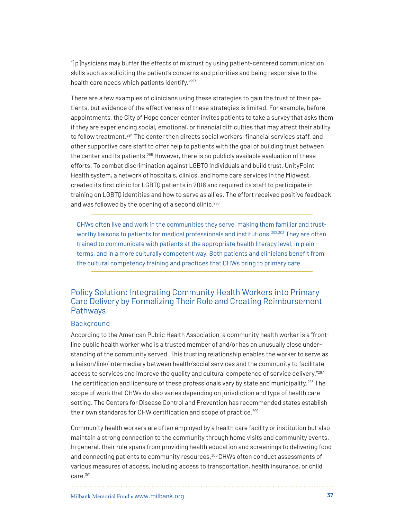"[p]hysicians may buffer the effects of mistrust by using patient-centered communication skills such as soliciting the patient's concerns and priorities and being responsive to the health care needs which patients identify."[293](#page-67-0)

There are a few examples of clinicians using these strategies to gain the trust of their patients, but evidence of the effectiveness of these strategies is limited. For example, before appointments, the City of Hope cancer center invites patients to take a survey that asks them if they are experiencing social, emotional, or financial difficulties that may affect their ability to follow treatment.<sup>[294](#page-67-1)</sup> The center then directs social workers, financial services staff, and other supportive care staff to offer help to patients with the goal of building trust between the center and its patients.<sup>[295](#page-67-2)</sup> However, there is no publicly available evaluation of these efforts. To combat discrimination against LGBTQ individuals and build trust, UnityPoint Health system, a network of hospitals, clinics, and home care services in the Midwest, created its first clinic for LGBTQ patients in 2018 and required its staff to participate in training on LGBTQ identities and how to serve as allies. The effort received positive feedback and was followed by the opening of a second clinic.<sup>[296](#page-67-3)</sup>

CHWs often live and work in the communities they serve, making them familiar and trust-worthy liaisons to patients for medical professionals and institutions.<sup>[302](#page-68-4),303</sup> They are often trained to communicate with patients at the appropriate health literacy level, in plain terms, and in a more culturally competent way. Both patients and clinicians benefit from the cultural competency training and practices that CHWs bring to primary care.

## Policy Solution: Integrating Community Health Workers into Primary Care Delivery by Formalizing Their Role and Creating Reimbursement Pathways

#### **Background**

According to the American Public Health Association, a community health worker is a "frontline public health worker who is a trusted member of and/or has an unusually close understanding of the community served. This trusting relationship enables the worker to serve as a liaison/link/intermediary between health/social services and the community to facilitate access to services and improve the quality and cultural competence of service delivery."[297](#page-67-4) The certification and licensure of these professionals vary by state and municipality[.298](#page-68-0) The scope of work that CHWs do also varies depending on jurisdiction and type of health care setting. The Centers for Disease Control and Prevention has recommended states establish their own standards for CHW certification and scope of practice.<sup>[299](#page-68-1)</sup>

Community health workers are often employed by a health care facility or institution but also maintain a strong connection to the community through home visits and community events. In general, their role spans from providing health education and screenings to delivering food and connecting patients to community resources.[300](#page-68-2) CHWs often conduct assessments of various measures of access, including access to transportation, health insurance, or child care.[301](#page-68-3)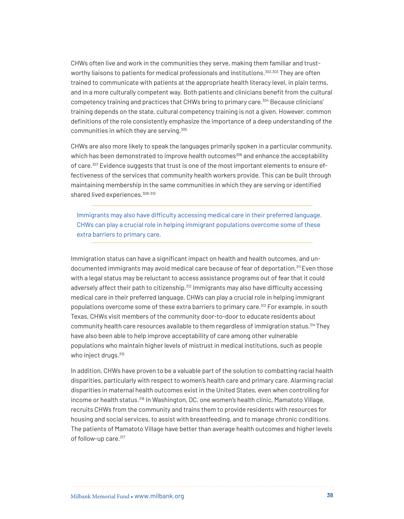CHWs often live and work in the communities they serve, making them familiar and trust-worthy liaisons to patients for medical professionals and institutions.<sup>[302](#page-68-4),303</sup> They are often trained to communicate with patients at the appropriate health literacy level, in plain terms, and in a more culturally competent way. Both patients and clinicians benefit from the cultural competency training and practices that CHWs bring to primary care[.304](#page-68-6) Because clinicians' training depends on the state, cultural competency training is not a given. However, common definitions of the role consistently emphasize the importance of a deep understanding of the communities in which they are serving.[305](#page-68-7)

CHWs are also more likely to speak the languages primarily spoken in a particular community, which has been demonstrated to improve health outcomes<sup>[306](#page-68-8)</sup> and enhance the acceptability of care.<sup>[307](#page-68-9)</sup> Evidence suggests that trust is one of the most important elements to ensure effectiveness of the services that community health workers provide. This can be built through maintaining membership in the same communities in which they are serving or identified shared lived experiences. [308](#page-69-0)-[310](#page-69-1)

Immigrants may also have difficulty accessing medical care in their preferred language. CHWs can play a crucial role in helping immigrant populations overcome some of these extra barriers to primary care.

Immigration status can have a significant impact on health and health outcomes, and undocumented immigrants may avoid medical care because of fear of deportation.<sup>311</sup> Even those with a legal status may be reluctant to access assistance programs out of fear that it could adversely affect their path to citizenship.<sup>[312](#page-69-3)</sup> Immigrants may also have difficulty accessing medical care in their preferred language. CHWs can play a crucial role in helping immigrant populations overcome some of these extra barriers to primary care.<sup>313</sup> For example, in south Texas, CHWs visit members of the community door-to-door to educate residents about community health care resources available to them regardless of immigration status.[314](#page-69-5) They have also been able to help improve acceptability of care among other vulnerable populations who maintain higher levels of mistrust in medical institutions, such as people who inject drugs.<sup>[315](#page-69-6)</sup>

In addition, CHWs have proven to be a valuable part of the solution to combatting racial health disparities, particularly with respect to women's health care and primary care. Alarming racial disparities in maternal health outcomes exist in the United States, even when controlling for income or health status.<sup>[316](#page-69-7)</sup> In Washington, DC, one women's health clinic, Mamatoto Village, recruits CHWs from the community and trains them to provide residents with resources for housing and social services, to assist with breastfeeding, and to manage chronic conditions. The patients of Mamatoto Village have better than average health outcomes and higher levels of follow-up care.<sup>[317](#page-69-8)</sup>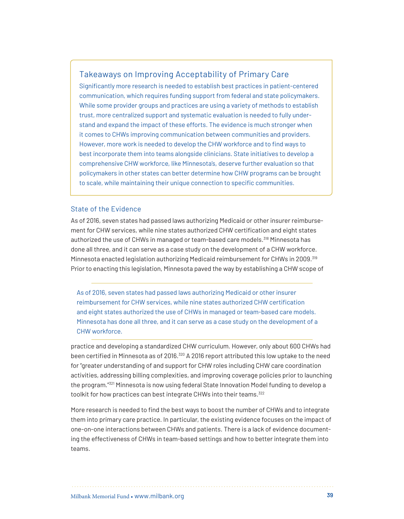### Takeaways on Improving Acceptability of Primary Care

Significantly more research is needed to establish best practices in patient-centered communication, which requires funding support from federal and state policymakers. While some provider groups and practices are using a variety of methods to establish trust, more centralized support and systematic evaluation is needed to fully understand and expand the impact of these efforts. The evidence is much stronger when it comes to CHWs improving communication between communities and providers. However, more work is needed to develop the CHW workforce and to find ways to best incorporate them into teams alongside clinicians. State initiatives to develop a comprehensive CHW workforce, like Minnesota's, deserve further evaluation so that policymakers in other states can better determine how CHW programs can be brought to scale, while maintaining their unique connection to specific communities.

#### State of the Evidence

As of 2016, seven states had passed laws authorizing Medicaid or other insurer reimbursement for CHW services, while nine states authorized CHW certification and eight states authorized the use of CHWs in managed or team-based care models.[318](#page-69-9) Minnesota has done all three, and it can serve as a case study on the development of a CHW workforce. Minnesota enacted legislation authorizing Medicaid reimbursement for CHWs in 2009.[319](#page-70-0) Prior to enacting this legislation, Minnesota paved the way by establishing a CHW scope of

As of 2016, seven states had passed laws authorizing Medicaid or other insurer reimbursement for CHW services, while nine states authorized CHW certification and eight states authorized the use of CHWs in managed or team-based care models. Minnesota has done all three, and it can serve as a case study on the development of a CHW workforce.

practice and developing a standardized CHW curriculum. However, only about 600 CHWs had been certified in Minnesota as of 2016.<sup>320</sup> A 2016 report attributed this low uptake to the need for "greater understanding of and support for CHW roles including CHW care coordination activities, addressing billing complexities, and improving coverage policies prior to launching the program."[321](#page-70-2) Minnesota is now using federal State Innovation Model funding to develop a toolkit for how practices can best integrate CHWs into their teams.<sup>322</sup>

More research is needed to find the best ways to boost the number of CHWs and to integrate them into primary care practice. In particular, the existing evidence focuses on the impact of one-on-one interactions between CHWs and patients. There is a lack of evidence documenting the effectiveness of CHWs in team-based settings and how to better integrate them into teams.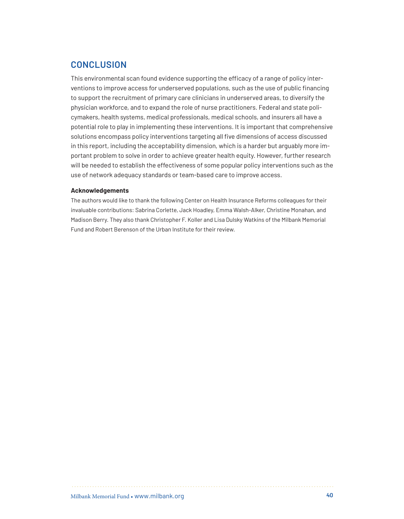# **CONCLUSION**

This environmental scan found evidence supporting the efficacy of a range of policy interventions to improve access for underserved populations, such as the use of public financing to support the recruitment of primary care clinicians in underserved areas, to diversify the physician workforce, and to expand the role of nurse practitioners. Federal and state policymakers, health systems, medical professionals, medical schools, and insurers all have a potential role to play in implementing these interventions. It is important that comprehensive solutions encompass policy interventions targeting all five dimensions of access discussed in this report, including the acceptability dimension, which is a harder but arguably more important problem to solve in order to achieve greater health equity. However, further research will be needed to establish the effectiveness of some popular policy interventions such as the use of network adequacy standards or team-based care to improve access.

#### **Acknowledgements**

The authors would like to thank the following Center on Health Insurance Reforms colleagues for their invaluable contributions: Sabrina Corlette, Jack Hoadley, Emma Walsh-Alker, Christine Monahan, and Madison Berry. They also thank Christopher F. Koller and Lisa Dulsky Watkins of the Milbank Memorial Fund and Robert Berenson of the Urban Institute for their review.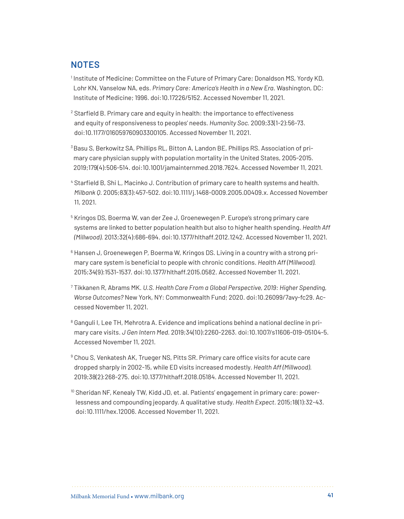# **NOTES**

<sup>1</sup> Institute of Medicine; Committee on the Future of Primary Care; Donaldson MS, Yordy KD, Lohr KN, Vanselow NA, eds. *Primary Care: America's Health in a New Era*. Washington, DC: Institute of Medicine; 1996. doi:10.17226/5152. Accessed November 11, 2021.

<sup>2</sup> Starfield B. Primary care and equity in health: the importance to effectiveness and equity of responsiveness to peoples' needs. *Humanity Soc.* 2009;33(1-2):56-73. doi:10.1177/016059760903300105. Accessed November 11, 2021.

<sup>3</sup> Basu S, Berkowitz SA, Phillips RL, Bitton A, Landon BE, Phillips RS. Association of primary care physician supply with population mortality in the United States, 2005-2015. 2019;179(4):506-514. doi:10.1001/jamainternmed.2018.7624. Accessed November 11, 2021.

<sup>4</sup> Starfield B, Shi L, Macinko J. Contribution of primary care to health systems and health. *Milbank Q.* 2005;83(3):457-502. doi:10.1111/j.1468-0009.2005.00409.x. Accessed November 11, 2021.

<sup>5</sup> Kringos DS, Boerma W, van der Zee J, Groenewegen P. Europe's strong primary care systems are linked to better population health but also to higher health spending. *Health Aff (Millwood).* 2013;32(4):686-694. doi:10.1377/hlthaff.2012.1242. Accessed November 11, 2021.

<sup>6</sup> Hansen J, Groenewegen P, Boerma W, Kringos DS. Living in a country with a strong primary care system is beneficial to people with chronic conditions. *Health Aff (Millwood).* 2015;34(9):1531-1537. doi:10.1377/hlthaff.2015.0582. Accessed November 11, 2021.

<sup>7</sup> Tikkanen R, Abrams MK. *U.S. Health Care From a Global Perspective, 2019: Higher Spending, Worse Outcomes?* New York, NY: Commonwealth Fund; 2020. doi:10.26099/7avy-fc29. Accessed November 11, 2021.

<sup>8</sup> Ganguli I, Lee TH, Mehrotra A. Evidence and implications behind a national decline in primary care visits. *J Gen Intern Med.* 2019;34(10):2260-2263. doi:10.1007/s11606-019-05104-5. Accessed November 11, 2021.

<sup>9</sup> Chou S, Venkatesh AK, Trueger NS, Pitts SR. Primary care office visits for acute care dropped sharply in 2002-15, while ED visits increased modestly. *Health Aff (Millwood)*. 2019;38(2):268-275. doi:10.1377/hlthaff.2018.05184. Accessed November 11, 2021.

<sup>10</sup> Sheridan NF, Kenealy TW, Kidd JD, et. al. Patients' engagement in primary care: powerlessness and compounding jeopardy. A qualitative study. *Health Expect.* 2015;18(1):32-43. doi:10.1111/hex.12006. Accessed November 11, 2021.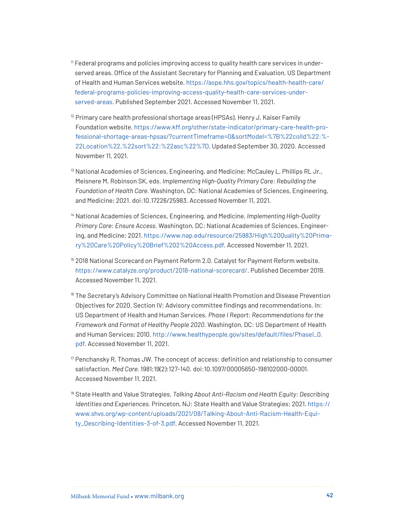- <sup>11</sup> Federal programs and policies improving access to quality health care services in underserved areas. Office of the Assistant Secretary for Planning and Evaluation, US Department of Health and Human Services website. [https://aspe.hhs.gov/topics/health-health-care/](https://aspe.hhs.gov/topics/health-health-care/federal-programs-policies-improving-access-quality-health-care-services-underserved-areas) [federal-programs-policies-improving-access-quality-health-care-services-under](https://aspe.hhs.gov/topics/health-health-care/federal-programs-policies-improving-access-quality-health-care-services-underserved-areas)[served-areas](https://aspe.hhs.gov/topics/health-health-care/federal-programs-policies-improving-access-quality-health-care-services-underserved-areas). Published September 2021. Accessed November 11, 2021.
- $12$  Primary care health professional shortage areas (HPSAs). Henry J. Kaiser Family Foundation website. [https://www.kff.org/other/state-indicator/primary-care-health-pro](https://www.kff.org/other/state-indicator/primary-care-health-professional-shortage-areas-hpsas/?currentTimeframe=0&sortModel=%7B%22colId%22:%22Location%22,%22sort%22:%22asc%22%7D)[fessional-shortage-areas-hpsas/?currentTimeframe=0&sortModel=%7B%22colId%22:%](https://www.kff.org/other/state-indicator/primary-care-health-professional-shortage-areas-hpsas/?currentTimeframe=0&sortModel=%7B%22colId%22:%22Location%22,%22sort%22:%22asc%22%7D)- [22Location%22,%22sort%22:%22asc%22%7D](https://www.kff.org/other/state-indicator/primary-care-health-professional-shortage-areas-hpsas/?currentTimeframe=0&sortModel=%7B%22colId%22:%22Location%22,%22sort%22:%22asc%22%7D). Updated September 30, 2020. Accessed November 11, 2021.
- <sup>13</sup> National Academies of Sciences, Engineering, and Medicine; McCauley L, Phillips RL Jr., Meisnere M, Robinson SK, eds. *Implementing High-Quality Primary Care: Rebuilding the Foundation of Health Care.* Washington, DC: National Academies of Sciences, Engineering, and Medicine; 2021. doi:10.17226/25983. Accessed November 11, 2021.
- <sup>14</sup> National Academies of Sciences, Engineering, and Medicine. *Implementing High-Quality Primary Care: Ensure Access.* Washington, DC: National Academies of Sciences, Engineering, and Medicine; 2021. [https://www.nap.edu/resource/25983/High%20Quality%20Prima](https://www.nap.edu/resource/25983/High%20Quality%20Primary%20Care%20Policy%20Brief%202%20Access.pdf)[ry%20Care%20Policy%20Brief%202%20Access.pdf](https://www.nap.edu/resource/25983/High%20Quality%20Primary%20Care%20Policy%20Brief%202%20Access.pdf). Accessed November 11, 2021.
- <sup>15</sup> 2018 National Scorecard on Payment Reform 2.0. Catalyst for Payment Reform website. <https://www.catalyze.org/product/2018-national-scorecard/>. Published December 2019. Accessed November 11, 2021.
- <sup>16</sup> The Secretary's Advisory Committee on National Health Promotion and Disease Prevention Objectives for 2020. Section IV: Advisory committee findings and recommendations. In: US Department of Health and Human Services. *Phase I Report: Recommendations for the Framework and Format of Healthy People 2020.* Washington, DC: US Department of Health and Human Services; 2010. http://www.healthypeople.gov/sites/default/files/Phasel\_0. [pdf](http://www.healthypeople.gov/sites/default/files/PhaseI_0.pdf). Accessed November 11, 2021.
- $17$  Penchansky R, Thomas JW. The concept of access: definition and relationship to consumer satisfaction. *Med Care.* 1981;19(2):127-140. doi:10.1097/00005650-198102000-00001. Accessed November 11, 2021.
- <sup>18</sup> State Health and Value Strategies. *Talking About Anti-Racism and Health Equity: Describing Identities and Experiences.* Princeton, NJ: State Health and Value Strategies; 2021. [https://](https://www.shvs.org/wp-content/uploads/2021/08/Talking-About-Anti-Racism-Health-Equity_Describing-Identities-3-of-3.pdf) [www.shvs.org/wp-content/uploads/2021/08/Talking-About-Anti-Racism-Health-Equi](https://www.shvs.org/wp-content/uploads/2021/08/Talking-About-Anti-Racism-Health-Equity_Describing-Identities-3-of-3.pdf)[ty\\_Describing-Identities-3-of-3.pdf](https://www.shvs.org/wp-content/uploads/2021/08/Talking-About-Anti-Racism-Health-Equity_Describing-Identities-3-of-3.pdf). Accessed November 11, 2021.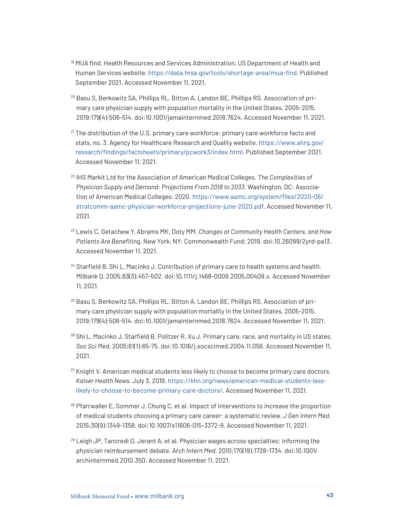- <sup>19</sup> MUA find. Health Resources and Services Administration, US Department of Health and Human Services website. <https://data.hrsa.gov/tools/shortage-area/mua-find>. Published September 2021. Accessed November 11, 2021.
- <sup>20</sup> Basu S, Berkowitz SA, Phillips RL, Bitton A, Landon BE, Phillips RS. Association of primary care physician supply with population mortality in the United States, 2005-2015. 2019;179(4):506-514. doi:10.1001/jamainternmed.2018.7624. Accessed November 11, 2021.
- $21$  The distribution of the U.S. primary care workforce: primary care workforce facts and stats, no. 3. Agency for Healthcare Research and Quality website. [https://www.ahrq.gov/](https://www.ahrq.gov/research/findings/factsheets/primary/pcwork3/index.html) [research/findings/factsheets/primary/pcwork3/index.html](https://www.ahrq.gov/research/findings/factsheets/primary/pcwork3/index.html). Published September 2021. Accessed November 11, 2021.
- <sup>22</sup> IHS Markit Ltd for the Association of American Medical Colleges. *The Complexities of Physician Supply and Demand: Projections From 2018 to 2033.* Washington, DC: Association of American Medical Colleges; 2020. [https://www.aamc.org/system/files/2020-06/](https://www.aamc.org/system/files/2020-06/stratcomm-aamc-physician-workforce-projections-june-2020.pdf) [stratcomm-aamc-physician-workforce-projections-june-2020.pdf](https://www.aamc.org/system/files/2020-06/stratcomm-aamc-physician-workforce-projections-june-2020.pdf). Accessed November 11, 2021.
- <sup>23</sup> Lewis C, Getachew Y, Abrams MK, Doty MM. *Changes at Community Health Centers, and How Patients Are Benefiting.* New York, NY: Commonwealth Fund; 2019. doi:10.26099/2yrd-pa13. Accessed November 11, 2021.
- <sup>24</sup> Starfield B, Shi L, Macinko J. Contribution of primary care to health systems and health. Milbank Q. 2005;83(3):457-502. doi:10.1111/j.1468-0009.2005.00409.x. Accessed November 11, 2021.
- <sup>25</sup> Basu S, Berkowitz SA, Phillips RL, Bitton A, Landon BE, Phillips RS. Association of primary care physician supply with population mortality in the United States, 2005-2015. 2019;179(4):506-514. doi:10.1001/jamainternmed.2018.7624. Accessed November 11, 2021.
- <sup>26</sup> Shi L, Macinko J, Starfield B, Politzer R, Xu J. Primary care, race, and mortality in US states. *Soc Sci Med.* 2005;61(1):65-75. doi:10.1016/j.socscimed.2004.11.056. Accessed November 11, 2021.
- <sup>27</sup> Knight V. American medical students less likely to choose to become primary care doctors. *Kaiser Health News.* July 3, 2019. [https://khn.org/news/american-medical-students-less](https://khn.org/news/american-medical-students-less-likely-to-choose-to-become-primary-care-doctors/)[likely-to-choose-to-become-primary-care-doctors/](https://khn.org/news/american-medical-students-less-likely-to-choose-to-become-primary-care-doctors/). Accessed November 11, 2021.
- $28$  Pfarrwaller E, Sommer J, Chung C, et al. Impact of interventions to increase the proportion of medical students choosing a primary care career: a systematic review. *J Gen Intern Med.*  2015;30(9):1349-1358. doi:10.1007/s11606-015-3372-9. Accessed November 11, 2021.
- $29$  Leigh JP, Tancredi D, Jerant A, et al. Physician wages across specialties: informing the physician reimbursement debate. *Arch Intern Med*. 2010;170(19):1728-1734. doi:10.1001/ archinternmed.2010.350. Accessed November 11, 2021.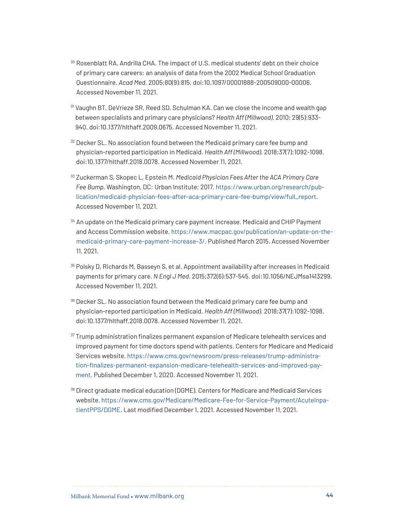- <sup>30</sup> Rosenblatt RA, Andrilla CHA. The impact of U.S. medical students' debt on their choice of primary care careers: an analysis of data from the 2002 Medical School Graduation Questionnaire. *Acad Med.* 2005;80(9):815. doi:10.1097/00001888-200509000-00006. Accessed November 11, 2021.
- <sup>31</sup> Vaughn BT, DeVrieze SR, Reed SD, Schulman KA. Can we close the income and wealth gap between specialists and primary care physicians? *Health Aff (Millwood)*. 2010; 29(5):933- 940. doi:10.1377/hlthaff.2009.0675. Accessed November 11, 2021.
- $32$  Decker SL. No association found between the Medicaid primary care fee bump and physician-reported participation in Medicaid. *Health Aff (Millwood)*. 2018;37(7):1092-1098. doi:10.1377/hlthaff.2018.0078. Accessed November 11, 2021.
- <sup>33</sup> Zuckerman S, Skopec L, Epstein M. *Medicaid Physician Fees After the ACA Primary Care Fee Bump.* Washington, DC: Urban Institute; 2017. [https://www.urban.org/research/pub](https://www.urban.org/research/publication/medicaid-physician-fees-after-aca-primary-care-fee-bump/view/full_report)[lication/medicaid-physician-fees-after-aca-primary-care-fee-bump/view/full\\_report](https://www.urban.org/research/publication/medicaid-physician-fees-after-aca-primary-care-fee-bump/view/full_report). Accessed November 11, 2021.
- <sup>34</sup> An update on the Medicaid primary care payment increase. Medicaid and CHIP Payment and Access Commission website. [https://www.macpac.gov/publication/an-update-on-the](https://www.macpac.gov/publication/an-update-on-the-medicaid-primary-care-payment-increase-3/)[medicaid-primary-care-payment-increase-3/](https://www.macpac.gov/publication/an-update-on-the-medicaid-primary-care-payment-increase-3/). Published March 2015. Accessed November 11, 2021.
- <sup>35</sup> Polsky D, Richards M, Basseyn S, et al. Appointment availability after increases in Medicaid payments for primary care. *N Engl J Med.* 2015;372(6):537-545. doi:10.1056/NEJMsa1413299. Accessed November 11, 2021.
- <sup>36</sup> Decker SL. No association found between the Medicaid primary care fee bump and physician-reported participation in Medicaid. *Health Aff (Millwood)*. 2018;37(7):1092-1098. doi:10.1377/hlthaff.2018.0078. Accessed November 11, 2021.
- <sup>37</sup> Trump administration finalizes permanent expansion of Medicare telehealth services and improved payment for time doctors spend with patients. Centers for Medicare and Medicaid Services website. [https://www.cms.gov/newsroom/press-releases/trump-administra](https://www.cms.gov/newsroom/press-releases/trump-administration-finalizes-permanent-expansion-medicare-telehealth-services-and-improved-payment)[tion-finalizes-permanent-expansion-medicare-telehealth-services-and-improved-pay](https://www.cms.gov/newsroom/press-releases/trump-administration-finalizes-permanent-expansion-medicare-telehealth-services-and-improved-payment)[ment](https://www.cms.gov/newsroom/press-releases/trump-administration-finalizes-permanent-expansion-medicare-telehealth-services-and-improved-payment). Published December 1, 2020. Accessed November 11, 2021.
- <sup>38</sup> Direct graduate medical education (DGME). Centers for Medicare and Medicaid Services website. [https://www.cms.gov/Medicare/Medicare-Fee-for-Service-Payment/AcuteInpa](https://www.cms.gov/Medicare/Medicare-Fee-for-Service-Payment/AcuteInpatientPPS/DGME)[tientPPS/DGME.](https://www.cms.gov/Medicare/Medicare-Fee-for-Service-Payment/AcuteInpatientPPS/DGME) Last modified December 1, 2021. Accessed November 11, 2021.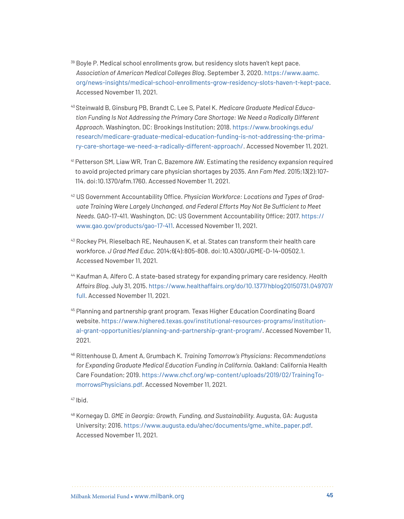- <sup>39</sup> Boyle P. Medical school enrollments grow, but residency slots haven't kept pace. *Association of American Medical Colleges Blog*. September 3, 2020. [https://www.aamc.](https://www.aamc.org/news-insights/medical-school-enrollments-grow-residency-slots-haven-t-kept-pace) [org/news-insights/medical-school-enrollments-grow-residency-slots-haven-t-kept-pace.](https://www.aamc.org/news-insights/medical-school-enrollments-grow-residency-slots-haven-t-kept-pace) Accessed November 11, 2021.
- 40 Steinwald B, Ginsburg PB, Brandt C, Lee S, Patel K. *Medicare Graduate Medical Education Funding Is Not Addressing the Primary Care Shortage: We Need a Radically Different Approach*. Washington, DC: Brookings Institution; 2018. [https://www.brookings.edu/](https://www.brookings.edu/research/medicare-graduate-medical-education-funding-is-not-addressing-the-primary-care-shortage-we-need-a-radically-different-approach/) [research/medicare-graduate-medical-education-funding-is-not-addressing-the-prima](https://www.brookings.edu/research/medicare-graduate-medical-education-funding-is-not-addressing-the-primary-care-shortage-we-need-a-radically-different-approach/)[ry-care-shortage-we-need-a-radically-different-approach/](https://www.brookings.edu/research/medicare-graduate-medical-education-funding-is-not-addressing-the-primary-care-shortage-we-need-a-radically-different-approach/). Accessed November 11, 2021.
- <sup>41</sup> Petterson SM, Liaw WR, Tran C, Bazemore AW. Estimating the residency expansion required to avoid projected primary care physician shortages by 2035. *Ann Fam Med.* 2015;13(2):107- 114. doi:10.1370/afm.1760. Accessed November 11, 2021.
- <sup>42</sup> US Government Accountability Office. *Physician Workforce: Locations and Types of Graduate Training Were Largely Unchanged, and Federal Efforts May Not Be Sufficient to Meet Needs.* GAO-17-411. Washington, DC: US Government Accountability Office; 2017. [https://](https://www.gao.gov/products/gao-17-411) [www.gao.gov/products/gao-17-411](https://www.gao.gov/products/gao-17-411). Accessed November 11, 2021.
- 43 Rockey PH, Rieselbach RE, Neuhausen K, et al. States can transform their health care workforce. *J Grad Med Educ.* 2014;6(4):805-808. doi:10.4300/JGME-D-14-00502.1. Accessed November 11, 2021.
- <sup>44</sup> Kaufman A, Alfero C. A state-based strategy for expanding primary care residency. *Health Affairs Blog.* July 31, 2015. [https://www.healthaffairs.org/do/10.1377/hblog20150731.049707/](https://www.healthaffairs.org/do/10.1377/hblog20150731.049707/full) [full](https://www.healthaffairs.org/do/10.1377/hblog20150731.049707/full). Accessed November 11, 2021.
- <sup>45</sup> Planning and partnership grant program. Texas Higher Education Coordinating Board website. [https://www.highered.texas.gov/institutional-resources-programs/institution](https://www.highered.texas.gov/institutional-resources-programs/institutional-grant-opportunities/planning-and-partnership-grant-program/)[al-grant-opportunities/planning-and-partnership-grant-program/](https://www.highered.texas.gov/institutional-resources-programs/institutional-grant-opportunities/planning-and-partnership-grant-program/). Accessed November 11, 2021.
- <sup>46</sup> Rittenhouse D, Ament A, Grumbach K. *Training Tomorrow's Physicians: Recommendations for Expanding Graduate Medical Education Funding in California.* Oakland: California Health Care Foundation; 2019. [https://www.chcf.org/wp-content/uploads/2019/02/TrainingTo](https://www.chcf.org/wp-content/uploads/2019/02/TrainingTomorrowsPhysicians.pdf)[morrowsPhysicians.pdf](https://www.chcf.org/wp-content/uploads/2019/02/TrainingTomorrowsPhysicians.pdf). Accessed November 11, 2021.

<sup>48</sup> Kornegay D. *GME in Georgia: Growth, Funding, and Sustainability.* Augusta, GA: Augusta University; 2016. [https://www.augusta.edu/ahec/documents/gme\\_white\\_paper.pdf](https://www.augusta.edu/ahec/documents/gme_white_paper.pdf). Accessed November 11, 2021.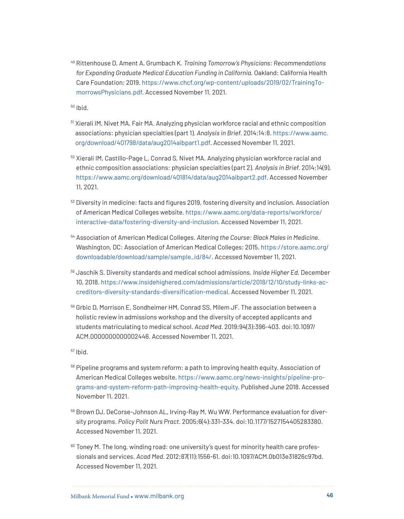<sup>49</sup> Rittenhouse D, Ament A, Grumbach K. *Training Tomorrow's Physicians: Recommendations for Expanding Graduate Medical Education Funding in California.* Oakland: California Health Care Foundation; 2019. [https://www.chcf.org/wp-content/uploads/2019/02/TrainingTo](https://www.chcf.org/wp-content/uploads/2019/02/TrainingTomorrowsPhysicians.pdf)[morrowsPhysicians.pdf](https://www.chcf.org/wp-content/uploads/2019/02/TrainingTomorrowsPhysicians.pdf). Accessed November 11, 2021.

- <sup>51</sup> Xierali IM, Nivet MA, Fair MA. Analyzing physician workforce racial and ethnic composition associations: physician specialties (part 1). *Analysis in Brief.* 2014;14:8. [https://www.aamc.](https://www.aamc.org/download/401798/data/aug2014aibpart1.pdf) [org/download/401798/data/aug2014aibpart1.pdf.](https://www.aamc.org/download/401798/data/aug2014aibpart1.pdf) Accessed November 11, 2021.
- <sup>52</sup> Xierali IM, Castillo-Page L, Conrad S, Nivet MA. Analyzing physician workforce racial and ethnic composition associations: physician specialties (part 2). *Analysis in Brief.* 2014;14(9). <https://www.aamc.org/download/401814/data/aug2014aibpart2.pdf>. Accessed November 11, 2021.
- $53$  Diversity in medicine: facts and figures 2019, fostering diversity and inclusion. Association of American Medical Colleges website. [https://www.aamc.org/data-reports/workforce/](https://www.aamc.org/data-reports/workforce/interactive-data/fostering-diversity-and-inclusion) [interactive-data/fostering-diversity-and-inclusion](https://www.aamc.org/data-reports/workforce/interactive-data/fostering-diversity-and-inclusion). Accessed November 11, 2021.
- <sup>54</sup> Association of American Medical Colleges. *Altering the Course: Black Males in Medicine.*  Washington, DC: Association of American Medical Colleges; 2015. [https://store.aamc.org/](https://store.aamc.org/downloadable/download/sample/sample_id/84/) [downloadable/download/sample/sample\\_id/84/.](https://store.aamc.org/downloadable/download/sample/sample_id/84/) Accessed November 11, 2021.
- <sup>55</sup> Jaschik S. Diversity standards and medical school admissions. *Inside Higher Ed.* December 10, 2018. [https://www.insidehighered.com/admissions/article/2018/12/10/study-links-ac](https://www.insidehighered.com/admissions/article/2018/12/10/study-links-accreditors-diversity-standards-diversification-medical)[creditors-diversity-standards-diversification-medical.](https://www.insidehighered.com/admissions/article/2018/12/10/study-links-accreditors-diversity-standards-diversification-medical) Accessed November 11, 2021.
- <sup>56</sup> Grbic D, Morrison E, Sondheimer HM, Conrad SS, Milem JF. The association between a holistic review in admissions workshop and the diversity of accepted applicants and students matriculating to medical school. *Acad Med.* 2019;94(3):396-403. doi:10.1097/ ACM.0000000000002446. Accessed November 11, 2021.
- $57$  Ihid.
- <sup>58</sup> Pipeline programs and system reform: a path to improving health equity. Association of American Medical Colleges website. [https://www.aamc.org/news-insights/pipeline-pro](https://www.aamc.org/news-insights/pipeline-programs-and-system-reform-path-improving-health-equity)[grams-and-system-reform-path-improving-health-equity](https://www.aamc.org/news-insights/pipeline-programs-and-system-reform-path-improving-health-equity). Published June 2018. Accessed November 11, 2021.
- <sup>59</sup> Brown DJ, DeCorse-Johnson AL, Irving-Ray M, Wu WW. Performance evaluation for diversity programs. *Policy Polit Nurs Pract.* 2005;6(4):331-334. doi:10.1177/1527154405283380. Accessed November 11, 2021.
- <sup>60</sup> Toney M. The long, winding road: one university's quest for minority health care professionals and services. *Acad Med.* 2012;87(11):1556-61. doi:10.1097/ACM.0b013e31826c97bd. Accessed November 11, 2021.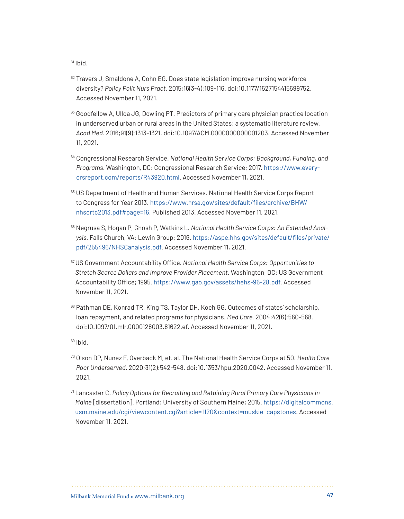- <sup>62</sup> Travers J, Smaldone A, Cohn EG. Does state legislation improve nursing workforce diversity? *Policy Polit Nurs Pract.* 2015;16(3-4):109-116. doi:10.1177/1527154415599752. Accessed November 11, 2021.
- 63 Goodfellow A, Ulloa JG, Dowling PT. Predictors of primary care physician practice location in underserved urban or rural areas in the United States: a systematic literature review. *Acad Med.* 2016;91(9):1313-1321. doi:10.1097/ACM.0000000000001203. Accessed November 11, 2021.
- <sup>64</sup> Congressional Research Service. *National Health Service Corps: Background, Funding, and Programs.* Washington, DC: Congressional Research Service; 2017. [https://www.every](https://www.everycrsreport.com/reports/R43920.html)[crsreport.com/reports/R43920.html.](https://www.everycrsreport.com/reports/R43920.html) Accessed November 11, 2021.
- 65 US Department of Health and Human Services. National Health Service Corps Report to Congress for Year 2013. [https://www.hrsa.gov/sites/default/files/archive/BHW/](https://www.hrsa.gov/sites/default/files/archive/BHW/nhscrtc2013.pdf#page=16) [nhscrtc2013.pdf#page=16](https://www.hrsa.gov/sites/default/files/archive/BHW/nhscrtc2013.pdf#page=16). Published 2013. Accessed November 11, 2021.
- <sup>66</sup> Negrusa S, Hogan P, Ghosh P, Watkins L. *National Health Service Corps: An Extended Analysis.* Falls Church, VA: Lewin Group; 2016. [https://aspe.hhs.gov/sites/default/files/private/](https://aspe.hhs.gov/sites/default/files/private/pdf/255496/NHSCanalysis.pdf) [pdf/255496/NHSCanalysis.pdf](https://aspe.hhs.gov/sites/default/files/private/pdf/255496/NHSCanalysis.pdf). Accessed November 11, 2021.
- <sup>67</sup>US Government Accountability Office. *National Health Service Corps: Opportunities to Stretch Scarce Dollars and Improve Provider Placement.* Washington, DC: US Government Accountability Office; 1995.<https://www.gao.gov/assets/hehs-96-28.pdf>. Accessed November 11, 2021.
- <sup>68</sup> Pathman DE, Konrad TR, King TS, Taylor DH, Koch GG. Outcomes of states' scholarship, loan repayment, and related programs for physicians. *Med Care.* 2004;42(6):560-568. doi:10.1097/01.mlr.0000128003.81622.ef. Accessed November 11, 2021.

- <sup>70</sup> Olson DP, Nunez F, Overback M, et. al. The National Health Service Corps at 50. *Health Care Poor Underserved.* 2020;31(2):542-548. doi:10.1353/hpu.2020.0042. Accessed November 11, 2021.
- <sup>71</sup> Lancaster C. *Policy Options for Recruiting and Retaining Rural Primary Care Physicians in Maine* [dissertation]. Portland: University of Southern Maine; 2015. [https://digitalcommons.](https://digitalcommons.usm.maine.edu/cgi/viewcontent.cgi?article=1120&context=muskie_capstones) [usm.maine.edu/cgi/viewcontent.cgi?article=1120&context=muskie\\_capstones](https://digitalcommons.usm.maine.edu/cgi/viewcontent.cgi?article=1120&context=muskie_capstones). Accessed November 11, 2021.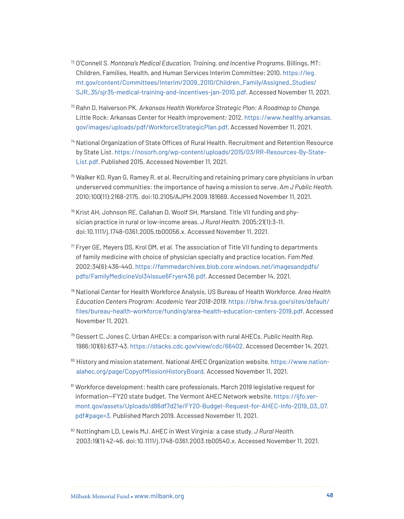- <sup>72</sup> O'Connell S. *Montana's Medical Education, Training, and Incentive Programs.* Billings, MT: Children, Families, Health, and Human Services Interim Committee; 2010. [https://leg.](https://leg.mt.gov/content/Committees/Interim/2009_2010/Children_Family/Assigned_Studies/SJR_35/sjr35-medical-training-and-incentives-jan-2010.pdf) [mt.gov/content/Committees/Interim/2009\\_2010/Children\\_Family/Assigned\\_Studies/](https://leg.mt.gov/content/Committees/Interim/2009_2010/Children_Family/Assigned_Studies/SJR_35/sjr35-medical-training-and-incentives-jan-2010.pdf) [SJR\\_35/sjr35-medical-training-and-incentives-jan-2010.pdf](https://leg.mt.gov/content/Committees/Interim/2009_2010/Children_Family/Assigned_Studies/SJR_35/sjr35-medical-training-and-incentives-jan-2010.pdf). Accessed November 11, 2021.
- <sup>73</sup> Rahn D, Halverson PK. *Arkansas Health Workforce Strategic Plan: A Roadmap to Change.*  Little Rock: Arkansas Center for Health Improvement; 2012. [https://www.healthy.arkansas.](https://www.healthy.arkansas.gov/images/uploads/pdf/WorkforceStrategicPlan.pdf) [gov/images/uploads/pdf/WorkforceStrategicPlan.pdf](https://www.healthy.arkansas.gov/images/uploads/pdf/WorkforceStrategicPlan.pdf). Accessed November 11, 2021.
- <sup>74</sup> National Organization of State Offices of Rural Health. Recruitment and Retention Resource by State List. [https://nosorh.org/wp-content/uploads/2015/03/RR-Resources-By-State-](https://nosorh.org/wp-content/uploads/2015/03/RR-Resources-By-State-List.pdf)[List.pdf](https://nosorh.org/wp-content/uploads/2015/03/RR-Resources-By-State-List.pdf). Published 2015. Accessed November 11, 2021.
- $75$  Walker KO, Ryan G, Ramey R, et al. Recruiting and retaining primary care physicians in urban underserved communities: the importance of having a mission to serve. *Am J Public Health.*  2010;100(11):2168-2175. doi:10.2105/AJPH.2009.181669. Accessed November 11, 2021.
- <sup>76</sup> Krist AH, Johnson RE, Callahan D, Woolf SH, Marsland. Title VII funding and physician practice in rural or low-income areas. *J Rural Health.* 2005;21(1):3-11. doi:10.1111/j.1748-0361.2005.tb00056.x. Accessed November 11, 2021.
- $77$  Fryer GE, Meyers DS, Krol DM, et al. The association of Title VII funding to departments of family medicine with choice of physician specialty and practice location. *Fam Med.* 2002;34(6):436-440. [https://fammedarchives.blob.core.windows.net/imagesandpdfs/](https://fammedarchives.blob.core.windows.net/imagesandpdfs/pdfs/FamilyMedicineVol34Issue6Fryer436.pdf) [pdfs/FamilyMedicineVol34Issue6Fryer436.pdf.](https://fammedarchives.blob.core.windows.net/imagesandpdfs/pdfs/FamilyMedicineVol34Issue6Fryer436.pdf) Accessed December 14, 2021.
- <sup>78</sup> National Center for Health Workforce Analysis, US Bureau of Health Workforce. *Area Health Education Centers Program: Academic Year 2018-2019.* [https://bhw.hrsa.gov/sites/default/](https://bhw.hrsa.gov/sites/default/files/bureau-health-workforce/funding/area-health-education-centers-2019.pdf) [files/bureau-health-workforce/funding/area-health-education-centers-2019.pdf](https://bhw.hrsa.gov/sites/default/files/bureau-health-workforce/funding/area-health-education-centers-2019.pdf). Accessed November 11, 2021.
- <sup>79</sup> Gessert C, Jones C. Urban AHECs: a comparison with rural AHECs. *Public Health Rep.*  1986;101(6):637-43. <https://stacks.cdc.gov/view/cdc/66402>. Accessed December 14, 2021.
- <sup>80</sup> History and mission statement. National AHEC Organization website. [https://www.nation](https://www.nationalahec.org/page/CopyofMissionHistoryBoard)[alahec.org/page/CopyofMissionHistoryBoard.](https://www.nationalahec.org/page/CopyofMissionHistoryBoard) Accessed November 11, 2021.
- 81 Workforce development: health care professionals, March 2019 legislative request for information—FY20 state budget. The Vermont AHEC Network website. [https://ljfo.ver](https://ljfo.vermont.gov/assets/Uploads/d86df7d21e/FY20-Budget-Request-for-AHEC-Info-2019_03_07.pdf#page=3)[mont.gov/assets/Uploads/d86df7d21e/FY20-Budget-Request-for-AHEC-Info-2019\\_03\\_07.](https://ljfo.vermont.gov/assets/Uploads/d86df7d21e/FY20-Budget-Request-for-AHEC-Info-2019_03_07.pdf#page=3) [pdf#page=3](https://ljfo.vermont.gov/assets/Uploads/d86df7d21e/FY20-Budget-Request-for-AHEC-Info-2019_03_07.pdf#page=3). Published March 2019. Accessed November 11, 2021.
- <sup>82</sup> Nottingham LD, Lewis MJ. AHEC in West Virginia: a case study. *J Rural Health.*  2003;19(1):42-46. doi:10.1111/j.1748-0361.2003.tb00540.x. Accessed November 11, 2021.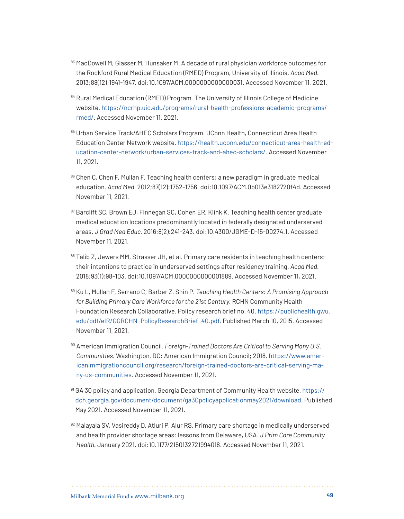- 83 MacDowell M, Glasser M, Hunsaker M. A decade of rural physician workforce outcomes for the Rockford Rural Medical Education (RMED) Program, University of Illinois. *Acad Med.*  2013;88(12):1941-1947. doi:10.1097/ACM.0000000000000031. Accessed November 11, 2021.
- 84 Rural Medical Education (RMED) Program. The University of Illinois College of Medicine website. [https://ncrhp.uic.edu/programs/rural-health-professions-academic-programs/](https://ncrhp.uic.edu/programs/rural-health-professions-academic-programs/rmed/) [rmed/](https://ncrhp.uic.edu/programs/rural-health-professions-academic-programs/rmed/). Accessed November 11, 2021.
- 85 Urban Service Track/AHEC Scholars Program. UConn Health, Connecticut Area Health Education Center Network website. [https://health.uconn.edu/connecticut-area-health-ed](https://health.uconn.edu/connecticut-area-health-education-center-network/urban-services-track-and-ahec-scholars/)[ucation-center-network/urban-services-track-and-ahec-scholars/](https://health.uconn.edu/connecticut-area-health-education-center-network/urban-services-track-and-ahec-scholars/). Accessed November 11, 2021.
- 86 Chen C, Chen F, Mullan F. Teaching health centers: a new paradigm in graduate medical education. *Acad Med.* 2012;87(12):1752-1756. doi:10.1097/ACM.0b013e3182720f4d. Accessed November 11, 2021.
- 87 Barclift SC, Brown EJ, Finnegan SC, Cohen ER, Klink K. Teaching health center graduate medical education locations predominantly located in federally designated underserved areas. *J Grad Med Educ.* 2016;8(2):241-243. doi:10.4300/JGME-D-15-00274.1. Accessed November 11, 2021.
- 88 Talib Z, Jewers MM, Strasser JH, et al. Primary care residents in teaching health centers: their intentions to practice in underserved settings after residency training. *Acad Med.*  2018;93(1):98-103. doi:10.1097/ACM.0000000000001889. Accessed November 11, 2021.
- <sup>89</sup> Ku L, Mullan F, Serrano C, Barber Z, Shin P. *Teaching Health Centers: A Promising Approach for Building Primary Care Workforce for the 21st Century.* RCHN Community Health Foundation Research Collaborative. Policy research brief no. 40. [https://publichealth.gwu.](https://publichealth.gwu.edu/pdf/eIR/GGRCHN_PolicyResearchBrief_40.pdf) [edu/pdf/eIR/GGRCHN\\_PolicyResearchBrief\\_40.pdf.](https://publichealth.gwu.edu/pdf/eIR/GGRCHN_PolicyResearchBrief_40.pdf) Published March 10, 2015. Accessed November 11, 2021.
- <sup>90</sup> American Immigration Council. *Foreign-Trained Doctors Are Critical to Serving Many U.S. Communities.* Washington, DC: American Immigration Council; 2018. [https://www.amer](https://www.americanimmigrationcouncil.org/research/foreign-trained-doctors-are-critical-serving-many-us-communities)[icanimmigrationcouncil.org/research/foreign-trained-doctors-are-critical-serving-ma](https://www.americanimmigrationcouncil.org/research/foreign-trained-doctors-are-critical-serving-many-us-communities)[ny-us-communities](https://www.americanimmigrationcouncil.org/research/foreign-trained-doctors-are-critical-serving-many-us-communities). Accessed November 11, 2021.
- <sup>91</sup> GA 30 policy and application. Georgia Department of Community Health website. [https://](https://dch.georgia.gov/document/document/ga30policyapplicationmay2021/download) [dch.georgia.gov/document/document/ga30policyapplicationmay2021/download](https://dch.georgia.gov/document/document/ga30policyapplicationmay2021/download). Published May 2021. Accessed November 11, 2021.
- 92 Malayala SV, Vasireddy D, Atluri P, Alur RS. Primary care shortage in medically underserved and health provider shortage areas: lessons from Delaware, USA. *J Prim Care Community Health.* January 2021. doi:10.1177/2150132721994018. Accessed November 11, 2021.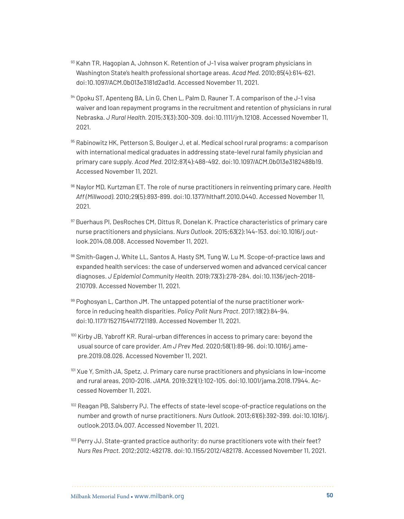- 93 Kahn TR, Hagopian A, Johnson K. Retention of J-1 visa waiver program physicians in Washington State's health professional shortage areas. *Acad Med.* 2010;85(4):614-621. doi:10.1097/ACM.0b013e3181d2ad1d. Accessed November 11, 2021.
- 94 Opoku ST, Apenteng BA, Lin G, Chen L, Palm D, Rauner T. A comparison of the J-1 visa waiver and loan repayment programs in the recruitment and retention of physicians in rural Nebraska. *J Rural Health.* 2015;31(3):300-309. doi:10.1111/jrh.12108. Accessed November 11, 2021.
- <sup>95</sup> Rabinowitz HK, Petterson S, Boulger J, et al. Medical school rural programs: a comparison with international medical graduates in addressing state-level rural family physician and primary care supply. *Acad Med.* 2012;87(4):488-492. doi:10.1097/ACM.0b013e3182488b19. Accessed November 11, 2021.
- <sup>96</sup> Naylor MD, Kurtzman ET. The role of nurse practitioners in reinventing primary care. *Health Aff (Millwood)*. 2010;29(5):893-899. doi:10.1377/hlthaff.2010.0440. Accessed November 11, 2021.
- <sup>97</sup> Buerhaus PI, DesRoches CM, Dittus R, Donelan K. Practice characteristics of primary care nurse practitioners and physicians. *Nurs Outlook.* 2015;63(2):144-153. doi:10.1016/j.outlook.2014.08.008. Accessed November 11, 2021.
- 98 Smith-Gagen J, White LL, Santos A, Hasty SM, Tung W, Lu M. Scope-of-practice laws and expanded health services: the case of underserved women and advanced cervical cancer diagnoses. *J Epidemiol Community Health.* 2019;73(3):278-284. doi:10.1136/jech-2018- 210709. Accessed November 11, 2021.
- 99 Poghosyan L, Carthon JM. The untapped potential of the nurse practitioner workforce in reducing health disparities. *Policy Polit Nurs Pract.* 2017;18(2):84-94. doi:10.1177/1527154417721189. Accessed November 11, 2021.
- <sup>100</sup> Kirby JB, Yabroff KR. Rural–urban differences in access to primary care: beyond the usual source of care provider. *Am J Prev Med.* 2020;58(1):89-96. doi:10.1016/j.amepre.2019.08.026. Accessed November 11, 2021.
- 101 Xue Y, Smith JA, Spetz, J. Primary care nurse practitioners and physicians in low-income and rural areas, 2010-2016. *JAMA.* 2019;321(1):102-105. doi:10.1001/jama.2018.17944. Accessed November 11, 2021.
- <sup>102</sup> Reagan PB, Salsberry PJ. The effects of state-level scope-of-practice regulations on the number and growth of nurse practitioners*. Nurs Outlook.* 2013;61(6):392-399. doi:10.1016/j. outlook.2013.04.007. Accessed November 11, 2021.
- 103 Perry JJ. State-granted practice authority: do nurse practitioners vote with their feet? *Nurs Res Pract.* 2012;2012:482178. doi:10.1155/2012/482178. Accessed November 11, 2021.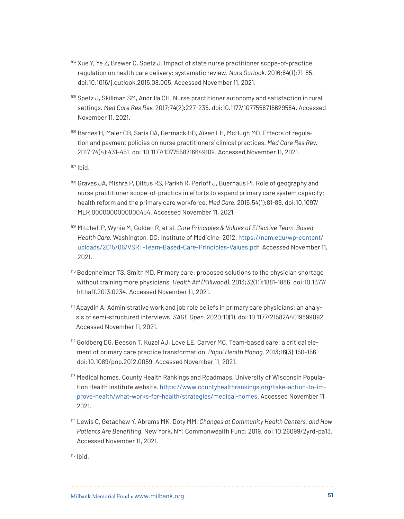- <sup>104</sup> Xue Y, Ye Z, Brewer C, Spetz J. Impact of state nurse practitioner scope-of-practice regulation on health care delivery: systematic review*. Nurs Outlook.* 2016;64(1):71-85. doi:10.1016/j.outlook.2015.08.005. Accessed November 11, 2021.
- <sup>105</sup> Spetz J, Skillman SM, Andrilla CH. Nurse practitioner autonomy and satisfaction in rural settings. *Med Care Res Rev.* 2017;74(2):227-235. doi:10.1177/1077558716629584. Accessed November 11, 2021.
- <sup>106</sup> Barnes H, Maier CB, Sarik DA, Germack HD, Aiken LH, McHugh MD. Effects of regulation and payment policies on nurse practitioners' clinical practices. *Med Care Res Rev.*  2017;74(4):431-451. doi:10.1177/1077558716649109. Accessed November 11, 2021.

- <sup>108</sup> Graves JA, Mishra P, Dittus RS, Parikh R, Perloff J, Buerhaus PI. Role of geography and nurse practitioner scope-of-practice in efforts to expand primary care system capacity: health reform and the primary care workforce. *Med Care.* 2016;54(1):81-89. doi:10.1097/ MLR.0000000000000454. Accessed November 11, 2021.
- <sup>109</sup> Mitchell P, Wynia M, Golden R, et al. *Core Principles & Values of Effective Team-Based Health Care.* Washington, DC: Institute of Medicine; 2012. [https://nam.edu/wp-content/](https://nam.edu/wp-content/uploads/2015/06/VSRT-Team-Based-Care-Principles-Values.pdf) [uploads/2015/06/VSRT-Team-Based-Care-Principles-Values.pdf](https://nam.edu/wp-content/uploads/2015/06/VSRT-Team-Based-Care-Principles-Values.pdf). Accessed November 11, 2021.
- <sup>110</sup> Bodenheimer TS, Smith MD. Primary care: proposed solutions to the physician shortage without training more physicians. *Health Aff (Millwood).* 2013;32(11):1881-1886. doi:10.1377/ hlthaff.2013.0234. Accessed November 11, 2021.
- <sup>111</sup> Apaydin A. Administrative work and job role beliefs in primary care physicians: an analysis of semi-structured interviews. *SAGE Open.* 2020;10(1). doi:10.1177/2158244019899092. Accessed November 11, 2021.
- <sup>112</sup> Goldberg DG, Beeson T, Kuzel AJ, Love LE, Carver MC. Team-based care: a critical element of primary care practice transformation. *Popul Health Manag.* 2013;16(3):150-156. doi:10.1089/pop.2012.0059. Accessed November 11, 2021.
- <sup>113</sup> Medical homes. County Health Rankings and Roadmaps, University of Wisconsin Population Health Institute website. [https://www.countyhealthrankings.org/take-action-to-im](https://www.countyhealthrankings.org/take-action-to-improve-health/what-works-for-health/strategies/medical-homes)[prove-health/what-works-for-health/strategies/medical-homes](https://www.countyhealthrankings.org/take-action-to-improve-health/what-works-for-health/strategies/medical-homes). Accessed November 11, 2021.
- <sup>114</sup> Lewis C, Getachew Y, Abrams MK, Doty MM. *Changes at Community Health Centers, and How Patients Are Benefiting*. New York, NY: Commonwealth Fund; 2019. doi:10.26099/2yrd-pa13. Accessed November 11, 2021.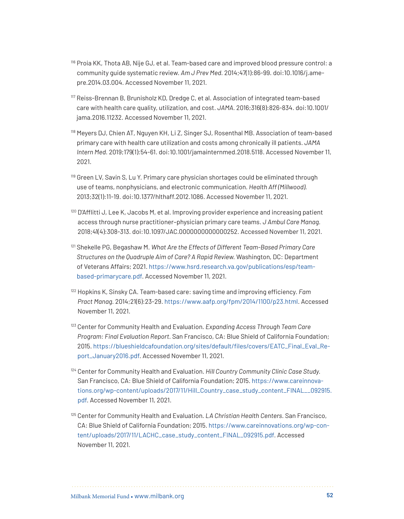- <sup>116</sup> Proia KK, Thota AB, Nije GJ, et al. Team-based care and improved blood pressure control: a community guide systematic review. *Am J Prev Med.* 2014;47(1):86-99. doi:10.1016/j.amepre.2014.03.004. Accessed November 11, 2021.
- <sup>117</sup> Reiss-Brennan B, Brunisholz KD, Dredge C, et al. Association of integrated team-based care with health care quality, utilization, and cost. *JAMA.* 2016;316(8):826-834. doi:10.1001/ jama.2016.11232. Accessed November 11, 2021.
- <sup>118</sup> Meyers DJ, Chien AT, Nguyen KH, Li Z, Singer SJ, Rosenthal MB. Association of team-based primary care with health care utilization and costs among chronically ill patients. *JAMA Intern Med.* 2019;179(1):54-61. doi:10.1001/jamainternmed.2018.5118. Accessed November 11, 2021.
- <sup>119</sup> Green LV, Savin S, Lu Y. Primary care physician shortages could be eliminated through use of teams, nonphysicians, and electronic communication. *Health Aff (Millwood).*  2013;32(1):11-19. doi:10.1377/hlthaff.2012.1086. Accessed November 11, 2021.
- $120$  D'Afflitti J, Lee K, Jacobs M, et al. Improving provider experience and increasing patient access through nurse practitioner–physician primary care teams. *J Ambul Care Manag.*  2018;41(4):308-313. doi:10.1097/JAC.0000000000000252. Accessed November 11, 2021.
- <sup>121</sup> Shekelle PG, Begashaw M. *What Are the Effects of Different Team-Based Primary Care Structures on the Quadruple Aim of Care? A Rapid Review.* Washington, DC: Department of Veterans Affairs; 2021. [https://www.hsrd.research.va.gov/publications/esp/team](https://www.hsrd.research.va.gov/publications/esp/teambased-primarycare.pdf)[based-primarycare.pdf](https://www.hsrd.research.va.gov/publications/esp/teambased-primarycare.pdf). Accessed November 11, 2021.
- <sup>122</sup> Hopkins K, Sinsky CA. Team-based care: saving time and improving efficiency. *Fam Pract Manag.* 2014;21(6):23-29. <https://www.aafp.org/fpm/2014/1100/p23.html>. Accessed November 11, 2021.
- <sup>123</sup> Center for Community Health and Evaluation. *Expanding Access Through Team Care Program: Final Evaluation Report.* San Francisco, CA: Blue Shield of California Foundation; 2015. [https://blueshieldcafoundation.org/sites/default/files/covers/EATC\\_Final\\_Eval\\_Re](https://blueshieldcafoundation.org/sites/default/files/covers/EATC_Final_Eval_Report_January2016.pdf)[port\\_January2016.pdf.](https://blueshieldcafoundation.org/sites/default/files/covers/EATC_Final_Eval_Report_January2016.pdf) Accessed November 11, 2021.
- <sup>124</sup> Center for Community Health and Evaluation. *Hill Country Community Clinic Case Study*. San Francisco, CA: Blue Shield of California Foundation; 2015. [https://www.careinnova](https://www.careinnovations.org/wp-content/uploads/2017/11/Hill_Country_case_study_content_FINAL__092915.pdf)[tions.org/wp-content/uploads/2017/11/Hill\\_Country\\_case\\_study\\_content\\_FINAL\\_\\_092915.](https://www.careinnovations.org/wp-content/uploads/2017/11/Hill_Country_case_study_content_FINAL__092915.pdf) [pdf](https://www.careinnovations.org/wp-content/uploads/2017/11/Hill_Country_case_study_content_FINAL__092915.pdf). Accessed November 11, 2021.
- <sup>125</sup> Center for Community Health and Evaluation. *LA Christian Health Centers.* San Francisco, CA: Blue Shield of California Foundation; 2015. [https://www.careinnovations.org/wp-con](https://www.careinnovations.org/wp-content/uploads/2017/11/LACHC_case_study_content_FINAL_092915.pdf)[tent/uploads/2017/11/LACHC\\_case\\_study\\_content\\_FINAL\\_092915.pdf](https://www.careinnovations.org/wp-content/uploads/2017/11/LACHC_case_study_content_FINAL_092915.pdf). Accessed November 11, 2021.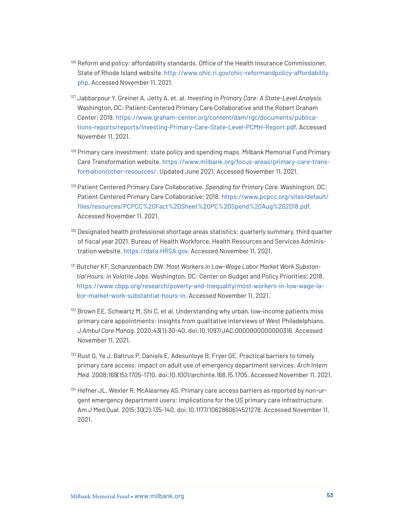- <sup>126</sup> Reform and policy: affordability standards. Office of the Health Insurance Commissioner, State of Rhode Island website. [http://www.ohic.ri.gov/ohic-reformandpolicy-affordability.](http://www.ohic.ri.gov/ohic-reformandpolicy-affordability.php) [php](http://www.ohic.ri.gov/ohic-reformandpolicy-affordability.php). Accessed November 11, 2021.
- <sup>127</sup> Jabbarpour Y, Greiner A, Jetty A, et. al. *Investing in Primary Care: A State-Level Analysis.*  Washington, DC: Patient-Centered Primary Care Collaborative and the Robert Graham Center; 2019. [https://www.graham-center.org/content/dam/rgc/documents/publica](https://www.graham-center.org/content/dam/rgc/documents/publications-reports/reports/Investing-Primary-Care-State-Level-PCMH-Report.pdf)[tions-reports/reports/Investing-Primary-Care-State-Level-PCMH-Report.pdf](https://www.graham-center.org/content/dam/rgc/documents/publications-reports/reports/Investing-Primary-Care-State-Level-PCMH-Report.pdf). Accessed November 11, 2021.
- <sup>128</sup> Primary care investment: state policy and spending maps. Milbank Memorial Fund Primary Care Transformation website. [https://www.milbank.org/focus-areas/primary-care-trans](https://www.milbank.org/focus-areas/primary-care-transformation/other-resources/)[formation/other-resources/](https://www.milbank.org/focus-areas/primary-care-transformation/other-resources/). Updated June 2021. Accessed November 11, 2021.
- <sup>129</sup> Patient Centered Primary Care Collaborative. *Spending for Primary Care.* Washington, DC: Patient Centered Primary Care Collaborative; 2018. [https://www.pcpcc.org/sites/default/](https://www.pcpcc.org/sites/default/files/resources/PCPCC%20Fact%20Sheet%20PC%20Spend%20Aug%202018.pdf) [files/resources/PCPCC%20Fact%20Sheet%20PC%20Spend%20Aug%202018.pdf](https://www.pcpcc.org/sites/default/files/resources/PCPCC%20Fact%20Sheet%20PC%20Spend%20Aug%202018.pdf). Accessed November 11, 2021.
- <sup>130</sup> Designated health professional shortage areas statistics: quarterly summary, third quarter of fiscal year 2021. Bureau of Health Workforce, Health Resources and Services Administration website.<https://data.HRSA.gov>. Accessed November 11, 2021.
- <sup>131</sup> Butcher KF, Schanzenbach DW. *Most Workers in Low-Wage Labor Market Work Substantial Hours, in Volatile Jobs.* Washington, DC: Center on Budget and Policy Priorities; 2018. [https://www.cbpp.org/research/poverty-and-inequality/most-workers-in-low-wage-la](https://www.cbpp.org/research/poverty-and-inequality/most-workers-in-low-wage-labor-market-work-substantial-hours-in)[bor-market-work-substantial-hours-in](https://www.cbpp.org/research/poverty-and-inequality/most-workers-in-low-wage-labor-market-work-substantial-hours-in). Accessed November 11, 2021.
- <sup>132</sup> Brown EE, Schwartz M, Shi C, et al. Understanding why urban, low-income patients miss primary care appointments: insights from qualitative interviews of West Philadelphians. *J Ambul Care Manag.* 2020;43(1):30-40. doi:10.1097/JAC.0000000000000316. Accessed November 11, 2021.
- <sup>133</sup> Rust G, Ye J, Baltrus P, Daniels E, Adesunloye B, Fryer GE. Practical barriers to timely primary care access: impact on adult use of emergency department services. *Arch Intern Med*. 2008;168(15):1705-1710. doi:10.1001/archinte.168.15.1705. Accessed November 11, 2021.
- <sup>134</sup> Hefner JL, Wexler R, McAlearney AS. Primary care access barriers as reported by non-urgent emergency department users: implications for the US primary care infrastructure. Am J Med Qual. 2015;30(2):135-140. doi:10.1177/1062860614521278. Accessed November 11, 2021.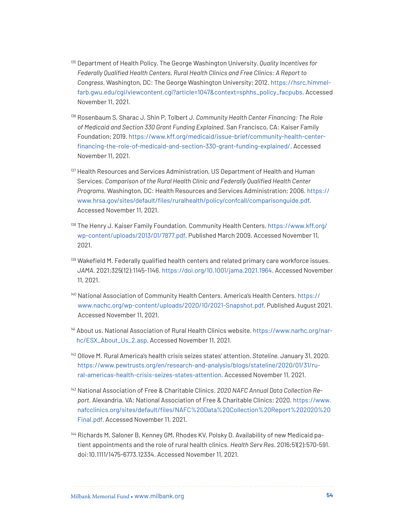- <sup>135</sup> Department of Health Policy, The George Washington University. *Quality Incentives for Federally Qualified Health Centers, Rural Health Clinics and Free Clinics: A Report to Congress.* Washington, DC: The George Washington University; 2012. [https://hsrc.himmel](https://hsrc.himmelfarb.gwu.edu/cgi/viewcontent.cgi?article=1047&context=sphhs_policy_facpubs)[farb.gwu.edu/cgi/viewcontent.cgi?article=1047&context=sphhs\\_policy\\_facpubs](https://hsrc.himmelfarb.gwu.edu/cgi/viewcontent.cgi?article=1047&context=sphhs_policy_facpubs). Accessed November 11, 2021.
- <sup>136</sup> Rosenbaum S, Sharac J, Shin P, Tolbert J. *Community Health Center Financing: The Role of Medicaid and Section 330 Grant Funding Explained.* San Francisco, CA: Kaiser Family Foundation; 2019. [https://www.kff.org/medicaid/issue-brief/community-health-center](https://www.kff.org/medicaid/issue-brief/community-health-center-financing-the-role-of-medicaid-and-section-330-grant-funding-explained/)[financing-the-role-of-medicaid-and-section-330-grant-funding-explained/](https://www.kff.org/medicaid/issue-brief/community-health-center-financing-the-role-of-medicaid-and-section-330-grant-funding-explained/). Accessed November 11, 2021.
- <sup>137</sup> Health Resources and Services Administration, US Department of Health and Human Services. *Comparison of the Rural Health Clinic and Federally Qualified Health Center Programs.* Washington, DC: Health Resources and Services Administration; 2006. [https://](https://www.hrsa.gov/sites/default/files/ruralhealth/policy/confcall/comparisonguide.pdf) [www.hrsa.gov/sites/default/files/ruralhealth/policy/confcall/comparisonguide.pdf](https://www.hrsa.gov/sites/default/files/ruralhealth/policy/confcall/comparisonguide.pdf). Accessed November 11, 2021.
- <sup>138</sup> The Henry J. Kaiser Family Foundation. Community Health Centers. [https://www.kff.org/](https://www.kff.org/wp-content/uploads/2013/01/7877.pdf) [wp-content/uploads/2013/01/7877.pdf.](https://www.kff.org/wp-content/uploads/2013/01/7877.pdf) Published March 2009. Accessed November 11, 2021.
- <sup>139</sup> Wakefield M. Federally qualified health centers and related primary care workforce issues. *JAMA.* 2021;325(12):1145-1146.<https://doi.org/10.1001/jama.2021.1964>. Accessed November 11, 2021.
- <sup>140</sup> National Association of Community Health Centers. America's Health Centers. [https://](https://www.nachc.org/wp-content/uploads/2020/10/2021-Snapshot.pdf) [www.nachc.org/wp-content/uploads/2020/10/2021-Snapshot.pdf](https://www.nachc.org/wp-content/uploads/2020/10/2021-Snapshot.pdf). Published August 2021. Accessed November 11, 2021.
- <sup>141</sup> About us. National Association of Rural Health Clinics website. [https://www.narhc.org/nar](https://www.narhc.org/narhc/ESX_About_Us_2.asp)[hc/ESX\\_About\\_Us\\_2.asp.](https://www.narhc.org/narhc/ESX_About_Us_2.asp) Accessed November 11, 2021.
- <sup>142</sup> Ollove M. Rural America's health crisis seizes states' attention. *Stateline.* January 31, 2020. [https://www.pewtrusts.org/en/research-and-analysis/blogs/stateline/2020/01/31/ru](https://www.pewtrusts.org/en/research-and-analysis/blogs/stateline/2020/01/31/rural-americas-health-crisis-seizes-states-attention)[ral-americas-health-crisis-seizes-states-attention](https://www.pewtrusts.org/en/research-and-analysis/blogs/stateline/2020/01/31/rural-americas-health-crisis-seizes-states-attention). Accessed November 11, 2021.
- <sup>143</sup> National Association of Free & Charitable Clinics. *2020 NAFC Annual Data Collection Report.* Alexandria, VA: National Association of Free & Charitable Clinics; 2020. [https://www.](https://www.nafcclinics.org/sites/default/files/NAFC%20Data%20Collection%20Report%202020%20Final.pdf) [nafcclinics.org/sites/default/files/NAFC%20Data%20Collection%20Report%202020%20](https://www.nafcclinics.org/sites/default/files/NAFC%20Data%20Collection%20Report%202020%20Final.pdf) [Final.pdf](https://www.nafcclinics.org/sites/default/files/NAFC%20Data%20Collection%20Report%202020%20Final.pdf). Accessed November 11, 2021.
- <sup>144</sup> Richards M, Saloner B, Kenney GM, Rhodes KV, Polsky D. Availability of new Medicaid patient appointments and the role of rural health clinics. *Health Serv Res.* 2016;51(2):570-591. doi:10.1111/1475-6773.12334. Accessed November 11, 2021.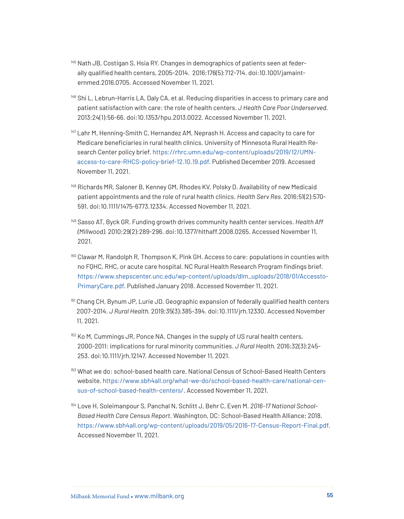- <sup>145</sup> Nath JB, Costigan S, Hsia RY. Changes in demographics of patients seen at federally qualified health centers, 2005-2014. 2016;176(5):712-714. doi:10.1001/jamainternmed.2016.0705. Accessed November 11, 2021.
- <sup>146</sup> Shi L, Lebrun-Harris LA, Daly CA, et al. Reducing disparities in access to primary care and patient satisfaction with care: the role of health centers. *J Health Care Poor Underserved.*  2013;24(1):56-66. doi:10.1353/hpu.2013.0022. Accessed November 11, 2021.
- <sup>147</sup> Lahr M, Henning-Smith C, Hernandez AM, Neprash H. Access and capacity to care for Medicare beneficiaries in rural health clinics. University of Minnesota Rural Health Research Center policy brief. [https://rhrc.umn.edu/wp-content/uploads/2019/12/UMN](https://rhrc.umn.edu/wp-content/uploads/2019/12/UMN-access-to-care-RHCS-policy-brief-12.10.19.pdf)[access-to-care-RHCS-policy-brief-12.10.19.pdf.](https://rhrc.umn.edu/wp-content/uploads/2019/12/UMN-access-to-care-RHCS-policy-brief-12.10.19.pdf) Published December 2019. Accessed November 11, 2021.
- <sup>148</sup> Richards MR, Saloner B, Kenney GM, Rhodes KV, Polsky D. Availability of new Medicaid patient appointments and the role of rural health clinics. *Health Serv Res.* 2016;51(2):570- 591. doi:10.1111/1475-6773.12334. Accessed November 11, 2021.
- <sup>149</sup> Sasso AT, Byck GR. Funding growth drives community health center services. *Health Aff (Millwood).* 2010;29(2):289-296. doi:10.1377/hlthaff.2008.0265. Accessed November 11, 2021.
- <sup>150</sup> Clawar M, Randolph R, Thompson K, Pink GH. Access to care: populations in counties with no FQHC, RHC, or acute care hospital. NC Rural Health Research Program findings brief. [https://www.shepscenter.unc.edu/wp-content/uploads/dlm\\_uploads/2018/01/Accessto](https://www.shepscenter.unc.edu/wp-content/uploads/dlm_uploads/2018/01/AccesstoPrimaryCare.pdf)-[PrimaryCare.pdf.](https://www.shepscenter.unc.edu/wp-content/uploads/dlm_uploads/2018/01/AccesstoPrimaryCare.pdf) Published January 2018. Accessed November 11, 2021.
- <sup>151</sup> Chang CH, Bynum JP, Lurie JD. Geographic expansion of federally qualified health centers 2007-2014. *J Rural Health.* 2019;35(3):385-394. doi:10.1111/jrh.12330. Accessed November 11, 2021.
- <sup>152</sup> Ko M, Cummings JR, Ponce NA. Changes in the supply of US rural health centers, 2000‐2011: implications for rural minority communities. *J Rural Health.* 2016;32(3):245- 253. doi:10.1111/jrh.12147. Accessed November 11, 2021.
- <sup>153</sup> What we do: school-based health care. National Census of School-Based Health Centers website. [https://www.sbh4all.org/what-we-do/school-based-health-care/national-cen](https://www.sbh4all.org/what-we-do/school-based-health-care/national-census-of-school-based-health-centers/)[sus-of-school-based-health-centers/](https://www.sbh4all.org/what-we-do/school-based-health-care/national-census-of-school-based-health-centers/). Accessed November 11, 2021.
- <sup>154</sup> Love H, Soleimanpour S, Panchal N, Schlitt J, Behr C, Even M. *2016-17 National School-Based Health Care Census Report.* Washington, DC: School-Based Health Alliance; 2018. <https://www.sbh4all.org/wp-content/uploads/2019/05/2016-17-Census-Report-Final.pdf>. Accessed November 11, 2021.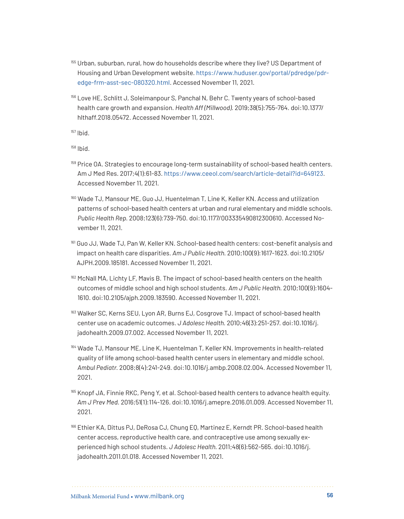- <sup>155</sup> Urban, suburban, rural, how do households describe where they live? US Department of Housing and Urban Development website. [https://www.huduser.gov/portal/pdredge/pdr](https://www.huduser.gov/portal/pdredge/pdr-edge-frm-asst-sec-080320.html)[edge-frm-asst-sec-080320.html](https://www.huduser.gov/portal/pdredge/pdr-edge-frm-asst-sec-080320.html). Accessed November 11, 2021.
- <sup>156</sup> Love HE, Schlitt J, Soleimanpour S, Panchal N, Behr C. Twenty years of school-based health care growth and expansion. *Health Aff (Millwood).* 2019;38(5):755-764. doi:10.1377/ hlthaff.2018.05472. Accessed November 11, 2021.

- <sup>159</sup> Price OA. Strategies to encourage long-term sustainability of school-based health centers. Am J Med Res. 2017;4(1):61-83.<https://www.ceeol.com/search/article-detail?id=649123>. Accessed November 11, 2021.
- <sup>160</sup> Wade TJ, Mansour ME, Guo JJ, Huentelman T, Line K, Keller KN. Access and utilization patterns of school-based health centers at urban and rural elementary and middle schools. *Public Health Rep.* 2008;123(6):739-750. doi:10.1177/003335490812300610. Accessed November 11, 2021.
- <sup>161</sup> Guo JJ, Wade TJ, Pan W, Keller KN. School-based health centers: cost-benefit analysis and impact on health care disparities. *Am J Public Health.* 2010;100(9):1617-1623. doi:10.2105/ AJPH.2009.185181. Accessed November 11, 2021.
- <sup>162</sup> McNall MA, Lichty LF, Mavis B. The impact of school-based health centers on the health outcomes of middle school and high school students. *Am J Public Health.* 2010;100(9):1604- 1610. doi:10.2105/ajph.2009.183590. Accessed November 11, 2021.
- <sup>163</sup> Walker SC, Kerns SEU, Lyon AR, Burns EJ, Cosgrove TJ. Impact of school-based health center use on academic outcomes. *J Adolesc Health.* 2010;46(3):251-257. doi:10.1016/j. jadohealth.2009.07.002. Accessed November 11, 2021.
- <sup>164</sup> Wade TJ, Mansour ME, Line K, Huentelman T, Keller KN. Improvements in health-related quality of life among school-based health center users in elementary and middle school. *Ambul Pediatr.* 2008;8(4):241-249. doi:10.1016/j.ambp.2008.02.004. Accessed November 11, 2021.
- 165 Knopf JA, Finnie RKC, Peng Y, et al. School-based health centers to advance health equity. *Am J Prev Med.* 2016;51(1):114-126. doi:10.1016/j.amepre.2016.01.009. Accessed November 11, 2021.
- <sup>166</sup> Ethier KA, Dittus PJ, DeRosa CJ, Chung EQ, Martinez E, Kerndt PR. School-based health center access, reproductive health care, and contraceptive use among sexually experienced high school students. *J Adolesc Health.* 2011;48(6):562-565. doi:10.1016/j. jadohealth.2011.01.018. Accessed November 11, 2021.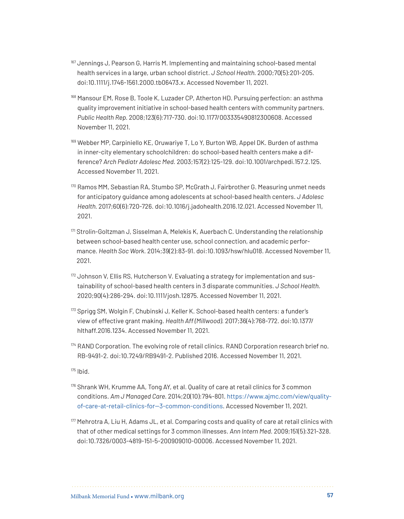- <sup>167</sup> Jennings J, Pearson G, Harris M. Implementing and maintaining school-based mental health services in a large, urban school district. *J School Health.* 2000;70(5):201-205. doi:10.1111/j.1746-1561.2000.tb06473.x. Accessed November 11, 2021.
- <sup>168</sup> Mansour EM, Rose B, Toole K, Luzader CP, Atherton HD. Pursuing perfection: an asthma quality improvement initiative in school-based health centers with community partners. *Public Health Rep.* 2008;123(6):717-730. doi:10.1177/003335490812300608. Accessed November 11, 2021.
- <sup>169</sup> Webber MP, Carpiniello KE, Oruwariye T, Lo Y, Burton WB, Appel DK. Burden of asthma in inner-city elementary schoolchildren: do school-based health centers make a difference? *Arch Pediatr Adolesc Med.* 2003;157(2):125-129. doi:10.1001/archpedi.157.2.125. Accessed November 11, 2021.
- <sup>170</sup> Ramos MM, Sebastian RA, Stumbo SP, McGrath J, Fairbrother G. Measuring unmet needs for anticipatory guidance among adolescents at school-based health centers. *J Adolesc Health.* 2017;60(6):720-726. doi:10.1016/j.jadohealth.2016.12.021. Accessed November 11, 2021.
- <sup>171</sup> Strolin-Goltzman J, Sisselman A, Melekis K, Auerbach C. Understanding the relationship between school-based health center use, school connection, and academic performance. *Health Soc Work.* 2014;39(2):83-91. doi:10.1093/hsw/hlu018. Accessed November 11, 2021.
- <sup>172</sup> Johnson V, Ellis RS, Hutcherson V. Evaluating a strategy for implementation and sustainability of school‐based health centers in 3 disparate communities. *J School Health.*  2020;90(4):286-294. doi:10.1111/josh.12875. Accessed November 11, 2021.
- <sup>173</sup> Sprigg SM, Wolgin F, Chubinski J, Keller K. School-based health centers: a funder's view of effective grant making. *Health Aff (Millwood).* 2017;36(4):768-772. doi:10.1377/ hlthaff.2016.1234. Accessed November 11, 2021.
- 174 RAND Corporation. The evolving role of retail clinics. RAND Corporation research brief no. RB-9491-2. doi:10.7249/RB9491-2. Published 2016. Accessed November 11, 2021.

 $175$  Ihid.

- <sup>176</sup> Shrank WH, Krumme AA, Tong AY, et al. Quality of care at retail clinics for 3 common conditions. *Am J Managed Care.* 2014;20(10):794-801. [https://www.ajmc.com/view/quality](https://www.ajmc.com/view/quality-of-care-at-retail-clinics-for--3-common-conditions)[of-care-at-retail-clinics-for--3-common-conditions.](https://www.ajmc.com/view/quality-of-care-at-retail-clinics-for--3-common-conditions) Accessed November 11, 2021.
- <sup>177</sup> Mehrotra A, Liu H, Adams JL, et al. Comparing costs and quality of care at retail clinics with that of other medical settings for 3 common illnesses. *Ann Intern Med.* 2009;151(5):321-328. doi:10.7326/0003-4819-151-5-200909010-00006. Accessed November 11, 2021.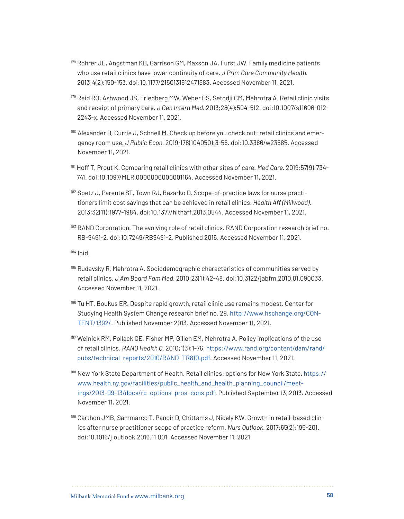- <sup>178</sup> Rohrer JE, Angstman KB, Garrison GM, Maxson JA, Furst JW. Family medicine patients who use retail clinics have lower continuity of care. *J Prim Care Community Health.* 2013;4(2):150-153. doi:10.1177/2150131912471683. Accessed November 11, 2021.
- <sup>179</sup> Reid RO, Ashwood JS, Friedberg MW, Weber ES, Setodji CM, Mehrotra A. Retail clinic visits and receipt of primary care. *J Gen Intern Med.* 2013;28(4):504-512. doi:10.1007/s11606-012- 2243-x. Accessed November 11, 2021.
- <sup>180</sup> Alexander D, Currie J, Schnell M. Check up before you check out: retail clinics and emergency room use. *J Public Econ.* 2019;178(104050):3-55. doi:10.3386/w23585. Accessed November 11, 2021.
- <sup>181</sup> Hoff T, Prout K. Comparing retail clinics with other sites of care. *Med Care.* 2019;57(9):734- 741. doi:10.1097/MLR.0000000000001164. Accessed November 11, 2021.
- 182 Spetz J, Parente ST, Town RJ, Bazarko D. Scope-of-practice laws for nurse practitioners limit cost savings that can be achieved in retail clinics. *Health Aff (Millwood).* 2013;32(11):1977-1984. doi:10.1377/hlthaff.2013.0544. Accessed November 11, 2021.
- <sup>183</sup> RAND Corporation. The evolving role of retail clinics. RAND Corporation research brief no. RB-9491-2. doi:10.7249/RB9491-2. Published 2016. Accessed November 11, 2021.

- $185$  Rudavsky R, Mehrotra A. Sociodemographic characteristics of communities served by retail clinics. *J Am Board Fam Med.* 2010;23(1):42-48. doi:10.3122/jabfm.2010.01.090033. Accessed November 11, 2021.
- 186 Tu HT, Boukus ER. Despite rapid growth, retail clinic use remains modest. Center for Studying Health System Change research brief no. 29. [http://www.hschange.org/CON](http://www.hschange.org/CONTENT/1392/)-[TENT/1392/](http://www.hschange.org/CONTENT/1392/). Published November 2013. Accessed November 11, 2021.
- 187 Weinick RM, Pollack CE, Fisher MP, Gillen EM, Mehrotra A. Policy implications of the use of retail clinics. *RAND Health Q.* 2010;1(3):1-76. [https://www.rand.org/content/dam/rand/](https://www.rand.org/content/dam/rand/pubs/technical_reports/2010/RAND_TR810.pdf) [pubs/technical\\_reports/2010/RAND\\_TR810.pdf](https://www.rand.org/content/dam/rand/pubs/technical_reports/2010/RAND_TR810.pdf). Accessed November 11, 2021.
- <sup>188</sup> New York State Department of Health. Retail clinics: options for New York State. [https://](https://www.health.ny.gov/facilities/public_health_and_health_planning_council/meetings/2013-09-13/docs/rc_options_pros_cons.pdf) [www.health.ny.gov/facilities/public\\_health\\_and\\_health\\_planning\\_council/meet](https://www.health.ny.gov/facilities/public_health_and_health_planning_council/meetings/2013-09-13/docs/rc_options_pros_cons.pdf)[ings/2013-09-13/docs/rc\\_options\\_pros\\_cons.pdf](https://www.health.ny.gov/facilities/public_health_and_health_planning_council/meetings/2013-09-13/docs/rc_options_pros_cons.pdf). Published September 13, 2013. Accessed November 11, 2021.
- 189 Carthon JMB, Sammarco T, Pancir D, Chittams J, Nicely KW. Growth in retail-based clinics after nurse practitioner scope of practice reform*. Nurs Outlook.* 2017;65(2):195-201. doi:10.1016/j.outlook.2016.11.001. Accessed November 11, 2021.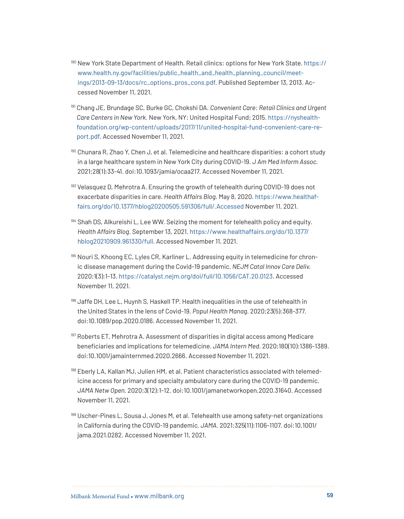- <sup>190</sup> New York State Department of Health. Retail clinics: options for New York State. [https://](https://www.health.ny.gov/facilities/public_health_and_health_planning_council/meetings/2013-09-13/docs/rc_options_pros_cons.pdf) [www.health.ny.gov/facilities/public\\_health\\_and\\_health\\_planning\\_council/meet](https://www.health.ny.gov/facilities/public_health_and_health_planning_council/meetings/2013-09-13/docs/rc_options_pros_cons.pdf)[ings/2013-09-13/docs/rc\\_options\\_pros\\_cons.pdf](https://www.health.ny.gov/facilities/public_health_and_health_planning_council/meetings/2013-09-13/docs/rc_options_pros_cons.pdf). Published September 13, 2013. Accessed November 11, 2021.
- <sup>191</sup> Chang JE, Brundage SC, Burke GC, Chokshi DA. *Convenient Care: Retail Clinics and Urgent Care Centers in New York.* New York, NY: United Hospital Fund; 2015. [https://nyshealth](https://nyshealthfoundation.org/wp-content/uploads/2017/11/united-hospital-fund-convenient-care-report.pdf)[foundation.org/wp-content/uploads/2017/11/united-hospital-fund-convenient-care-re](https://nyshealthfoundation.org/wp-content/uploads/2017/11/united-hospital-fund-convenient-care-report.pdf)[port.pdf](https://nyshealthfoundation.org/wp-content/uploads/2017/11/united-hospital-fund-convenient-care-report.pdf). Accessed November 11, 2021.
- $192$  Chunara R, Zhao Y, Chen J, et al. Telemedicine and healthcare disparities: a cohort study in a large healthcare system in New York City during COVID-19. *J Am Med Inform Assoc.*  2021;28(1):33-41. doi:10.1093/jamia/ocaa217. Accessed November 11, 2021.
- 193 Velasquez D, Mehrotra A. Ensuring the growth of telehealth during COVID-19 does not exacerbate disparities in care. *Health Affairs Blog.* May 8, 2020. [https://www.healthaf](https://www.healthaffairs.org/do/10.1377/hblog20200505.591306/full/.Accessed)[fairs.org/do/10.1377/hblog20200505.591306/full/.Accessed](https://www.healthaffairs.org/do/10.1377/hblog20200505.591306/full/.Accessed) November 11, 2021.
- 194 Shah DS, Alkureishi L, Lee WW. Seizing the moment for telehealth policy and equity. *Health Affairs Blog.* September 13, 2021. [https://www.healthaffairs.org/do/10.1377/](https://www.healthaffairs.org/do/10.1377/hblog20210909.961330/full) [hblog20210909.961330/full](https://www.healthaffairs.org/do/10.1377/hblog20210909.961330/full). Accessed November 11, 2021.
- <sup>195</sup> Nouri S, Khoong EC, Lyles CR, Karliner L. Addressing equity in telemedicine for chronic disease management during the Covid-19 pandemic. *NEJM Catal Innov Care Deliv.*  2020;1(3):1-13.<https://catalyst.nejm.org/doi/full/10.1056/CAT.20.0123>. Accessed November 11, 2021.
- <sup>196</sup> Jaffe DH, Lee L, Huynh S, Haskell TP. Health inequalities in the use of telehealth in the United States in the lens of Covid-19. *Popul Health Manag.* 2020;23(5):368-377. doi:10.1089/pop.2020.0186. Accessed November 11, 2021.
- 197 Roberts ET, Mehrotra A. Assessment of disparities in digital access among Medicare beneficiaries and implications for telemedicine. *JAMA Intern Med.* 2020;180(10):1386-1389. doi:10.1001/jamainternmed.2020.2666. Accessed November 11, 2021.
- <sup>198</sup> Eberly LA, Kallan MJ, Julien HM, et al. Patient characteristics associated with telemedicine access for primary and specialty ambulatory care during the COVID-19 pandemic. *JAMA Netw Open.* 2020;3(12):1-12. doi:10.1001/jamanetworkopen.2020.31640. Accessed November 11, 2021.
- <sup>199</sup> Uscher-Pines L, Sousa J, Jones M, et al. Telehealth use among safety-net organizations in California during the COVID-19 pandemic. *JAMA.* 2021;325(11):1106-1107. doi:10.1001/ jama.2021.0282. Accessed November 11, 2021.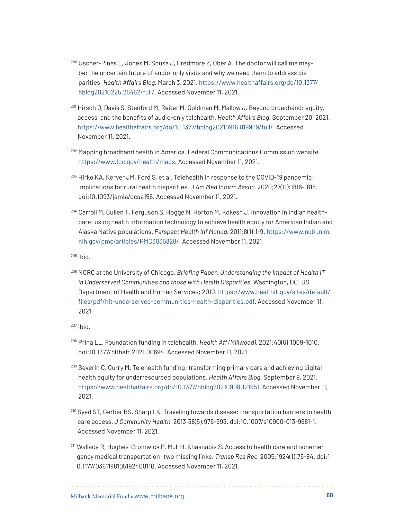- <sup>200</sup> Uscher-Pines L, Jones M, Sousa J, Predmore Z, Ober A. The doctor will call me maybe: the uncertain future of audio-only visits and why we need them to address disparities. *Health Affairs Blog.* March 3, 2021. [https://www.healthaffairs.org/do/10.1377/](https://www.healthaffairs.org/do/10.1377/hblog20210225.26462/full/) [hblog20210225.26462/full/.](https://www.healthaffairs.org/do/10.1377/hblog20210225.26462/full/) Accessed November 11, 2021.
- <sup>201</sup> Hirsch Q, Davis S, Stanford M, Reiter M, Goldman M, Mallow J. Beyond broadband: equity, access, and the benefits of audio-only telehealth. *Health Affairs Blog.* September 20, 2021. <https://www.healthaffairs.org/do/10.1377/hblog20210916.819969/full/>. Accessed November 11, 2021.
- <sup>202</sup> Mapping broadband health in America. Federal Communications Commission website. <https://www.fcc.gov/health/maps>. Accessed November 11, 2021.
- <sup>203</sup> Hirko KA, Kerver JM, Ford S, et al. Telehealth in response to the COVID-19 pandemic: implications for rural health disparities. *J Am Med Inform Assoc.* 2020;27(11):1816-1818. doi:10.1093/jamia/ocaa156. Accessed November 11, 2021.
- <sup>204</sup> Carroll M, Cullen T, Ferguson S, Hogge N, Horton M, Kokesh J. Innovation in Indian healthcare: using health information technology to achieve health equity for American Indian and Alaska Native populations. *Perspect Health Inf Manag.* 2011;8(1):1-9. [https://www.ncbi.nlm.](https://www.ncbi.nlm.nih.gov/pmc/articles/PMC3035828/) [nih.gov/pmc/articles/PMC3035828/](https://www.ncbi.nlm.nih.gov/pmc/articles/PMC3035828/). Accessed November 11, 2021.

<sup>206</sup> NORC at the University of Chicago. *Briefing Paper: Understanding the Impact of Health IT in Underserved Communities and those with Health Disparities.* Washington, DC: US Department of Health and Human Services; 2010. [https://www.healthit.gov/sites/default/](https://www.healthit.gov/sites/default/files/pdf/hit-underserved-communities-health-disparities.pdf) [files/pdf/hit-underserved-communities-health-disparities.pdf](https://www.healthit.gov/sites/default/files/pdf/hit-underserved-communities-health-disparities.pdf). Accessed November 11, 2021.

- <sup>208</sup> Prina LL. Foundation funding in telehealth. *Health Aff (Millwood).* 2021;40(6):1009-1010. doi:10.1377/hlthaff.2021.00694. Accessed November 11, 2021.
- 209 Severin C, Curry M. Telehealth funding: transforming primary care and achieving digital health equity for underresourced populations. *Health Affairs Blog.* September 9, 2021. [https://www.healthaffairs.org/do/10.1377/hblog20210908.121951](https://www.healthaffairs.org/do/10.1377/forefront.20210908.121951). Accessed November 11, 2021.
- <sup>210</sup> Syed ST, Gerber BS, Sharp LK. Traveling towards disease: transportation barriers to health care access. *J Community Health.* 2013;38(5):976-993. doi:10.1007/s10900-013-9681-1. Accessed November 11, 2021.
- <sup>211</sup> Wallace R, Hughes-Cromwick P, Mull H, Khasnabis S. Access to health care and nonemergency medical transportation: two missing links. *Transp Res Rec.* 2005;1924(1):76-84. doi:1 0.1177/0361198105192400110. Accessed November 11, 2021.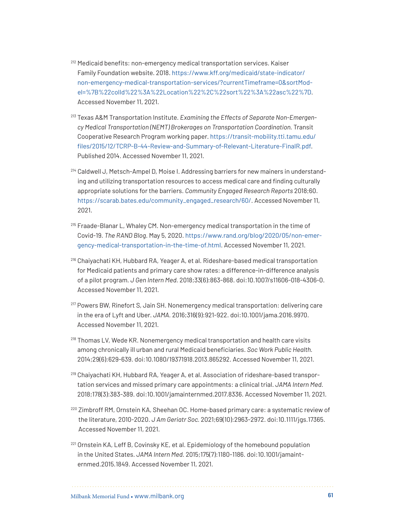- <sup>212</sup> Medicaid benefits: non-emergency medical transportation services. Kaiser Family Foundation website. 2018. [https://www.kff.org/medicaid/state-indicator/](https://www.kff.org/medicaid/state-indicator/non-emergency-medical-transportation-services/?currentTimeframe=0&sortModel=%7B%22colId%22%3A%22Location%22%2C%22sort%22%3A%22asc%22%7D) [non-emergency-medical-transportation-services/?currentTimeframe=0&sortMod](https://www.kff.org/medicaid/state-indicator/non-emergency-medical-transportation-services/?currentTimeframe=0&sortModel=%7B%22colId%22%3A%22Location%22%2C%22sort%22%3A%22asc%22%7D)[el=%7B%22colId%22%3A%22Location%22%2C%22sort%22%3A%22asc%22%7D](https://www.kff.org/medicaid/state-indicator/non-emergency-medical-transportation-services/?currentTimeframe=0&sortModel=%7B%22colId%22%3A%22Location%22%2C%22sort%22%3A%22asc%22%7D). Accessed November 11, 2021.
- <sup>213</sup> Texas A&M Transportation Institute. *Examining the Effects of Separate Non-Emergency Medical Transportation (NEMT) Brokerages on Transportation Coordination.* Transit Cooperative Research Program working paper. [https://transit-mobility.tti.tamu.edu/](https://transit-mobility.tti.tamu.edu/files/2015/12/TCRP-B-44-Review-and-Summary-of-Relevant-Literature-FinalR.pdf) [files/2015/12/TCRP-B-44-Review-and-Summary-of-Relevant-Literature-FinalR.pdf](https://transit-mobility.tti.tamu.edu/files/2015/12/TCRP-B-44-Review-and-Summary-of-Relevant-Literature-FinalR.pdf). Published 2014. Accessed November 11, 2021.
- <sup>214</sup> Caldwell J, Metsch-Ampel D, Moise I. Addressing barriers for new mainers in understanding and utilizing transportation resources to access medical care and finding culturally appropriate solutions for the barriers. *Community Engaged Research Reports* 2018;60. [https://scarab.bates.edu/community\\_engaged\\_research/60/](https://scarab.bates.edu/community_engaged_research/60/). Accessed November 11, 2021.
- <sup>215</sup> Fraade-Blanar L, Whaley CM. Non-emergency medical transportation in the time of Covid-19. *The RAND Blog.* May 5, 2020. [https://www.rand.org/blog/2020/05/non-emer](https://www.rand.org/blog/2020/05/non-emergency-medical-transportation-in-the-time-of.html)[gency-medical-transportation-in-the-time-of.html](https://www.rand.org/blog/2020/05/non-emergency-medical-transportation-in-the-time-of.html). Accessed November 11, 2021.
- <sup>216</sup> Chaiyachati KH, Hubbard RA, Yeager A, et al. Rideshare-based medical transportation for Medicaid patients and primary care show rates: a difference-in-difference analysis of a pilot program. *J Gen Intern Med.* 2018;33(6):863-868. doi:10.1007/s11606-018-4306-0. Accessed November 11, 2021.
- <sup>217</sup> Powers BW, Rinefort S, Jain SH. Nonemergency medical transportation: delivering care in the era of Lyft and Uber. *JAMA.* 2016;316(9):921-922. doi:10.1001/jama.2016.9970. Accessed November 11, 2021.
- <sup>218</sup> Thomas LV, Wede KR. Nonemergency medical transportation and health care visits among chronically ill urban and rural Medicaid beneficiaries. *Soc Work Public Health.*  2014;29(6):629-639. doi:10.1080/19371918.2013.865292. Accessed November 11, 2021.
- <sup>219</sup> Chaiyachati KH, Hubbard RA, Yeager A, et al. Association of rideshare-based transportation services and missed primary care appointments: a clinical trial. *JAMA Intern Med.*  2018;178(3):383-389. doi:10.1001/jamainternmed.2017.8336. Accessed November 11, 2021.
- <sup>220</sup> Zimbroff RM, Ornstein KA, Sheehan OC. Home-based primary care: a systematic review of the literature, 2010-2020. *J Am Geriatr Soc.* 2021;69(10):2963-2972. doi:10.1111/jgs.17365. Accessed November 11, 2021.
- <sup>221</sup> Ornstein KA, Leff B, Covinsky KE, et al. Epidemiology of the homebound population in the United States. *JAMA Intern Med.* 2015;175(7):1180-1186. doi:10.1001/jamainternmed.2015.1849. Accessed November 11, 2021.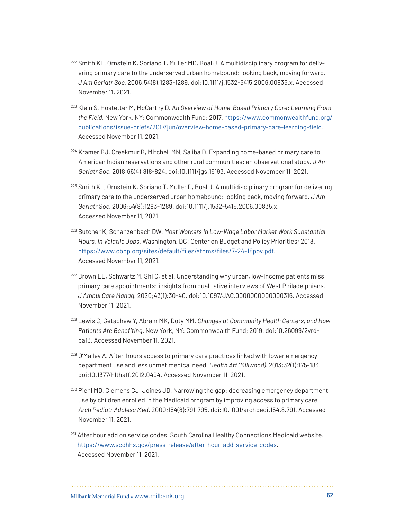- <sup>222</sup> Smith KL, Ornstein K, Soriano T, Muller MD, Boal J. A multidisciplinary program for delivering primary care to the underserved urban homebound: looking back, moving forward. *J Am Geriatr Soc.* 2006;54(8):1283-1289. doi:10.1111/j.1532-5415.2006.00835.x. Accessed November 11, 2021.
- <sup>223</sup> Klein S, Hostetter M, McCarthy D. *An Overview of Home-Based Primary Care: Learning From the Field.* New York, NY: Commonwealth Fund; 2017. [https://www.commonwealthfund.org/](https://www.commonwealthfund.org/publications/issue-briefs/2017/jun/overview-home-based-primary-care-learning-field) [publications/issue-briefs/2017/jun/overview-home-based-primary-care-learning-field](https://www.commonwealthfund.org/publications/issue-briefs/2017/jun/overview-home-based-primary-care-learning-field). Accessed November 11, 2021.
- <sup>224</sup> Kramer BJ, Creekmur B, Mitchell MN, Saliba D. Expanding home-based primary care to American Indian reservations and other rural communities: an observational study. *J Am Geriatr Soc.* 2018;66(4):818-824. doi:10.1111/jgs.15193. Accessed November 11, 2021.
- <sup>225</sup> Smith KL, Ornstein K, Soriano T, Muller D, Boal J. A multidisciplinary program for delivering primary care to the underserved urban homebound: looking back, moving forward. *J Am Geriatr Soc.* 2006;54(8):1283-1289. doi:10.1111/j.1532-5415.2006.00835.x. Accessed November 11, 2021.
- <sup>226</sup> Butcher K, Schanzenbach DW. *Most Workers In Low-Wage Labor Market Work Substantial Hours, in Volatile Jobs.* Washington, DC: Center on Budget and Policy Priorities; 2018. <https://www.cbpp.org/sites/default/files/atoms/files/7-24-18pov.pdf>. Accessed November 11, 2021.
- <sup>227</sup> Brown EE, Schwartz M, Shi C, et al. Understanding why urban, low-income patients miss primary care appointments: insights from qualitative interviews of West Philadelphians. *J Ambul Care Manag.* 2020;43(1):30-40. doi:10.1097/JAC.0000000000000316. Accessed November 11, 2021.
- <sup>228</sup> Lewis C, Getachew Y, Abram MK, Doty MM. *Changes at Community Health Centers, and How Patients Are Benefiting*. New York, NY: Commonwealth Fund; 2019. doi:10.26099/2yrdpa13. Accessed November 11, 2021.
- <sup>229</sup> O'Malley A. After-hours access to primary care practices linked with lower emergency department use and less unmet medical need. *Health Aff (Millwood).* 2013;32(1):175-183. doi:10.1377/hlthaff.2012.0494. Accessed November 11, 2021.
- <sup>230</sup> Piehl MD, Clemens CJ, Joines JD. Narrowing the gap: decreasing emergency department use by children enrolled in the Medicaid program by improving access to primary care. *Arch Pediatr Adolesc Med.* 2000;154(8):791-795. doi:10.1001/archpedi.154.8.791. Accessed November 11, 2021.
- <sup>231</sup> After hour add on service codes. South Carolina Healthy Connections Medicaid website. [https://www.scdhhs.gov/press-release/after-hour-add-service-codes.](https://www.scdhhs.gov/press-release/after-hour-add-service-codes) Accessed November 11, 2021.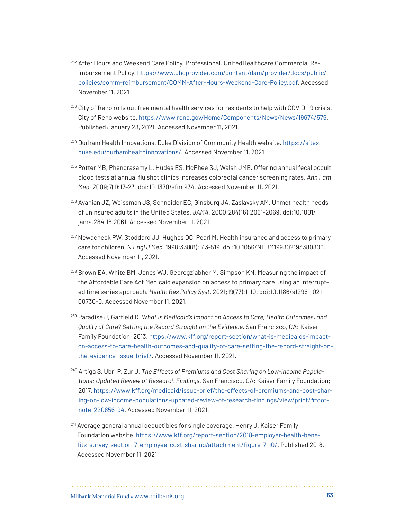- <sup>232</sup> After Hours and Weekend Care Policy, Professional. UnitedHealthcare Commercial Reimbursement Policy. [https://www.uhcprovider.com/content/dam/provider/docs/public/](https://www.uhcprovider.com/content/dam/provider/docs/public/policies/comm-reimbursement/COMM-After-Hours-Weekend-Care-Policy.pdf) [policies/comm-reimbursement/COMM-After-Hours-Weekend-Care-Policy.pdf](https://www.uhcprovider.com/content/dam/provider/docs/public/policies/comm-reimbursement/COMM-After-Hours-Weekend-Care-Policy.pdf). Accessed November 11, 2021.
- <sup>233</sup> City of Reno rolls out free mental health services for residents to help with COVID-19 crisis. City of Reno website. <https://www.reno.gov/Home/Components/News/News/19674/576>. Published January 28, 2021. Accessed November 11, 2021.
- <sup>234</sup> Durham Health Innovations. Duke Division of Community Health website. [https://sites.](https://sites.duke.edu/durhamhealthinnovations/) [duke.edu/durhamhealthinnovations/](https://sites.duke.edu/durhamhealthinnovations/). Accessed November 11, 2021.
- <sup>235</sup> Potter MB, Phengrasamy L, Hudes ES, McPhee SJ, Walsh JME. Offering annual fecal occult blood tests at annual flu shot clinics increases colorectal cancer screening rates. *Ann Fam Med.* 2009;7(1):17-23. doi:10.1370/afm.934. Accessed November 11, 2021.
- <sup>236</sup> Ayanian JZ, Weissman JS, Schneider EC, Ginsburg JA, Zaslavsky AM. Unmet health needs of uninsured adults in the United States. *JAMA.* 2000;284(16):2061-2069. doi:10.1001/ jama.284.16.2061. Accessed November 11, 2021.
- <sup>237</sup> Newacheck PW, Stoddard JJ, Hughes DC, Pearl M. Health insurance and access to primary care for children. *N Engl J Med.* 1998;338(8):513-519. doi:10.1056/NEJM199802193380806. Accessed November 11, 2021.
- <sup>238</sup> Brown EA, White BM, Jones WJ, Gebregziabher M, Simpson KN. Measuring the impact of the Affordable Care Act Medicaid expansion on access to primary care using an interrupted time series approach. *Health Res Policy Syst.* 2021;19(77):1-10. doi:10.1186/s12961-021- 00730-0. Accessed November 11, 2021.
- <sup>239</sup> Paradise J, Garfield R. *What Is Medicaid's Impact on Access to Care, Health Outcomes, and Quality of Care? Setting the Record Straight on the Evidence.* San Francisco, CA: Kaiser Family Foundation; 2013. [https://www.kff.org/report-section/what-is-medicaids-impact](https://www.kff.org/report-section/what-is-medicaids-impact-on-access-to-care-health-outcomes-and-quality-of-care-setting-the-record-straight-on-the-evidence-issue-brief/)[on-access-to-care-health-outcomes-and-quality-of-care-setting-the-record-straight-on](https://www.kff.org/report-section/what-is-medicaids-impact-on-access-to-care-health-outcomes-and-quality-of-care-setting-the-record-straight-on-the-evidence-issue-brief/)[the-evidence-issue-brief/](https://www.kff.org/report-section/what-is-medicaids-impact-on-access-to-care-health-outcomes-and-quality-of-care-setting-the-record-straight-on-the-evidence-issue-brief/). Accessed November 11, 2021.
- <sup>240</sup> Artiga S, Ubri P, Zur J. *The Effects of Premiums and Cost Sharing on Low-Income Populations: Updated Review of Research Findings.* San Francisco, CA: Kaiser Family Foundation; 2017. [https://www.kff.org/medicaid/issue-brief/the-effects-of-premiums-and-cost-shar](https://www.kff.org/medicaid/issue-brief/the-effects-of-premiums-and-cost-sharing-on-low-income-populations-updated-review-of-research-findings/view/print/#footnote-220856-94)[ing-on-low-income-populations-updated-review-of-research-findings/view/print/#foot](https://www.kff.org/medicaid/issue-brief/the-effects-of-premiums-and-cost-sharing-on-low-income-populations-updated-review-of-research-findings/view/print/#footnote-220856-94)[note-220856-94.](https://www.kff.org/medicaid/issue-brief/the-effects-of-premiums-and-cost-sharing-on-low-income-populations-updated-review-of-research-findings/view/print/#footnote-220856-94) Accessed November 11, 2021.
- <sup>241</sup> Average general annual deductibles for single coverage. Henry J. Kaiser Family Foundation website. [https://www.kff.org/report-section/2018-employer-health-bene](https://www.kff.org/report-section/2018-employer-health-benefits-survey-section-7-employee-cost-sharing/attachment/figure-7-10/)[fits-survey-section-7-employee-cost-sharing/attachment/figure-7-10/](https://www.kff.org/report-section/2018-employer-health-benefits-survey-section-7-employee-cost-sharing/attachment/figure-7-10/). Published 2018. Accessed November 11, 2021.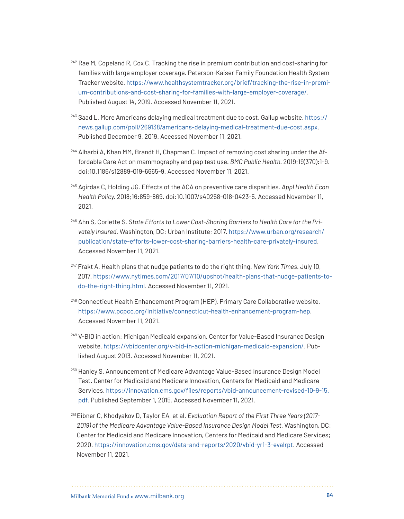- $242$  Rae M, Copeland R, Cox C. Tracking the rise in premium contribution and cost-sharing for families with large employer coverage. Peterson-Kaiser Family Foundation Health System Tracker website. [https://www.healthsystemtracker.org/brief/tracking-the-rise-in-premi](https://www.healthsystemtracker.org/brief/tracking-the-rise-in-premium-contributions-and-cost-sharing-for-families-with-large-employer-coverage/)[um-contributions-and-cost-sharing-for-families-with-large-employer-coverage/](https://www.healthsystemtracker.org/brief/tracking-the-rise-in-premium-contributions-and-cost-sharing-for-families-with-large-employer-coverage/). Published August 14, 2019. Accessed November 11, 2021.
- <sup>243</sup> Saad L. More Americans delaying medical treatment due to cost. Gallup website. [https://](https://news.gallup.com/poll/269138/americans-delaying-medical-treatment-due-cost.aspx) [news.gallup.com/poll/269138/americans-delaying-medical-treatment-due-cost.aspx](https://news.gallup.com/poll/269138/americans-delaying-medical-treatment-due-cost.aspx). Published December 9, 2019. Accessed November 11, 2021.
- <sup>244</sup> Alharbi A, Khan MM, Brandt H, Chapman C. Impact of removing cost sharing under the Affordable Care Act on mammography and pap test use. *BMC Public Health.* 2019;19(370):1-9. doi:10.1186/s12889-019-6665-9. Accessed November 11, 2021.
- <sup>245</sup> Agirdas C, Holding JG. Effects of the ACA on preventive care disparities. *Appl Health Econ Health Policy.* 2018;16:859-869. doi:10.1007/s40258-018-0423-5. Accessed November 11, 2021.
- <sup>246</sup> Ahn S, Corlette S. *State Efforts to Lower Cost-Sharing Barriers to Health Care for the Privately Insured.* Washington, DC: Urban Institute; 2017. [https://www.urban.org/research/](https://www.urban.org/research/publication/state-efforts-lower-cost-sharing-barriers-health-care-privately-insured) [publication/state-efforts-lower-cost-sharing-barriers-health-care-privately-insured](https://www.urban.org/research/publication/state-efforts-lower-cost-sharing-barriers-health-care-privately-insured). Accessed November 11, 2021.
- <sup>247</sup> Frakt A. Health plans that nudge patients to do the right thing. *New York Times.* July 10, 2017. [https://www.nytimes.com/2017/07/10/upshot/health-plans-that-nudge-patients-to](https://www.nytimes.com/2017/07/10/upshot/health-plans-that-nudge-patients-to-do-the-right-thing.html)[do-the-right-thing.html](https://www.nytimes.com/2017/07/10/upshot/health-plans-that-nudge-patients-to-do-the-right-thing.html). Accessed November 11, 2021.
- <sup>248</sup> Connecticut Health Enhancement Program (HEP). Primary Care Collaborative website. [https://www.pcpcc.org/initiative/connecticut-health-enhancement-program-hep.](https://www.pcpcc.org/initiative/connecticut-health-enhancement-program-hep) Accessed November 11, 2021.
- <sup>249</sup> V-BID in action: Michigan Medicaid expansion. Center for Value-Based Insurance Design website. <https://vbidcenter.org/v-bid-in-action-michigan-medicaid-expansion/>. Published August 2013. Accessed November 11, 2021.
- <sup>250</sup> Hanley S. Announcement of Medicare Advantage Value-Based Insurance Design Model Test. Center for Medicaid and Medicare Innovation, Centers for Medicaid and Medicare Services. [https://innovation.cms.gov/files/reports/vbid-announcement-revised-10-9-15.](https://innovation.cms.gov/files/reports/vbid-announcement-revised-10-9-15.pdf) [pdf](https://innovation.cms.gov/files/reports/vbid-announcement-revised-10-9-15.pdf). Published September 1, 2015. Accessed November 11, 2021.
- 251 Eibner C, Khodyakov D, Taylor EA, et al. *Evaluation Report of the First Three Years (2017- 2019) of the Medicare Advantage Value-Based Insurance Design Model Test.* Washington, DC: Center for Medicaid and Medicare Innovation, Centers for Medicaid and Medicare Services; 2020. <https://innovation.cms.gov/data-and-reports/2020/vbid-yr1-3-evalrpt>. Accessed November 11, 2021.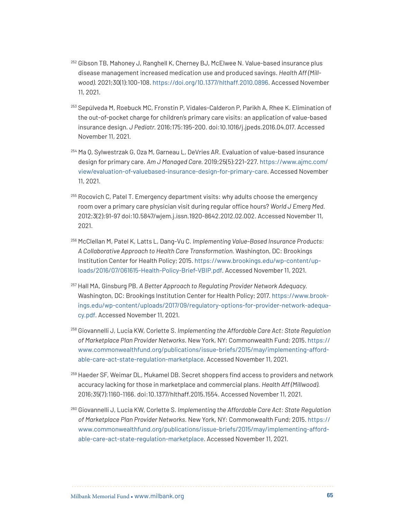- <sup>252</sup> Gibson TB, Mahoney J, Ranghell K, Cherney BJ, McElwee N. Value-based insurance plus disease management increased medication use and produced savings. *Health Aff (Millwood).* 2021;30(1):100-108. <https://doi.org/10.1377/hlthaff.2010.0896>. Accessed November 11, 2021.
- <sup>253</sup> Sepúlveda M, Roebuck MC, Fronstin P, Vidales-Calderon P, Parikh A, Rhee K. Elimination of the out-of-pocket charge for children's primary care visits: an application of value-based insurance design. *J Pediatr.* 2016;175:195-200. doi:10.1016/j.jpeds.2016.04.017. Accessed November 11, 2021.
- <sup>254</sup> Ma Q, Sylwestrzak G, Oza M, Garneau L, DeVries AR. Evaluation of value-based insurance design for primary care. *Am J Managed Care.* 2019;25(5):221-227. [https://www.ajmc.com/](https://www.ajmc.com/view/evaluation-of-valuebased-insurance-design-for-primary-care) [view/evaluation-of-valuebased-insurance-design-for-primary-care](https://www.ajmc.com/view/evaluation-of-valuebased-insurance-design-for-primary-care). Accessed November 11, 2021.
- $255$  Rocovich C, Patel T. Emergency department visits: why adults choose the emergency room over a primary care physician visit during regular office hours? *World J Emerg Med.*  2012;3(2):91-97 doi:10.5847/wjem.j.issn.1920-8642.2012.02.002. Accessed November 11, 2021.
- <sup>256</sup> McClellan M, Patel K, Latts L, Dang-Vu C. *Implementing Value-Based Insurance Products: A Collaborative Approach to Health Care Transformation.* Washington, DC: Brookings Institution Center for Health Policy; 2015. [https://www.brookings.edu/wp-content/up](https://www.brookings.edu/wp-content/uploads/2016/07/061615-Health-Policy-Brief-VBIP.pdf)[loads/2016/07/061615-Health-Policy-Brief-VBIP.pdf.](https://www.brookings.edu/wp-content/uploads/2016/07/061615-Health-Policy-Brief-VBIP.pdf) Accessed November 11, 2021.
- <sup>257</sup> Hall MA, Ginsburg PB. *A Better Approach to Regulating Provider Network Adequacy.*  Washington, DC: Brookings Institution Center for Health Policy; 2017. [https://www.brook](https://www.brookings.edu/wp-content/uploads/2017/09/regulatory-options-for-provider-network-adequacy.pdf)[ings.edu/wp-content/uploads/2017/09/regulatory-options-for-provider-network-adequa](https://www.brookings.edu/wp-content/uploads/2017/09/regulatory-options-for-provider-network-adequacy.pdf)[cy.pdf](https://www.brookings.edu/wp-content/uploads/2017/09/regulatory-options-for-provider-network-adequacy.pdf). Accessed November 11, 2021.
- <sup>258</sup> Giovannelli J, Lucia KW, Corlette S. *Implementing the Affordable Care Act: State Regulation of Marketplace Plan Provider Networks.* New York, NY: Commonwealth Fund; 2015. [https://](https://www.commonwealthfund.org/publications/issue-briefs/2015/may/implementing-affordable-care-act-state-regulation-marketplace) [www.commonwealthfund.org/publications/issue-briefs/2015/may/implementing-afford](https://www.commonwealthfund.org/publications/issue-briefs/2015/may/implementing-affordable-care-act-state-regulation-marketplace)[able-care-act-state-regulation-marketplace](https://www.commonwealthfund.org/publications/issue-briefs/2015/may/implementing-affordable-care-act-state-regulation-marketplace). Accessed November 11, 2021.
- <sup>259</sup> Haeder SF, Weimar DL, Mukamel DB. Secret shoppers find access to providers and network accuracy lacking for those in marketplace and commercial plans. *Health Aff (Millwood).* 2016;35(7):1160-1166. doi:10.1377/hlthaff.2015.1554. Accessed November 11, 2021.
- <sup>260</sup> Giovannelli J, Lucia KW, Corlette S. *Implementing the Affordable Care Act: State Regulation of Marketplace Plan Provider Networks.* New York, NY: Commonwealth Fund; 2015. [https://](https://www.commonwealthfund.org/publications/issue-briefs/2015/may/implementing-affordable-care-act-state-regulation-marketplace) [www.commonwealthfund.org/publications/issue-briefs/2015/may/implementing-afford](https://www.commonwealthfund.org/publications/issue-briefs/2015/may/implementing-affordable-care-act-state-regulation-marketplace)[able-care-act-state-regulation-marketplace](https://www.commonwealthfund.org/publications/issue-briefs/2015/may/implementing-affordable-care-act-state-regulation-marketplace). Accessed November 11, 2021.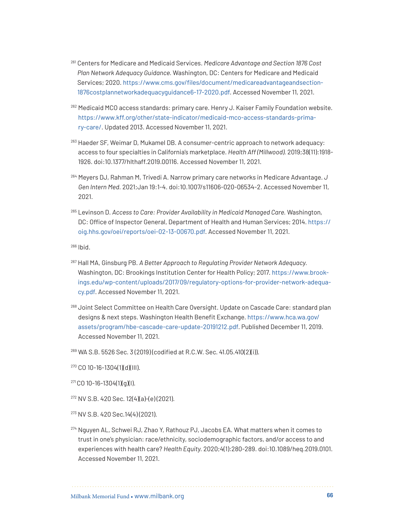- <sup>261</sup> Centers for Medicare and Medicaid Services. *Medicare Advantage and Section 1876 Cost Plan Network Adequacy Guidance.* Washington, DC: Centers for Medicare and Medicaid Services; 2020. [https://www.cms.gov/files/document/medicareadvantageandsection](https://www.cms.gov/files/document/medicareadvantageandsection1876costplannetworkadequacyguidance6-17-2020.pdf)-[1876costplannetworkadequacyguidance6-17-2020.pdf](https://www.cms.gov/files/document/medicareadvantageandsection1876costplannetworkadequacyguidance6-17-2020.pdf). Accessed November 11, 2021.
- 262 Medicaid MCO access standards: primary care. Henry J. Kaiser Family Foundation website. [https://www.kff.org/other/state-indicator/medicaid-mco-access-standards-prima](https://www.kff.org/other/state-indicator/medicaid-mco-access-standards-primary-care/)[ry-care/](https://www.kff.org/other/state-indicator/medicaid-mco-access-standards-primary-care/). Updated 2013. Accessed November 11, 2021.
- <sup>263</sup> Haeder SF, Weimar D, Mukamel DB. A consumer-centric approach to network adequacy: access to four specialties in California's marketplace. *Health Aff (Millwood).* 2019;38(11):1918- 1926. doi:10.1377/hlthaff.2019.00116. Accessed November 11, 2021.
- <sup>264</sup> Meyers DJ, Rahman M, Trivedi A. Narrow primary care networks in Medicare Advantage. *J Gen Intern Med.* 2021;Jan 19:1-4. doi:10.1007/s11606-020-06534-2. Accessed November 11, 2021.
- <sup>265</sup> Levinson D. Access to Care: Provider Availability in Medicaid Managed Care. Washington, DC: Office of Inspector General, Department of Health and Human Services; 2014. [https://](https://oig.hhs.gov/oei/reports/oei-02-13-00670.pdf) [oig.hhs.gov/oei/reports/oei-02-13-00670.pdf.](https://oig.hhs.gov/oei/reports/oei-02-13-00670.pdf) Accessed November 11, 2021.

- <sup>267</sup> Hall MA, Ginsburg PB. *A Better Approach to Regulating Provider Network Adequacy.*  Washington, DC: Brookings Institution Center for Health Policy; 2017. [https://www.brook](https://www.brookings.edu/wp-content/uploads/2017/09/regulatory-options-for-provider-network-adequacy.pdf)[ings.edu/wp-content/uploads/2017/09/regulatory-options-for-provider-network-adequa](https://www.brookings.edu/wp-content/uploads/2017/09/regulatory-options-for-provider-network-adequacy.pdf)[cy.pdf](https://www.brookings.edu/wp-content/uploads/2017/09/regulatory-options-for-provider-network-adequacy.pdf). Accessed November 11, 2021.
- <sup>268</sup> Joint Select Committee on Health Care Oversight. Update on Cascade Care: standard plan designs & next steps. Washington Health Benefit Exchange. [https://www.hca.wa.gov/](https://www.hca.wa.gov/assets/program/hbe-cascade-care-update-20191212.pdf) [assets/program/hbe-cascade-care-update-20191212.pdf](https://www.hca.wa.gov/assets/program/hbe-cascade-care-update-20191212.pdf). Published December 11, 2019. Accessed November 11, 2021.
- <sup>269</sup> WA S.B. 5526 Sec. 3 (2019) (codified at R.C.W. Sec. 41.05.410(2)(i)).
- $270$  CO 10-16-1304(1)(d)(III).
- $271$  CO 10-16-1304(1)(g)(I).
- $272$  NV S.B. 420 Sec. 12(4)(a)-(e)(2021).
- <sup>273</sup> NV S.B. 420 Sec.14(4) (2021).
- <sup>274</sup> Nguyen AL, Schwei RJ, Zhao Y, Rathouz PJ, Jacobs EA. What matters when it comes to trust in one's physician: race/ethnicity, sociodemographic factors, and/or access to and experiences with health care? *Health Equity.* 2020;4(1):280-289. doi:10.1089/heq.2019.0101. Accessed November 11, 2021.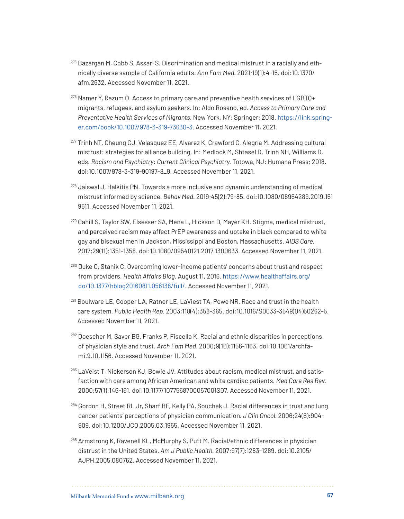- $275$  Bazargan M, Cobb S, Assari S. Discrimination and medical mistrust in a racially and ethnically diverse sample of California adults. *Ann Fam Med.* 2021;19(1):4-15. doi:10.1370/ afm.2632. Accessed November 11, 2021.
- <sup>276</sup> Namer Y, Razum O. Access to primary care and preventive health services of LGBTQ+ migrants, refugees, and asylum seekers. In: Aldo Rosano, ed. *Access to Primary Care and Preventative Health Services of Migrants.* New York, NY: Springer; 2018. [https://link.spring](https://link.springer.com/book/10.1007/978-3-319-73630-3)[er.com/book/10.1007/978-3-319-73630-3.](https://link.springer.com/book/10.1007/978-3-319-73630-3) Accessed November 11, 2021.
- <sup>277</sup> Trinh NT, Cheung CJ, Velasquez EE, Alvarez K, Crawford C, Alegría M. Addressing cultural mistrust: strategies for alliance building. In: Medlock M, Shtasel D, Trinh NH, Williams D, eds. *Racism and Psychiatry: Current Clinical Psychiatry.* Totowa, NJ: Humana Press; 2018. doi:10.1007/978-3-319-90197-8\_9. Accessed November 11, 2021.
- <sup>278</sup> Jaiswal J, Halkitis PN. Towards a more inclusive and dynamic understanding of medical mistrust informed by science. *Behav Med.* 2019;45(2):79-85. doi:10.1080/08964289.2019.161 9511. Accessed November 11, 2021.
- <sup>279</sup> Cahill S, Taylor SW, Elsesser SA, Mena L, Hickson D, Mayer KH. Stigma, medical mistrust, and perceived racism may affect PrEP awareness and uptake in black compared to white gay and bisexual men in Jackson, Mississippi and Boston, Massachusetts. *AIDS Care.*  2017;29(11):1351-1358. doi:10.1080/09540121.2017.1300633. Accessed November 11, 2021.
- <sup>280</sup> Duke C, Stanik C. Overcoming lower-income patients' concerns about trust and respect from providers. *Health Affairs Blog.* August 11, 2016. [https://www.healthaffairs.org/](https://www.healthaffairs.org/do/10.1377/hblog20160811.056138/full/) [do/10.1377/hblog20160811.056138/full/](https://www.healthaffairs.org/do/10.1377/hblog20160811.056138/full/). Accessed November 11, 2021.
- <sup>281</sup> Boulware LE, Cooper LA, Ratner LE, LaViest TA, Powe NR. Race and trust in the health care system. *Public Health Rep.* 2003;118(4):358-365. doi:10.1016/S0033-3549(04)50262-5. Accessed November 11, 2021.
- <sup>282</sup> Doescher M, Saver BG, Franks P, Fiscella K. Racial and ethnic disparities in perceptions of physician style and trust. *Arch Fam Med.* 2000;9(10):1156-1163. doi:10.1001/archfami.9.10.1156. Accessed November 11, 2021.
- <sup>283</sup> LaVeist T, Nickerson KJ, Bowie JV. Attitudes about racism, medical mistrust, and satisfaction with care among African American and white cardiac patients. *Med Care Res Rev.*  2000;57(1):146-161. doi:10.1177/1077558700057001S07. Accessed November 11, 2021.
- <sup>284</sup> Gordon H, Street RL Jr, Sharf BF, Kelly PA, Souchek J. Racial differences in trust and lung cancer patients' perceptions of physician communication. *J Clin Oncol.* 2006;24(6):904- 909. doi:10.1200/JCO.2005.03.1955. Accessed November 11, 2021.
- <sup>285</sup> Armstrong K, Ravenell KL, McMurphy S, Putt M. Racial/ethnic differences in physician distrust in the United States. *Am J Public Health.* 2007;97(7):1283-1289. doi:10.2105/ AJPH.2005.080762. Accessed November 11, 2021.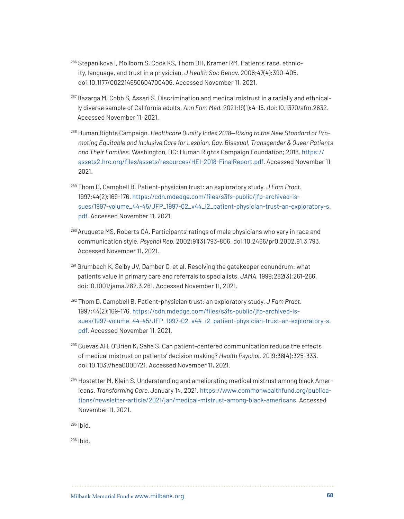- <sup>286</sup> Stepanikova I, Mollborn S, Cook KS, Thom DH, Kramer RM. Patients' race, ethnicity, language, and trust in a physician. *J Health Soc Behav.* 2006;47(4):390-405. doi:10.1177/002214650604700406. Accessed November 11, 2021.
- 287 Bazarga M, Cobb S, Assari S. Discrimination and medical mistrust in a racially and ethnically diverse sample of California adults. *Ann Fam Med.* 2021;19(1):4-15. doi:10.1370/afm.2632. Accessed November 11, 2021.
- <sup>288</sup> Human Rights Campaign. *Healthcare Quality Index 2018—Rising to the New Standard of Promoting Equitable and Inclusive Care for Lesbian, Gay, Bisexual, Transgender & Queer Patients and Their Families.* Washington, DC: Human Rights Campaign Foundation; 2018. [https://](https://assets2.hrc.org/files/assets/resources/HEI-2018-FinalReport.pdf) [assets2.hrc.org/files/assets/resources/HEI-2018-FinalReport.pdf](https://assets2.hrc.org/files/assets/resources/HEI-2018-FinalReport.pdf). Accessed November 11, 2021.
- <sup>289</sup> Thom D, Campbell B. Patient-physician trust: an exploratory study. *J Fam Pract.*  1997;44(2):169-176. [https://cdn.mdedge.com/files/s3fs-public/jfp-archived-is](https://cdn.mdedge.com/files/s3fs-public/jfp-archived-issues/1997-volume_44-45/JFP_1997-02_v44_i2_patient-physician-trust-an-exploratory-s.pdf)[sues/1997-volume\\_44-45/JFP\\_1997-02\\_v44\\_i2\\_patient-physician-trust-an-exploratory-s.](https://cdn.mdedge.com/files/s3fs-public/jfp-archived-issues/1997-volume_44-45/JFP_1997-02_v44_i2_patient-physician-trust-an-exploratory-s.pdf) [pdf](https://cdn.mdedge.com/files/s3fs-public/jfp-archived-issues/1997-volume_44-45/JFP_1997-02_v44_i2_patient-physician-trust-an-exploratory-s.pdf). Accessed November 11, 2021.
- 290 Aruguete MS, Roberts CA. Participants' ratings of male physicians who vary in race and communication style. *Psychol Rep.* 2002;91(3):793-806. doi:10.2466/pr0.2002.91.3.793. Accessed November 11, 2021.
- <sup>291</sup> Grumbach K, Selby JV, Damber C, et al. Resolving the gatekeeper conundrum: what patients value in primary care and referrals to specialists. *JAMA.* 1999;282(3):261-266. doi:10.1001/jama.282.3.261. Accessed November 11, 2021.
- <sup>292</sup> Thom D, Campbell B. Patient-physician trust: an exploratory study. *J Fam Pract.*  1997;44(2):169-176. [https://cdn.mdedge.com/files/s3fs-public/jfp-archived-is](https://cdn.mdedge.com/files/s3fs-public/jfp-archived-issues/1997-volume_44-45/JFP_1997-02_v44_i2_patient-physician-trust-an-exploratory-s.pdf)[sues/1997-volume\\_44-45/JFP\\_1997-02\\_v44\\_i2\\_patient-physician-trust-an-exploratory-s.](https://cdn.mdedge.com/files/s3fs-public/jfp-archived-issues/1997-volume_44-45/JFP_1997-02_v44_i2_patient-physician-trust-an-exploratory-s.pdf) [pdf](https://cdn.mdedge.com/files/s3fs-public/jfp-archived-issues/1997-volume_44-45/JFP_1997-02_v44_i2_patient-physician-trust-an-exploratory-s.pdf). Accessed November 11, 2021.
- <span id="page-67-0"></span><sup>293</sup> Cuevas AH, O'Brien K, Saha S. Can patient-centered communication reduce the effects of medical mistrust on patients' decision making? *Health Psychol.* 2019;38(4):325-333. doi:10.1037/hea0000721. Accessed November 11, 2021.
- <span id="page-67-4"></span><span id="page-67-3"></span><span id="page-67-2"></span><span id="page-67-1"></span><sup>294</sup> Hostetter M, Klein S. Understanding and ameliorating medical mistrust among black Americans. *Transforming Care.* January 14, 2021. [https://www.commonwealthfund.org/publica](https://www.commonwealthfund.org/publications/newsletter-article/2021/jan/medical-mistrust-among-black-americans)[tions/newsletter-article/2021/jan/medical-mistrust-among-black-americans](https://www.commonwealthfund.org/publications/newsletter-article/2021/jan/medical-mistrust-among-black-americans). Accessed November 11, 2021.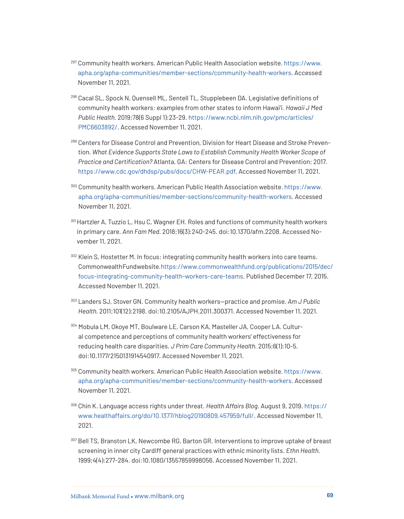- <sup>297</sup> Community health workers. American Public Health Association website. [https://www.](https://www.apha.org/apha-communities/member-sections/community-health-workers) [apha.org/apha-communities/member-sections/community-health-workers](https://www.apha.org/apha-communities/member-sections/community-health-workers). Accessed November 11, 2021.
- <span id="page-68-0"></span><sup>298</sup> Cacal SL, Spock N, Quensell ML, Sentell TL, Stupplebeen DA. Legislative definitions of community health workers: examples from other states to inform Hawai'i. *Hawaii J Med Public Health.* 2019;78(6 Suppl 1):23-29. [https://www.ncbi.nlm.nih.gov/pmc/articles/](https://www.ncbi.nlm.nih.gov/pmc/articles/PMC6603892/) [PMC6603892/](https://www.ncbi.nlm.nih.gov/pmc/articles/PMC6603892/). Accessed November 11, 2021.
- <span id="page-68-1"></span><sup>299</sup> Centers for Disease Control and Prevention, Division for Heart Disease and Stroke Prevention. *What Evidence Supports State Laws to Establish Community Health Worker Scope of Practice and Certification?* Atlanta, GA: Centers for Disease Control and Prevention; 2017. <https://www.cdc.gov/dhdsp/pubs/docs/CHW-PEAR.pdf>. Accessed November 11, 2021.
- <span id="page-68-2"></span><sup>300</sup> Community health workers. American Public Health Association website. [https://www.](https://www.apha.org/apha-communities/member-sections/community-health-workers) [apha.org/apha-communities/member-sections/community-health-workers.](https://www.apha.org/apha-communities/member-sections/community-health-workers) Accessed November 11, 2021.
- <span id="page-68-3"></span><sup>301</sup> Hartzler A, Tuzzio L, Hsu C, Wagner EH. Roles and functions of community health workers in primary care. *Ann Fam Med.* 2018;16(3):240-245. doi:10.1370/afm.2208. Accessed November 11, 2021.
- <span id="page-68-4"></span>302 Klein S, Hostetter M. In focus: integrating community health workers into care teams. Commonwealth Fund website. [https://www.commonwealthfund.org/publications/2015/dec/](https://www.commonwealthfund.org/publications/2015/dec/focus-integrating-community-health-workers-care-teams) [focus-integrating-community-health-workers-care-teams](https://www.commonwealthfund.org/publications/2015/dec/focus-integrating-community-health-workers-care-teams). Published December 17, 2015. Accessed November 11, 2021.
- <span id="page-68-5"></span><sup>303</sup> Landers SJ, Stover GN. Community health workers—practice and promise. *Am J Public Health.* 2011;101(12):2198. doi:10.2105/AJPH.2011.300371. Accessed November 11, 2021.
- <span id="page-68-6"></span><sup>304</sup> Mobula LM, Okoye MT, Boulware LE, Carson KA, Masteller JA, Cooper LA. Cultural competence and perceptions of community health workers' effectiveness for reducing health care disparities. *J Prim Care Community Health.* 2015;6(1):10-5. doi:10.1177/2150131914540917. Accessed November 11, 2021.
- <span id="page-68-7"></span><sup>305</sup> Community health workers. American Public Health Association website. [https://www.](https://www.apha.org/apha-communities/member-sections/community-health-workers) [apha.org/apha-communities/member-sections/community-health-workers.](https://www.apha.org/apha-communities/member-sections/community-health-workers) Accessed November 11, 2021.
- <span id="page-68-8"></span><sup>306</sup> Chin K. Language access rights under threat. *Health Affairs Blog.* August 9, 2019. [https://](https://store.aamc.org/downloadable/download/sample/sample_id/84/) [www.healthaffairs.org/do/10.1377/hblog20190809.457959/full/](https://store.aamc.org/downloadable/download/sample/sample_id/84/). Accessed November 11, 2021.
- <span id="page-68-9"></span><sup>307</sup> Bell TS, Branston LK, Newcombe RG, Barton GR. Interventions to improve uptake of breast screening in inner city Cardiff general practices with ethnic minority lists. *Ethn Health.*  1999;4(4):277-284. doi:10.1080/13557859998056. Accessed November 11, 2021.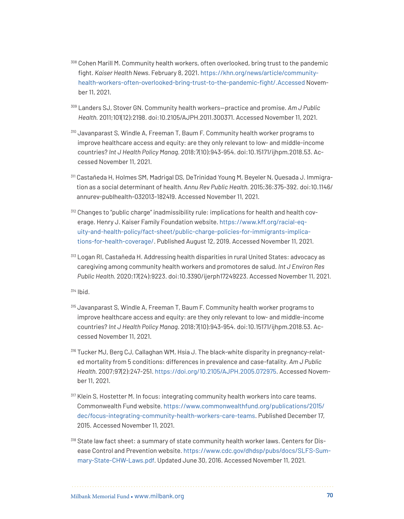- <span id="page-69-0"></span><sup>308</sup> Cohen Marill M. Community health workers, often overlooked, bring trust to the pandemic fight. *Kaiser Health News.* February 8, 2021. [https://khn.org/news/article/community](https://khn.org/news/article/community-health-workers-often-overlooked-bring-trust-to-the-pandemic-fight/.Accessed)[health-workers-often-overlooked-bring-trust-to-the-pandemic-fight/.Accessed](https://khn.org/news/article/community-health-workers-often-overlooked-bring-trust-to-the-pandemic-fight/.Accessed) November 11, 2021.
- <sup>309</sup> Landers SJ, Stover GN. Community health workers—practice and promise. *Am J Public Health.* 2011;101(12):2198. doi:10.2105/AJPH.2011.300371. Accessed November 11, 2021.
- <span id="page-69-1"></span><sup>310</sup> Javanparast S, Windle A, Freeman T, Baum F. Community health worker programs to improve healthcare access and equity: are they only relevant to low- and middle-income countries? *Int J Health Policy Manag.* 2018;7(10):943-954. doi:10.15171/ijhpm.2018.53. Accessed November 11, 2021.
- <span id="page-69-2"></span><sup>311</sup> Castañeda H, Holmes SM, Madrigal DS, DeTrinidad Young M, Beyeler N, Quesada J. Immigration as a social determinant of health. *Annu Rev Public Health.* 2015;36:375-392. doi:10.1146/ annurev-publhealth-032013-182419. Accessed November 11, 2021.
- <span id="page-69-3"></span><sup>312</sup> Changes to "public charge" inadmissibility rule: implications for health and health coverage. Henry J. Kaiser Family Foundation website. [https://www.kff.org/racial-eq](https://www.kff.org/racial-equity-and-health-policy/fact-sheet/public-charge-policies-for-immigrants-implications-for-health-coverage/)[uity-and-health-policy/fact-sheet/public-charge-policies-for-immigrants-implica](https://www.kff.org/racial-equity-and-health-policy/fact-sheet/public-charge-policies-for-immigrants-implications-for-health-coverage/)[tions-for-health-coverage/](https://www.kff.org/racial-equity-and-health-policy/fact-sheet/public-charge-policies-for-immigrants-implications-for-health-coverage/). Published August 12, 2019. Accessed November 11, 2021.
- <span id="page-69-4"></span><sup>313</sup> Logan RI, Castañeda H. Addressing health disparities in rural United States: advocacy as caregiving among community health workers and promotores de salud. *Int J Environ Res Public Health.* 2020;17(24):9223. doi:10.3390/ijerph17249223. Accessed November 11, 2021.

- <span id="page-69-6"></span><span id="page-69-5"></span><sup>315</sup> Javanparast S, Windle A, Freeman T, Baum F. Community health worker programs to improve healthcare access and equity: are they only relevant to low- and middle-income countries? *Int J Health Policy Manag.* 2018;7(10):943-954. doi:10.15171/ijhpm.2018.53. Accessed November 11, 2021.
- <span id="page-69-7"></span><sup>316</sup> Tucker MJ, Berg CJ, Callaghan WM, Hsia J. The black-white disparity in pregnancy-related mortality from 5 conditions: differences in prevalence and case-fatality. *Am J Public Health.* 2007;97(2):247-251.<https://doi.org/10.2105/AJPH.2005.072975>. Accessed November 11, 2021.
- <span id="page-69-8"></span>317 Klein S, Hostetter M. In focus: integrating community health workers into care teams. Commonwealth Fund website. [https://www.commonwealthfund.org/publications/2015/](https://www.commonwealthfund.org/publications/2015/dec/focus-integrating-community-health-workers-care-teams) [dec/focus-integrating-community-health-workers-care-teams](https://www.commonwealthfund.org/publications/2015/dec/focus-integrating-community-health-workers-care-teams). Published December 17, 2015. Accessed November 11, 2021.
- <span id="page-69-9"></span><sup>318</sup> State law fact sheet: a summary of state community health worker laws. Centers for Disease Control and Prevention website. [https://www.cdc.gov/dhdsp/pubs/docs/SLFS-Sum](https://www.cdc.gov/dhdsp/pubs/docs/SLFS-Summary-State-CHW-Laws.pdf)[mary-State-CHW-Laws.pdf](https://www.cdc.gov/dhdsp/pubs/docs/SLFS-Summary-State-CHW-Laws.pdf). Updated June 30, 2016. Accessed November 11, 2021.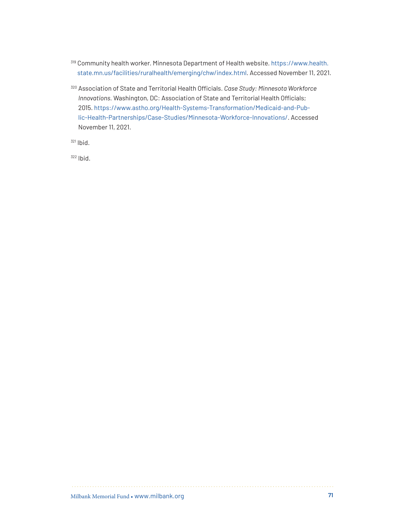- <span id="page-70-0"></span><sup>319</sup> Community health worker. Minnesota Department of Health website. [https://www.health.](https://www.health.state.mn.us/facilities/ruralhealth/emerging/chw/index.html) [state.mn.us/facilities/ruralhealth/emerging/chw/index.html](https://www.health.state.mn.us/facilities/ruralhealth/emerging/chw/index.html). Accessed November 11, 2021.
- <span id="page-70-3"></span><span id="page-70-2"></span><span id="page-70-1"></span><sup>320</sup> Association of State and Territorial Health Officials. *Case Study: Minnesota Workforce Innovations.* Washington, DC: Association of State and Territorial Health Officials; 2015. [https://www.astho.org/Health-Systems-Transformation/Medicaid-and-Pub](https://www.astho.org/Health-Systems-Transformation/Medicaid-and-Public-Health-Partnerships/Case-Studies/Minnesota-Workforce-Innovations/)[lic-Health-Partnerships/Case-Studies/Minnesota-Workforce-Innovations/](https://www.astho.org/Health-Systems-Transformation/Medicaid-and-Public-Health-Partnerships/Case-Studies/Minnesota-Workforce-Innovations/). Accessed November 11, 2021.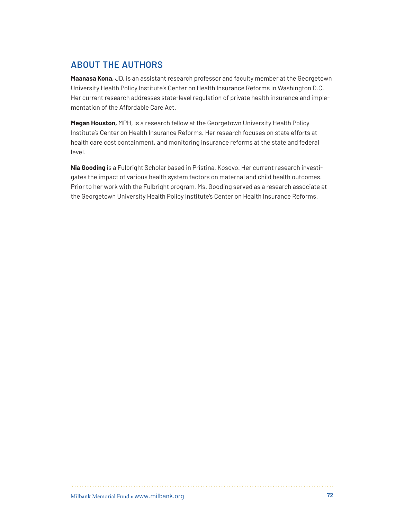# **ABOUT THE AUTHORS**

**Maanasa Kona,** JD, is an assistant research professor and faculty member at the Georgetown University Health Policy Institute's Center on Health Insurance Reforms in Washington D.C. Her current research addresses state-level regulation of private health insurance and implementation of the Affordable Care Act.

**Megan Houston,** MPH, is a research fellow at the Georgetown University Health Policy Institute's Center on Health Insurance Reforms. Her research focuses on state efforts at health care cost containment, and monitoring insurance reforms at the state and federal level.

**Nia Gooding** is a Fulbright Scholar based in Pristina, Kosovo. Her current research investigates the impact of various health system factors on maternal and child health outcomes. Prior to her work with the Fulbright program, Ms. Gooding served as a research associate at the Georgetown University Health Policy Institute's Center on Health Insurance Reforms.